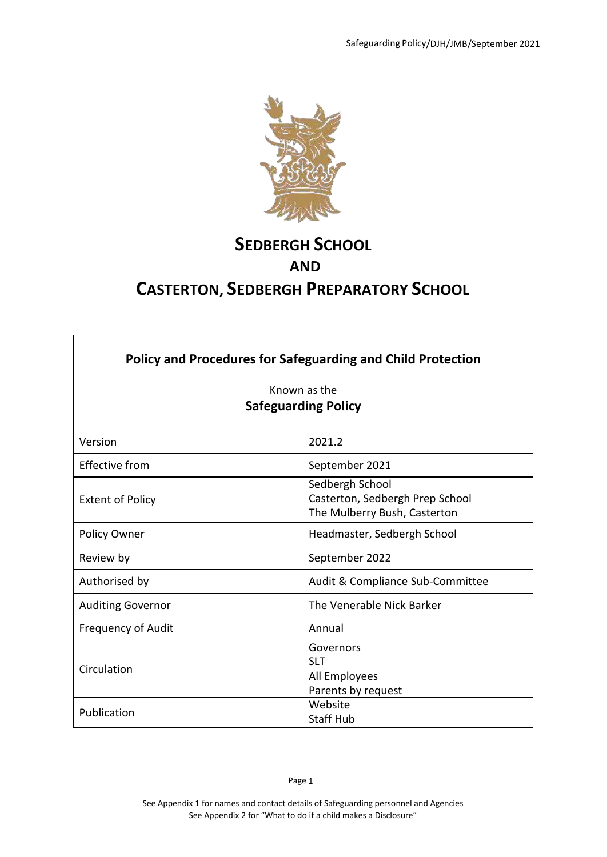

# **SEDBERGH SCHOOL AND CASTERTON, SEDBERGH PREPARATORY SCHOOL**

| <b>Policy and Procedures for Safeguarding and Child Protection</b> |                                                                                    |  |  |  |
|--------------------------------------------------------------------|------------------------------------------------------------------------------------|--|--|--|
| Known as the<br><b>Safeguarding Policy</b>                         |                                                                                    |  |  |  |
| Version                                                            | 2021.2                                                                             |  |  |  |
| Effective from                                                     | September 2021                                                                     |  |  |  |
| <b>Extent of Policy</b>                                            | Sedbergh School<br>Casterton, Sedbergh Prep School<br>The Mulberry Bush, Casterton |  |  |  |
| Headmaster, Sedbergh School<br><b>Policy Owner</b>                 |                                                                                    |  |  |  |
| Review by<br>September 2022                                        |                                                                                    |  |  |  |
| Authorised by                                                      | Audit & Compliance Sub-Committee                                                   |  |  |  |
| The Venerable Nick Barker<br><b>Auditing Governor</b>              |                                                                                    |  |  |  |
| <b>Frequency of Audit</b>                                          | Annual                                                                             |  |  |  |
| Circulation                                                        | Governors<br><b>SLT</b><br>All Employees<br>Parents by request                     |  |  |  |
| Publication                                                        | Website<br><b>Staff Hub</b>                                                        |  |  |  |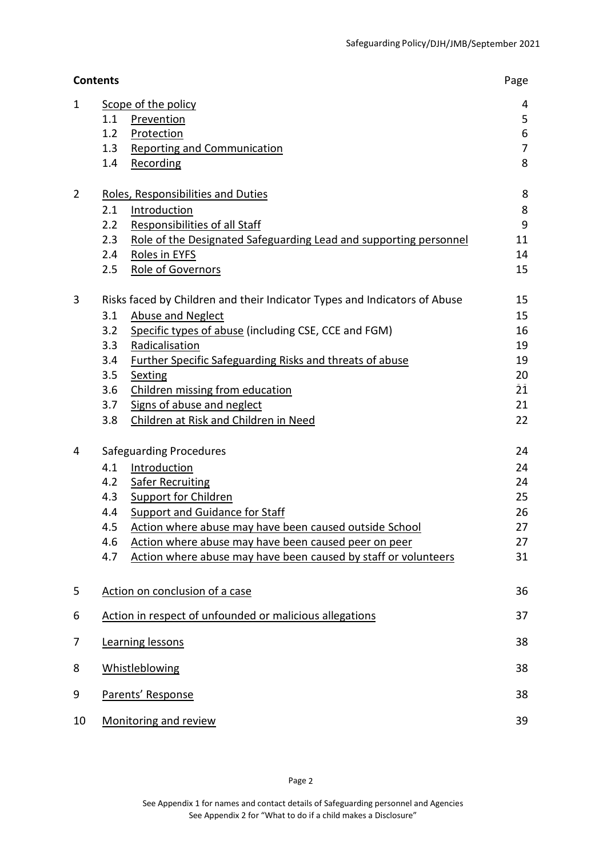| <b>Contents</b> |     |                                                                           | Page             |
|-----------------|-----|---------------------------------------------------------------------------|------------------|
| $\mathbf{1}$    |     | Scope of the policy                                                       | 4                |
|                 | 1.1 | Prevention                                                                | 5                |
|                 | 1.2 | Protection                                                                | $\boldsymbol{6}$ |
|                 | 1.3 | <b>Reporting and Communication</b>                                        | $\overline{7}$   |
|                 | 1.4 | Recording                                                                 | 8                |
| $\overline{2}$  |     | <b>Roles, Responsibilities and Duties</b>                                 | 8                |
|                 | 2.1 | Introduction                                                              | 8                |
|                 | 2.2 | <b>Responsibilities of all Staff</b>                                      | 9                |
|                 | 2.3 | Role of the Designated Safeguarding Lead and supporting personnel         | 11               |
|                 | 2.4 | Roles in EYFS                                                             | 14               |
|                 | 2.5 | Role of Governors                                                         | 15               |
| 3               |     | Risks faced by Children and their Indicator Types and Indicators of Abuse | 15               |
|                 | 3.1 | <b>Abuse and Neglect</b>                                                  | 15               |
|                 | 3.2 | Specific types of abuse (including CSE, CCE and FGM)                      | 16               |
|                 | 3.3 | Radicalisation                                                            | 19               |
|                 | 3.4 | <b>Further Specific Safeguarding Risks and threats of abuse</b>           | 19               |
|                 | 3.5 | Sexting                                                                   | 20               |
|                 | 3.6 | Children missing from education                                           | 21               |
|                 | 3.7 | Signs of abuse and neglect                                                | 21               |
|                 | 3.8 | Children at Risk and Children in Need                                     | 22               |
| 4               |     | <b>Safeguarding Procedures</b>                                            | 24               |
|                 | 4.1 | Introduction                                                              | 24               |
|                 | 4.2 | <b>Safer Recruiting</b>                                                   | 24               |
|                 | 4.3 | <b>Support for Children</b>                                               | 25               |
|                 | 4.4 | Support and Guidance for Staff                                            | 26               |
|                 | 4.5 | Action where abuse may have been caused outside School                    | 27               |
|                 | 4.6 | Action where abuse may have been caused peer on peer                      | 27               |
|                 | 4.7 | Action where abuse may have been caused by staff or volunteers            | 31               |
| 5               |     | Action on conclusion of a case                                            | 36               |
| 6               |     | Action in respect of unfounded or malicious allegations                   | 37               |
| 7               |     | Learning lessons                                                          | 38               |
| 8               |     | Whistleblowing                                                            | 38               |
| 9               |     | Parents' Response                                                         | 38               |
| 10              |     | Monitoring and review                                                     | 39               |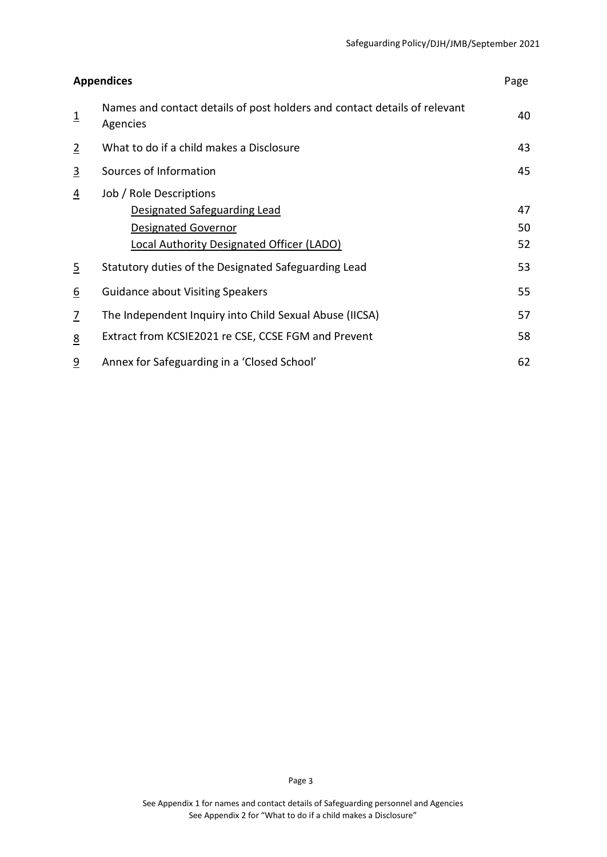|                  | <b>Appendices</b>                                                                     | Page     |
|------------------|---------------------------------------------------------------------------------------|----------|
| $\overline{1}$   | Names and contact details of post holders and contact details of relevant<br>Agencies | 40       |
| $\overline{2}$   | What to do if a child makes a Disclosure                                              | 43       |
| $\overline{3}$   | Sources of Information                                                                | 45       |
| $\overline{4}$   | Job / Role Descriptions<br>Designated Safeguarding Lead                               | 47       |
|                  | <b>Designated Governor</b><br><b>Local Authority Designated Officer (LADO)</b>        | 50<br>52 |
| $\overline{2}$   | Statutory duties of the Designated Safeguarding Lead                                  | 53       |
| $6 \overline{6}$ | <b>Guidance about Visiting Speakers</b>                                               | 55       |
| $\overline{L}$   | The Independent Inquiry into Child Sexual Abuse (IICSA)                               | 57       |
| 8                | Extract from KCSIE2021 re CSE, CCSE FGM and Prevent                                   | 58       |
| 9                | Annex for Safeguarding in a 'Closed School'                                           | 62       |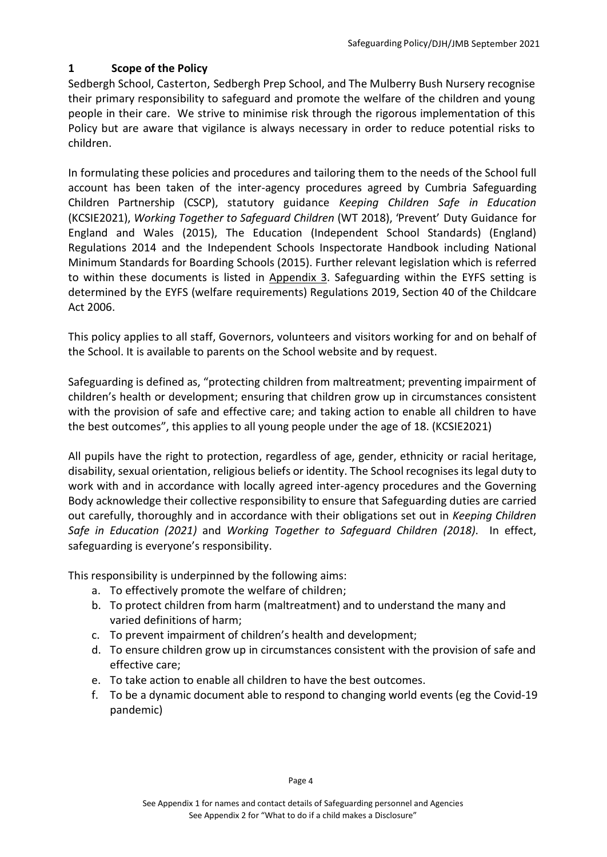# <span id="page-3-0"></span>**1 Scope of the Policy**

Sedbergh School, Casterton, Sedbergh Prep School, and The Mulberry Bush Nursery recognise their primary responsibility to safeguard and promote the welfare of the children and young people in their care. We strive to minimise risk through the rigorous implementation of this Policy but are aware that vigilance is always necessary in order to reduce potential risks to children.

In formulating these policies and procedures and tailoring them to the needs of the School full account has been taken of the inter-agency procedures agreed by Cumbria Safeguarding Children Partnership (CSCP), statutory guidance *Keeping Children Safe in Education* (KCSIE2021), *Working Together to Safeguard Children* (WT 2018), 'Prevent' Duty Guidance for England and Wales (2015), The Education (Independent School Standards) (England) Regulations 2014 and the Independent Schools Inspectorate Handbook including National Minimum Standards for Boarding Schools (2015). Further relevant legislation which is referred to within these documents is listed in [Appendix 3.](#page-44-0) Safeguarding within the EYFS setting is determined by the EYFS (welfare requirements) Regulations 2019, Section 40 of the Childcare Act 2006.

This policy applies to all staff, Governors, volunteers and visitors working for and on behalf of the School. It is available to parents on the School website and by request.

Safeguarding is defined as, "protecting children from maltreatment; preventing impairment of children's health or development; ensuring that children grow up in circumstances consistent with the provision of safe and effective care; and taking action to enable all children to have the best outcomes", this applies to all young people under the age of 18. (KCSIE2021)

All pupils have the right to protection, regardless of age, gender, ethnicity or racial heritage, disability, sexual orientation, religious beliefs or identity. The School recognises its legal duty to work with and in accordance with locally agreed inter-agency procedures and the Governing Body acknowledge their collective responsibility to ensure that Safeguarding duties are carried out carefully, thoroughly and in accordance with their obligations set out in *Keeping Children Safe in Education (2021)* and *Working Together to Safeguard Children (2018)*. In effect, safeguarding is everyone's responsibility.

This responsibility is underpinned by the following aims:

- a. To effectively promote the welfare of children;
- b. To protect children from harm (maltreatment) and to understand the many and varied definitions of harm;
- c. To prevent impairment of children's health and development;
- d. To ensure children grow up in circumstances consistent with the provision of safe and effective care;
- e. To take action to enable all children to have the best outcomes.
- f. To be a dynamic document able to respond to changing world events (eg the Covid-19 pandemic)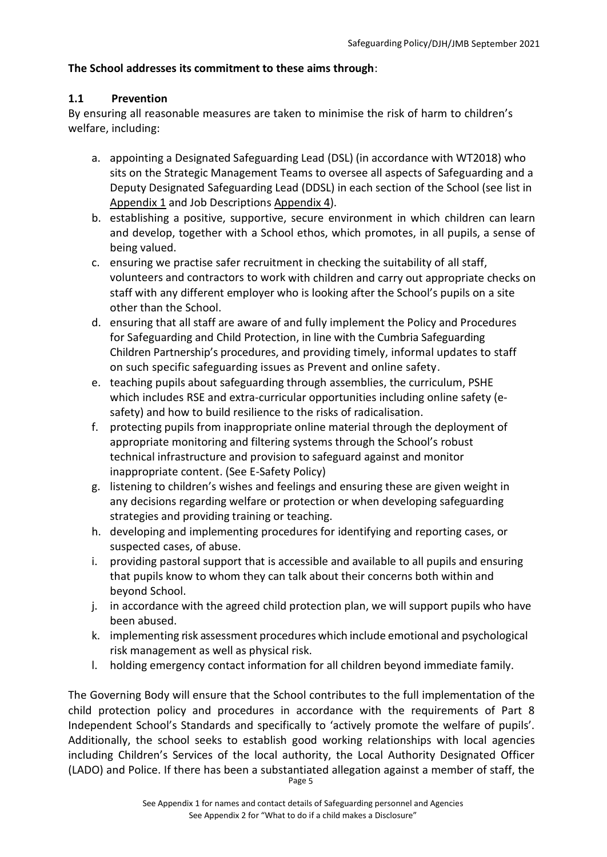# **The School addresses its commitment to these aims through**:

# <span id="page-4-0"></span>**1.1 Prevention**

By ensuring all reasonable measures are taken to minimise the risk of harm to children's welfare, including:

- a. appointing a Designated Safeguarding Lead (DSL) (in accordance with WT2018) who sits on the Strategic Management Teams to oversee all aspects of Safeguarding and a Deputy Designated Safeguarding Lead (DDSL) in each section of the School (see list in [Appendix 1](#page-39-0) and Job Descriptions [Appendix 4\)](#page-46-0).
- b. establishing a positive, supportive, secure environment in which children can learn and develop, together with a School ethos, which promotes, in all pupils, a sense of being valued.
- c. ensuring we practise safer recruitment in checking the suitability of all staff, volunteers and contractors to work with children and carry out appropriate checks on staff with any different employer who is looking after the School's pupils on a site other than the School.
- d. ensuring that all staff are aware of and fully implement the Policy and Procedures for Safeguarding and Child Protection, in line with the Cumbria Safeguarding Children Partnership's procedures, and providing timely, informal updates to staff on such specific safeguarding issues as Prevent and online safety.
- e. teaching pupils about safeguarding through assemblies, the curriculum, PSHE which includes RSE and extra-curricular opportunities including online safety (esafety) and how to build resilience to the risks of radicalisation.
- f. protecting pupils from inappropriate online material through the deployment of appropriate monitoring and filtering systems through the School's robust technical infrastructure and provision to safeguard against and monitor inappropriate content. (See E-Safety Policy)
- g. listening to children's wishes and feelings and ensuring these are given weight in any decisions regarding welfare or protection or when developing safeguarding strategies and providing training or teaching.
- h. developing and implementing procedures for identifying and reporting cases, or suspected cases, of abuse.
- i. providing pastoral support that is accessible and available to all pupils and ensuring that pupils know to whom they can talk about their concerns both within and beyond School.
- j. in accordance with the agreed child protection plan, we will support pupils who have been abused.
- k. implementing risk assessment procedures which include emotional and psychological risk management as well as physical risk.
- l. holding emergency contact information for all children beyond immediate family.

Page 5 The Governing Body will ensure that the School contributes to the full implementation of the child protection policy and procedures in accordance with the requirements of Part 8 Independent School's Standards and specifically to 'actively promote the welfare of pupils'. Additionally, the school seeks to establish good working relationships with local agencies including Children's Services of the local authority, the Local Authority Designated Officer (LADO) and Police. If there has been a substantiated allegation against a member of staff, the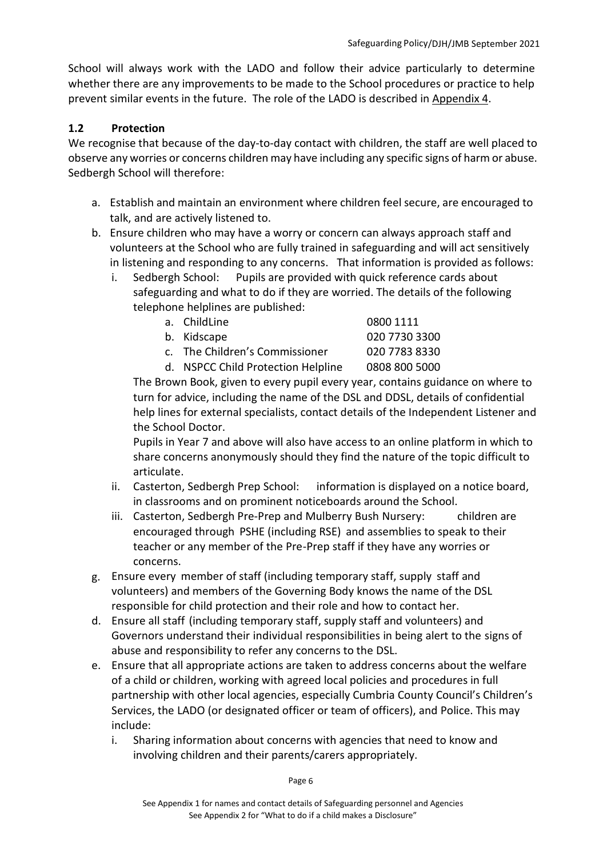School will always work with the LADO and follow their advice particularly to determine whether there are any improvements to be made to the School procedures or practice to help prevent similar events in the future. The role of the LADO is described in [Appendix 4.](#page-51-0)

# <span id="page-5-0"></span>**1.2 Protection**

We recognise that because of the day-to-day contact with children, the staff are well placed to observe any worries or concerns children may have including any specific signs of harm or abuse. Sedbergh School will therefore:

- a. Establish and maintain an environment where children feel secure, are encouraged to talk, and are actively listened to.
- b. Ensure children who may have a worry or concern can always approach staff and volunteers at the School who are fully trained in safeguarding and will act sensitively in listening and responding to any concerns. That information is provided as follows:
	- i. Sedbergh School: Pupils are provided with quick reference cards about safeguarding and what to do if they are worried. The details of the following telephone helplines are published:

| a. ChildLine                       | 0800 1111     |
|------------------------------------|---------------|
| b. Kidscape                        | 020 7730 3300 |
| c. The Children's Commissioner     | 020 7783 8330 |
| d. NSPCC Child Protection Helpline | 0808 800 5000 |
|                                    |               |

The Brown Book, given to every pupil every year, contains guidance on where to turn for advice, including the name of the DSL and DDSL, details of confidential help lines for external specialists, contact details of the Independent Listener and the School Doctor.

Pupils in Year 7 and above will also have access to an online platform in which to share concerns anonymously should they find the nature of the topic difficult to articulate.

- ii. Casterton, Sedbergh Prep School: information is displayed on a notice board, in classrooms and on prominent noticeboards around the School.
- iii. Casterton, Sedbergh Pre-Prep and Mulberry Bush Nursery: children are encouraged through PSHE (including RSE) and assemblies to speak to their teacher or any member of the Pre-Prep staff if they have any worries or concerns.
- g. Ensure every member of staff (including temporary staff, supply staff and volunteers) and members of the Governing Body knows the name of the DSL responsible for child protection and their role and how to contact her.
- d. Ensure all staff (including temporary staff, supply staff and volunteers) and Governors understand their individual responsibilities in being alert to the signs of abuse and responsibility to refer any concerns to the DSL.
- e. Ensure that all appropriate actions are taken to address concerns about the welfare of a child or children, working with agreed local policies and procedures in full partnership with other local agencies, especially Cumbria County Council's Children's Services, the LADO (or designated officer or team of officers), and Police. This may include:
	- i. Sharing information about concerns with agencies that need to know and involving children and their parents/carers appropriately.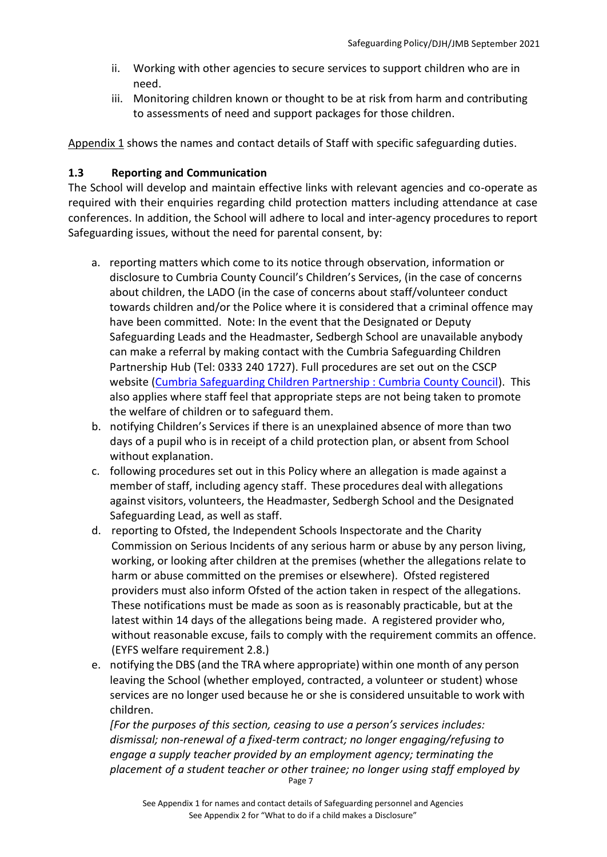- ii. Working with other agencies to secure services to support children who are in need.
- iii. Monitoring children known or thought to be at risk from harm and contributing to assessments of need and support packages for those children.

[Appendix 1](#page-39-0) shows the names and contact details of Staff with specific safeguarding duties.

# <span id="page-6-0"></span>**1.3 Reporting and Communication**

The School will develop and maintain effective links with relevant agencies and co-operate as required with their enquiries regarding child protection matters including attendance at case conferences. In addition, the School will adhere to local and inter-agency procedures to report Safeguarding issues, without the need for parental consent, by:

- a. reporting matters which come to its notice through observation, information or disclosure to Cumbria County Council's Children's Services, (in the case of concerns about children, the LADO (in the case of concerns about staff/volunteer conduct towards children and/or the Police where it is considered that a criminal offence may have been committed. Note: In the event that the Designated or Deputy Safeguarding Leads and the Headmaster, Sedbergh School are unavailable anybody can make a referral by making contact with the Cumbria Safeguarding Children Partnership Hub (Tel: 0333 240 1727). Full procedures are set out on the CSCP website [\(Cumbria Safeguarding Children Partnership : Cumbria County Council\).](https://eur02.safelinks.protection.outlook.com/?url=https%3A%2F%2Fcumbriasafeguardingchildren.co.uk%2F&data=04%7C01%7Cmhm%40sedberghschool.org%7C94d8a3d43573453d3d2308d97c1265f2%7C658fa1e1f3bd447c9a8da43b11e8d1e0%7C0%7C0%7C637677240721957516%7CUnknown%7CTWFpbGZsb3d8eyJWIjoiMC4wLjAwMDAiLCJQIjoiV2luMzIiLCJBTiI6Ik1haWwiLCJXVCI6Mn0%3D%7C1000&sdata=rAVTM2%2FmKfC9rPb%2F%2BsmQgOB3wRtLrprUOnJpl28oAVM%3D&reserved=0) This also applies where staff feel that appropriate steps are not being taken to promote the welfare of children or to safeguard them.
- b. notifying Children's Services if there is an unexplained absence of more than two days of a pupil who is in receipt of a child protection plan, or absent from School without explanation.
- c. following procedures set out in this Policy where an allegation is made against a member of staff, including agency staff. These procedures deal with allegations against visitors, volunteers, the Headmaster, Sedbergh School and the Designated Safeguarding Lead, as well as staff.
- d. reporting to Ofsted, the Independent Schools Inspectorate and the Charity Commission on Serious Incidents of any serious harm or abuse by any person living, working, or looking after children at the premises (whether the allegations relate to harm or abuse committed on the premises or elsewhere). Ofsted registered providers must also inform Ofsted of the action taken in respect of the allegations. These notifications must be made as soon as is reasonably practicable, but at the latest within 14 days of the allegations being made. A registered provider who, without reasonable excuse, fails to comply with the requirement commits an offence. (EYFS welfare requirement 2.8.)
- e. notifying the DBS (and the TRA where appropriate) within one month of any person leaving the School (whether employed, contracted, a volunteer or student) whose services are no longer used because he or she is considered unsuitable to work with children.

Page 7 *[For the purposes of this section, ceasing to use a person's services includes: dismissal; non-renewal of a fixed-term contract; no longer engaging/refusing to engage a supply teacher provided by an employment agency; terminating the placement of a student teacher or other trainee; no longer using staff employed by*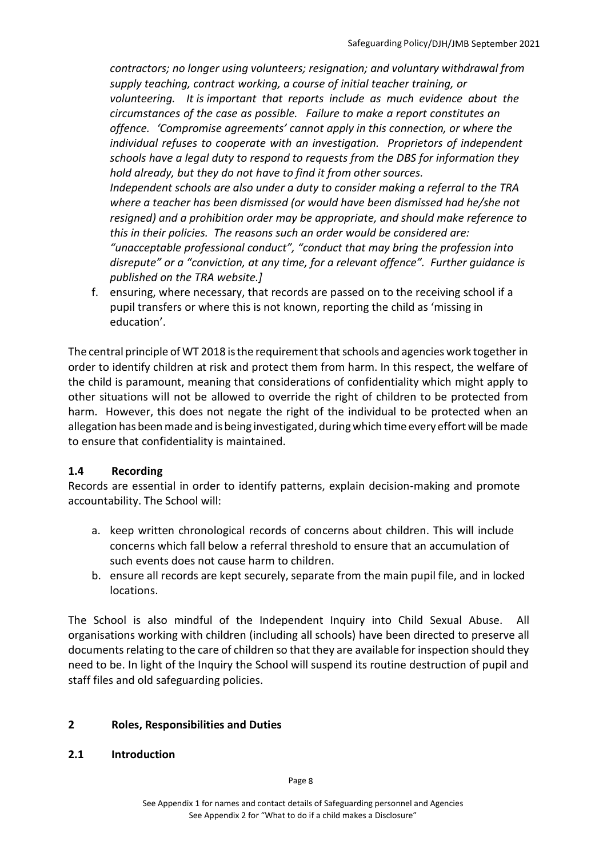*contractors; no longer using volunteers; resignation; and voluntary withdrawal from supply teaching, contract working, a course of initial teacher training, or volunteering. It is important that reports include as much evidence about the circumstances of the case as possible. Failure to make a report constitutes an offence. 'Compromise agreements' cannot apply in this connection, or where the individual refuses to cooperate with an investigation. Proprietors of independent schools have a legal duty to respond to requests from the DBS for information they hold already, but they do not have to find it from other sources. Independent schools are also under a duty to consider making a referral to the TRA where a teacher has been dismissed (or would have been dismissed had he/she not resigned) and a prohibition order may be appropriate, and should make reference to this in their policies. The reasons such an order would be considered are: "unacceptable professional conduct", "conduct that may bring the profession into disrepute" or a "conviction, at any time, for a relevant offence". Further guidance is published on the TRA website.]*

f. ensuring, where necessary, that records are passed on to the receiving school if a pupil transfers or where this is not known, reporting the child as 'missing in education'.

The central principle of WT 2018 is the requirement that schools and agencies work together in order to identify children at risk and protect them from harm. In this respect, the welfare of the child is paramount, meaning that considerations of confidentiality which might apply to other situations will not be allowed to override the right of children to be protected from harm. However, this does not negate the right of the individual to be protected when an allegation has been made and is being investigated, during which time every effort will be made to ensure that confidentiality is maintained.

#### <span id="page-7-0"></span>**1.4 Recording**

Records are essential in order to identify patterns, explain decision-making and promote accountability. The School will:

- a. keep written chronological records of concerns about children. This will include concerns which fall below a referral threshold to ensure that an accumulation of such events does not cause harm to children.
- b. ensure all records are kept securely, separate from the main pupil file, and in locked locations.

The School is also mindful of the Independent Inquiry into Child Sexual Abuse. All organisations working with children (including all schools) have been directed to preserve all documents relating to the care of children so that they are available for inspection should they need to be. In light of the Inquiry the School will suspend its routine destruction of pupil and staff files and old safeguarding policies.

#### <span id="page-7-1"></span>**2 Roles, Responsibilities and Duties**

#### <span id="page-7-2"></span>**2.1 Introduction**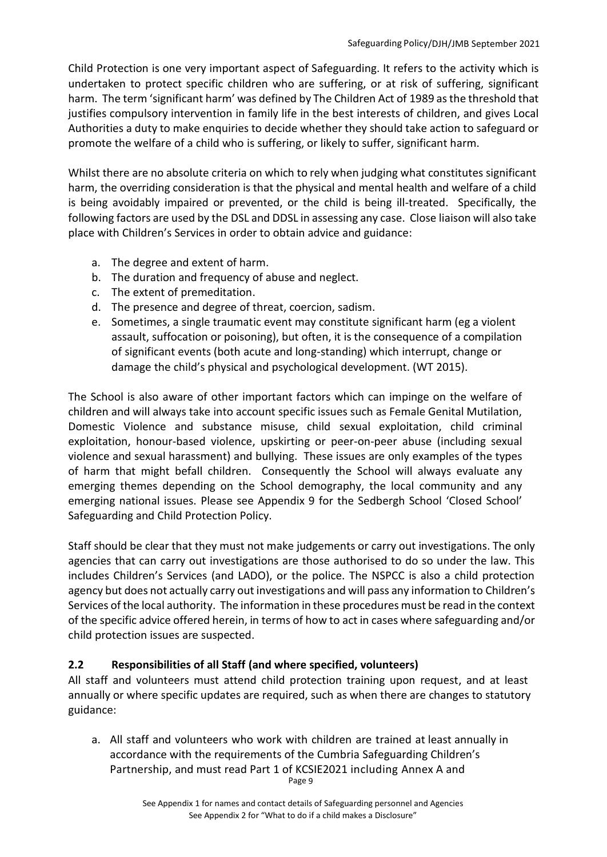Child Protection is one very important aspect of Safeguarding. It refers to the activity which is undertaken to protect specific children who are suffering, or at risk of suffering, significant harm. The term 'significant harm' was defined by The Children Act of 1989 as the threshold that justifies compulsory intervention in family life in the best interests of children, and gives Local Authorities a duty to make enquiries to decide whether they should take action to safeguard or promote the welfare of a child who is suffering, or likely to suffer, significant harm.

Whilst there are no absolute criteria on which to rely when judging what constitutes significant harm, the overriding consideration is that the physical and mental health and welfare of a child is being avoidably impaired or prevented, or the child is being ill-treated. Specifically, the following factors are used by the DSL and DDSL in assessing any case. Close liaison will also take place with Children's Services in order to obtain advice and guidance:

- a. The degree and extent of harm.
- b. The duration and frequency of abuse and neglect.
- c. The extent of premeditation.
- d. The presence and degree of threat, coercion, sadism.
- e. Sometimes, a single traumatic event may constitute significant harm (eg a violent assault, suffocation or poisoning), but often, it is the consequence of a compilation of significant events (both acute and long-standing) which interrupt, change or damage the child's physical and psychological development. (WT 2015).

The School is also aware of other important factors which can impinge on the welfare of children and will always take into account specific issues such as Female Genital Mutilation, Domestic Violence and substance misuse, child sexual exploitation, child criminal exploitation, honour-based violence, upskirting or peer-on-peer abuse (including sexual violence and sexual harassment) and bullying. These issues are only examples of the types of harm that might befall children. Consequently the School will always evaluate any emerging themes depending on the School demography, the local community and any emerging national issues. Please see Appendix 9 for the Sedbergh School 'Closed School' Safeguarding and Child Protection Policy.

Staff should be clear that they must not make judgements or carry out investigations. The only agencies that can carry out investigations are those authorised to do so under the law. This includes Children's Services (and LADO), or the police. The NSPCC is also a child protection agency but does not actually carry out investigations and will pass any information to Children's Services of the local authority. The information in these procedures must be read in the context of the specific advice offered herein, in terms of how to act in cases where safeguarding and/or child protection issues are suspected.

#### <span id="page-8-0"></span>**2.2 Responsibilities of all Staff (and where specified, volunteers)**

All staff and volunteers must attend child protection training upon request, and at least annually or where specific updates are required, such as when there are changes to statutory guidance:

Page 9 a. All staff and volunteers who work with children are trained at least annually in accordance with the requirements of the Cumbria Safeguarding Children's Partnership, and must read Part 1 of KCSIE2021 including Annex A and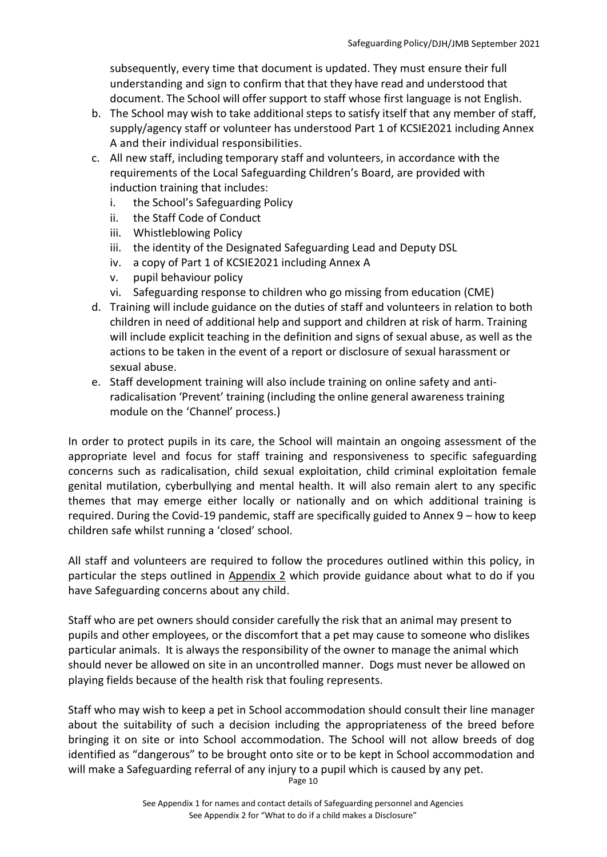subsequently, every time that document is updated. They must ensure their full understanding and sign to confirm that that they have read and understood that document. The School will offer support to staff whose first language is not English.

- b. The School may wish to take additional steps to satisfy itself that any member of staff, supply/agency staff or volunteer has understood Part 1 of KCSIE2021 including Annex A and their individual responsibilities.
- c. All new staff, including temporary staff and volunteers, in accordance with the requirements of the Local Safeguarding Children's Board, are provided with induction training that includes:
	- i. the School's Safeguarding Policy
	- ii. the Staff Code of Conduct
	- iii. Whistleblowing Policy
	- iii. the identity of the Designated Safeguarding Lead and Deputy DSL
	- iv. a copy of Part 1 of KCSIE2021 including Annex A
	- v. pupil behaviour policy
	- vi. Safeguarding response to children who go missing from education (CME)
- d. Training will include guidance on the duties of staff and volunteers in relation to both children in need of additional help and support and children at risk of harm. Training will include explicit teaching in the definition and signs of sexual abuse, as well as the actions to be taken in the event of a report or disclosure of sexual harassment or sexual abuse.
- e. Staff development training will also include training on online safety and antiradicalisation 'Prevent' training (including the online general awareness training module on the 'Channel' process.)

In order to protect pupils in its care, the School will maintain an ongoing assessment of the appropriate level and focus for staff training and responsiveness to specific safeguarding concerns such as radicalisation, child sexual exploitation, child criminal exploitation female genital mutilation, cyberbullying and mental health. It will also remain alert to any specific themes that may emerge either locally or nationally and on which additional training is required. During the Covid-19 pandemic, staff are specifically guided to Annex 9 – how to keep children safe whilst running a 'closed' school.

All staff and volunteers are required to follow the procedures outlined within this policy, in particular the steps outlined in [Appendix 2](#page-42-0) which provide guidance about what to do if you have Safeguarding concerns about any child.

Staff who are pet owners should consider carefully the risk that an animal may present to pupils and other employees, or the discomfort that a pet may cause to someone who dislikes particular animals. It is always the responsibility of the owner to manage the animal which should never be allowed on site in an uncontrolled manner. Dogs must never be allowed on playing fields because of the health risk that fouling represents.

Staff who may wish to keep a pet in School accommodation should consult their line manager about the suitability of such a decision including the appropriateness of the breed before bringing it on site or into School accommodation. The School will not allow breeds of dog identified as "dangerous" to be brought onto site or to be kept in School accommodation and will make a Safeguarding referral of any injury to a pupil which is caused by any pet.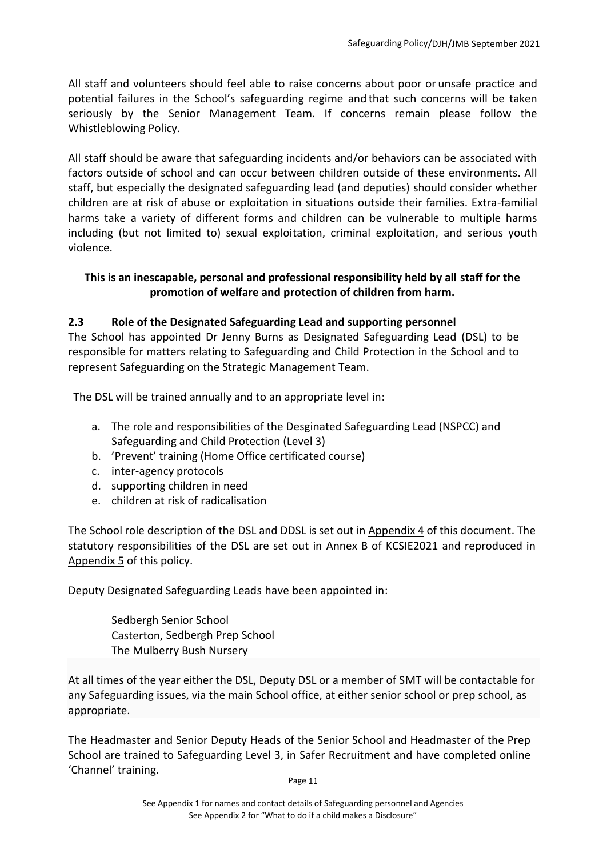All staff and volunteers should feel able to raise concerns about poor or unsafe practice and potential failures in the School's safeguarding regime and that such concerns will be taken seriously by the Senior Management Team. If concerns remain please follow the Whistleblowing Policy.

All staff should be aware that safeguarding incidents and/or behaviors can be associated with factors outside of school and can occur between children outside of these environments. All staff, but especially the designated safeguarding lead (and deputies) should consider whether children are at risk of abuse or exploitation in situations outside their families. Extra-familial harms take a variety of different forms and children can be vulnerable to multiple harms including (but not limited to) sexual exploitation, criminal exploitation, and serious youth violence.

#### **This is an inescapable, personal and professional responsibility held by all staff for the promotion of welfare and protection of children from harm.**

# <span id="page-10-0"></span>**2.3 Role of the Designated Safeguarding Lead and supporting personnel**

The School has appointed Dr Jenny Burns as Designated Safeguarding Lead (DSL) to be responsible for matters relating to Safeguarding and Child Protection in the School and to represent Safeguarding on the Strategic Management Team.

The DSL will be trained annually and to an appropriate level in:

- a. The role and responsibilities of the Desginated Safeguarding Lead (NSPCC) and Safeguarding and Child Protection (Level 3)
- b. 'Prevent' training (Home Office certificated course)
- c. inter-agency protocols
- d. supporting children in need
- e. children at risk of radicalisation

The School role description of the DSL and DDSL is set out i[n Appendix 4](#page-46-0) of this document. The statutory responsibilities of the DSL are set out in Annex B of KCSIE2021 and reproduced in [Appendix 5](#page-52-0) of this policy.

Deputy Designated Safeguarding Leads have been appointed in:

Sedbergh Senior School Casterton, Sedbergh Prep School The Mulberry Bush Nursery

At all times of the year either the DSL, Deputy DSL or a member of SMT will be contactable for any Safeguarding issues, via the main School office, at either senior school or prep school, as appropriate.

The Headmaster and Senior Deputy Heads of the Senior School and Headmaster of the Prep School are trained to Safeguarding Level 3, in Safer Recruitment and have completed online 'Channel' training.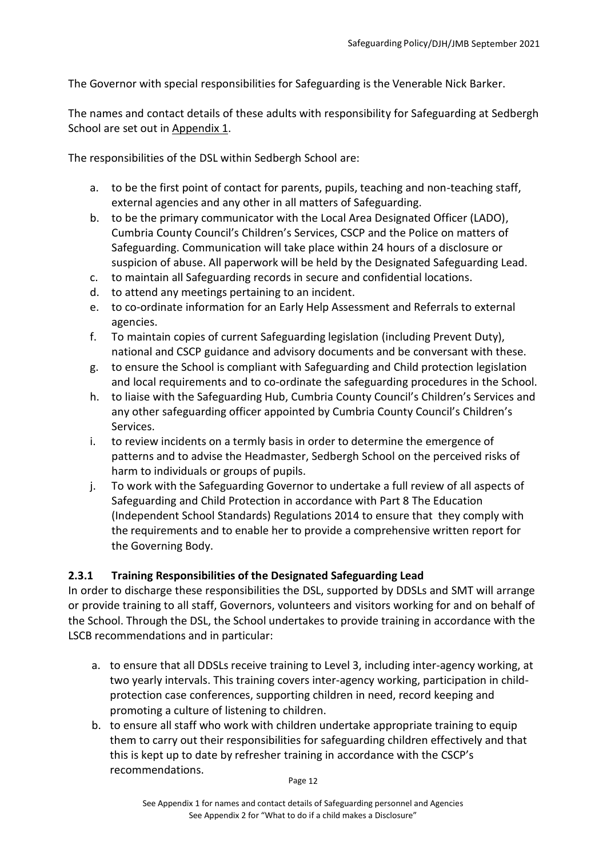The Governor with special responsibilities for Safeguarding is the Venerable Nick Barker.

The names and contact details of these adults with responsibility for Safeguarding at Sedbergh School are set out in [Appendix 1.](#page-39-0)

The responsibilities of the DSL within Sedbergh School are:

- a. to be the first point of contact for parents, pupils, teaching and non-teaching staff, external agencies and any other in all matters of Safeguarding.
- b. to be the primary communicator with the Local Area Designated Officer (LADO), Cumbria County Council's Children's Services, CSCP and the Police on matters of Safeguarding. Communication will take place within 24 hours of a disclosure or suspicion of abuse. All paperwork will be held by the Designated Safeguarding Lead.
- c. to maintain all Safeguarding records in secure and confidential locations.
- d. to attend any meetings pertaining to an incident.
- e. to co-ordinate information for an Early Help Assessment and Referrals to external agencies.
- f. To maintain copies of current Safeguarding legislation (including Prevent Duty), national and CSCP guidance and advisory documents and be conversant with these.
- g. to ensure the School is compliant with Safeguarding and Child protection legislation and local requirements and to co-ordinate the safeguarding procedures in the School.
- h. to liaise with the Safeguarding Hub, Cumbria County Council's Children's Services and any other safeguarding officer appointed by Cumbria County Council's Children's Services.
- i. to review incidents on a termly basis in order to determine the emergence of patterns and to advise the Headmaster, Sedbergh School on the perceived risks of harm to individuals or groups of pupils.
- j. To work with the Safeguarding Governor to undertake a full review of all aspects of Safeguarding and Child Protection in accordance with Part 8 The Education (Independent School Standards) Regulations 2014 to ensure that they comply with the requirements and to enable her to provide a comprehensive written report for the Governing Body.

# **2.3.1 Training Responsibilities of the Designated Safeguarding Lead**

In order to discharge these responsibilities the DSL, supported by DDSLs and SMT will arrange or provide training to all staff, Governors, volunteers and visitors working for and on behalf of the School. Through the DSL, the School undertakes to provide training in accordance with the LSCB recommendations and in particular:

- a. to ensure that all DDSLs receive training to Level 3, including inter-agency working, at two yearly intervals. This training covers inter-agency working, participation in childprotection case conferences, supporting children in need, record keeping and promoting a culture of listening to children.
- b. to ensure all staff who work with children undertake appropriate training to equip them to carry out their responsibilities for safeguarding children effectively and that this is kept up to date by refresher training in accordance with the CSCP's recommendations.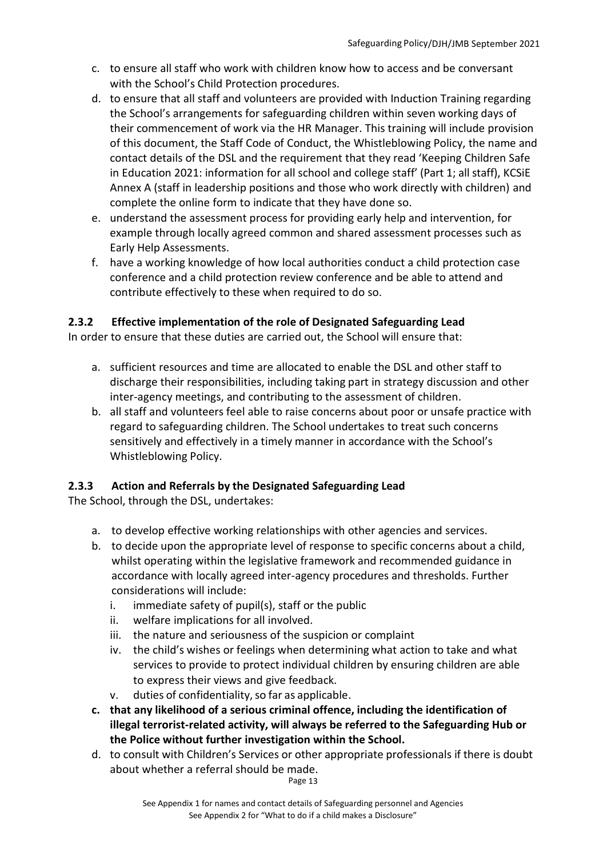- c. to ensure all staff who work with children know how to access and be conversant with the School's Child Protection procedures.
- d. to ensure that all staff and volunteers are provided with Induction Training regarding the School's arrangements for safeguarding children within seven working days of their commencement of work via the HR Manager. This training will include provision of this document, the Staff Code of Conduct, the Whistleblowing Policy, the name and contact details of the DSL and the requirement that they read 'Keeping Children Safe in Education 2021: information for all school and college staff' (Part 1; all staff), KCSiE Annex A (staff in leadership positions and those who work directly with children) and complete the online form to indicate that they have done so.
- e. understand the assessment process for providing early help and intervention, for example through locally agreed common and shared assessment processes such as Early Help Assessments.
- f. have a working knowledge of how local authorities conduct a child protection case conference and a child protection review conference and be able to attend and contribute effectively to these when required to do so.

# **2.3.2 Effective implementation of the role of Designated Safeguarding Lead**

In order to ensure that these duties are carried out, the School will ensure that:

- a. sufficient resources and time are allocated to enable the DSL and other staff to discharge their responsibilities, including taking part in strategy discussion and other inter-agency meetings, and contributing to the assessment of children.
- b. all staff and volunteers feel able to raise concerns about poor or unsafe practice with regard to safeguarding children. The School undertakes to treat such concerns sensitively and effectively in a timely manner in accordance with the School's Whistleblowing Policy.

# **2.3.3 Action and Referrals by the Designated Safeguarding Lead**

The School, through the DSL, undertakes:

- a. to develop effective working relationships with other agencies and services.
- b. to decide upon the appropriate level of response to specific concerns about a child, whilst operating within the legislative framework and recommended guidance in accordance with locally agreed inter-agency procedures and thresholds. Further considerations will include:
	- i. immediate safety of pupil(s), staff or the public
	- ii. welfare implications for all involved.
	- iii. the nature and seriousness of the suspicion or complaint
	- iv. the child's wishes or feelings when determining what action to take and what services to provide to protect individual children by ensuring children are able to express their views and give feedback.
	- v. duties of confidentiality, so far as applicable.
- **c. that any likelihood of a serious criminal offence, including the identification of illegal terrorist-related activity, will always be referred to the Safeguarding Hub or the Police without further investigation within the School.**
- d. to consult with Children's Services or other appropriate professionals if there is doubt about whether a referral should be made.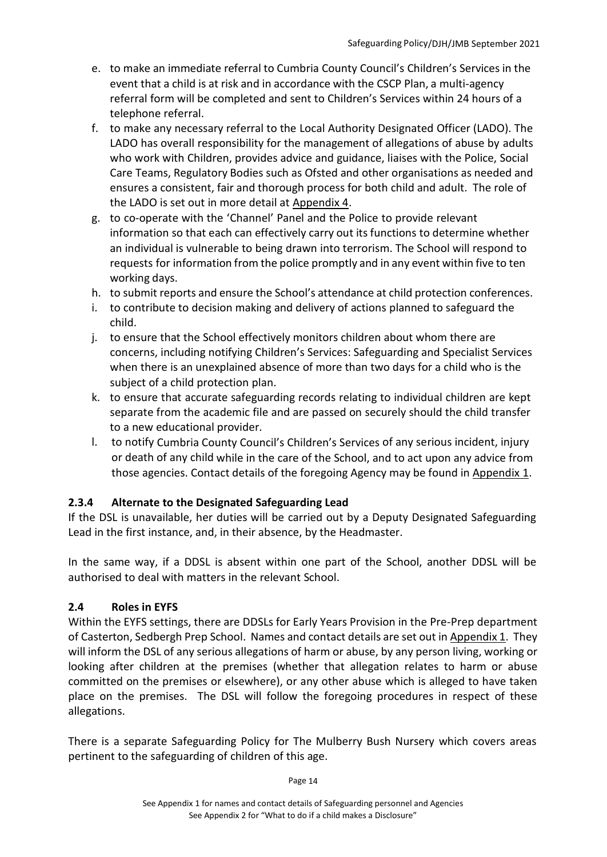- e. to make an immediate referral to Cumbria County Council's Children's Services in the event that a child is at risk and in accordance with the CSCP Plan, a multi-agency referral form will be completed and sent to Children's Services within 24 hours of a telephone referral.
- f. to make any necessary referral to the Local Authority Designated Officer (LADO). The LADO has overall responsibility for the management of allegations of abuse by adults who work with Children, provides advice and guidance, liaises with the Police, Social Care Teams, Regulatory Bodies such as Ofsted and other organisations as needed and ensures a consistent, fair and thorough process for both child and adult. The role of the LADO is set out in more detail at [Appendix 4.](#page-51-0)
- g. to co-operate with the 'Channel' Panel and the Police to provide relevant information so that each can effectively carry out its functions to determine whether an individual is vulnerable to being drawn into terrorism. The School will respond to requests for information from the police promptly and in any event within five to ten working days.
- h. to submit reports and ensure the School's attendance at child protection conferences.
- i. to contribute to decision making and delivery of actions planned to safeguard the child.
- j. to ensure that the School effectively monitors children about whom there are concerns, including notifying Children's Services: Safeguarding and Specialist Services when there is an unexplained absence of more than two days for a child who is the subject of a child protection plan.
- k. to ensure that accurate safeguarding records relating to individual children are kept separate from the academic file and are passed on securely should the child transfer to a new educational provider.
- l. to notify Cumbria County Council's Children's Services of any serious incident, injury or death of any child while in the care of the School, and to act upon any advice from those agencies. Contact details of the foregoing Agency may be found in [Appendix 1.](#page-39-0)

# **2.3.4 Alternate to the Designated Safeguarding Lead**

If the DSL is unavailable, her duties will be carried out by a Deputy Designated Safeguarding Lead in the first instance, and, in their absence, by the Headmaster.

In the same way, if a DDSL is absent within one part of the School, another DDSL will be authorised to deal with matters in the relevant School.

#### <span id="page-13-0"></span>**2.4 Roles in EYFS**

Within the EYFS settings, there are DDSLs for Early Years Provision in the Pre-Prep department of Casterton, Sedbergh Prep School. Names and contact details are set out in [Appendix 1.](#page-39-0) They will inform the DSL of any serious allegations of harm or abuse, by any person living, working or looking after children at the premises (whether that allegation relates to harm or abuse committed on the premises or elsewhere), or any other abuse which is alleged to have taken place on the premises. The DSL will follow the foregoing procedures in respect of these allegations.

There is a separate Safeguarding Policy for The Mulberry Bush Nursery which covers areas pertinent to the safeguarding of children of this age.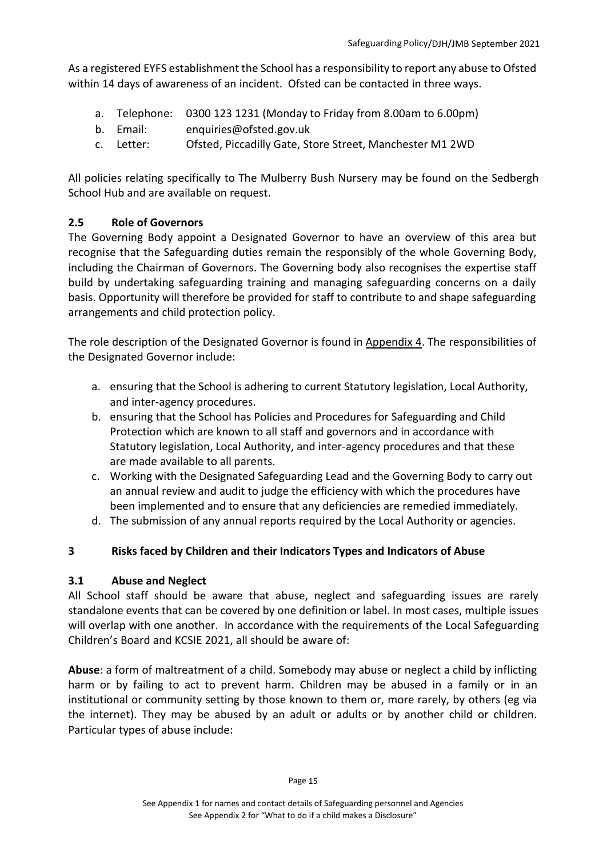As a registered EYFS establishment the School has a responsibility to report any abuse to Ofsted within 14 days of awareness of an incident. Ofsted can be contacted in three ways.

- a. Telephone: 0300 123 1231 (Monday to Friday from 8.00am to 6.00pm)
- b. Email: enquiries@ofsted.gov.uk
- c. Letter: Ofsted, Piccadilly Gate, Store Street, Manchester M1 2WD

All policies relating specifically to The Mulberry Bush Nursery may be found on the Sedbergh School Hub and are available on request.

# <span id="page-14-0"></span>**2.5 Role of Governors**

The Governing Body appoint a Designated Governor to have an overview of this area but recognise that the Safeguarding duties remain the responsibly of the whole Governing Body, including the Chairman of Governors. The Governing body also recognises the expertise staff build by undertaking safeguarding training and managing safeguarding concerns on a daily basis. Opportunity will therefore be provided for staff to contribute to and shape safeguarding arrangements and child protection policy.

The role description of the Designated Governor is found in [Appendix 4.](#page-49-0) The responsibilities of the Designated Governor include:

- a. ensuring that the School is adhering to current Statutory legislation, Local Authority, and inter-agency procedures.
- b. ensuring that the School has Policies and Procedures for Safeguarding and Child Protection which are known to all staff and governors and in accordance with Statutory legislation, Local Authority, and inter-agency procedures and that these are made available to all parents.
- c. Working with the Designated Safeguarding Lead and the Governing Body to carry out an annual review and audit to judge the efficiency with which the procedures have been implemented and to ensure that any deficiencies are remedied immediately.
- d. The submission of any annual reports required by the Local Authority or agencies.

# **3 Risks faced by Children and their Indicators Types and Indicators of Abuse**

# <span id="page-14-1"></span>**3.1 Abuse and Neglect**

All School staff should be aware that abuse, neglect and safeguarding issues are rarely standalone events that can be covered by one definition or label. In most cases, multiple issues will overlap with one another. In accordance with the requirements of the Local Safeguarding Children's Board and KCSIE 2021, all should be aware of:

**Abuse**: a form of maltreatment of a child. Somebody may abuse or neglect a child by inflicting harm or by failing to act to prevent harm. Children may be abused in a family or in an institutional or community setting by those known to them or, more rarely, by others (eg via the internet). They may be abused by an adult or adults or by another child or children. Particular types of abuse include: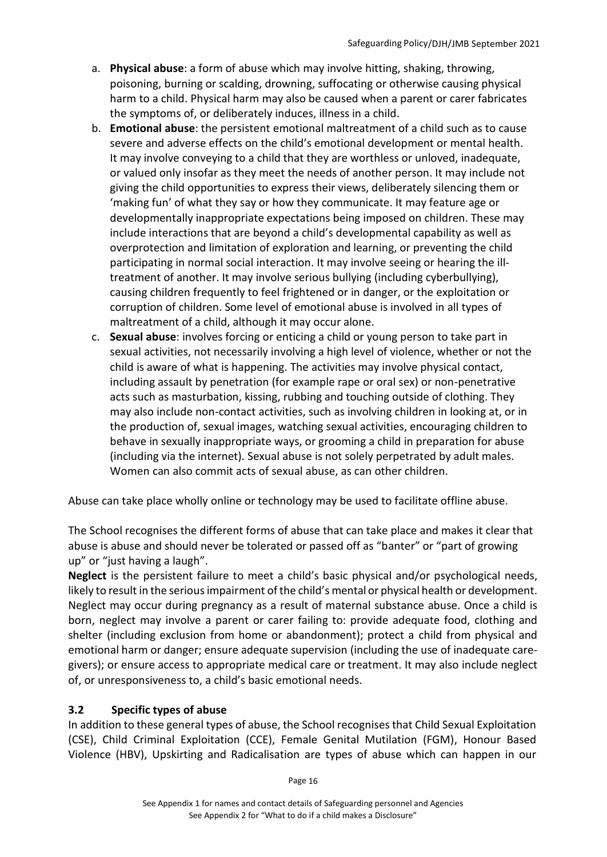- a. **Physical abuse**: a form of abuse which may involve hitting, shaking, throwing, poisoning, burning or scalding, drowning, suffocating or otherwise causing physical harm to a child. Physical harm may also be caused when a parent or carer fabricates the symptoms of, or deliberately induces, illness in a child.
- b. **Emotional abuse**: the persistent emotional maltreatment of a child such as to cause severe and adverse effects on the child's emotional development or mental health. It may involve conveying to a child that they are worthless or unloved, inadequate, or valued only insofar as they meet the needs of another person. It may include not giving the child opportunities to express their views, deliberately silencing them or 'making fun' of what they say or how they communicate. It may feature age or developmentally inappropriate expectations being imposed on children. These may include interactions that are beyond a child's developmental capability as well as overprotection and limitation of exploration and learning, or preventing the child participating in normal social interaction. It may involve seeing or hearing the illtreatment of another. It may involve serious bullying (including cyberbullying), causing children frequently to feel frightened or in danger, or the exploitation or corruption of children. Some level of emotional abuse is involved in all types of maltreatment of a child, although it may occur alone.
- c. **Sexual abuse**: involves forcing or enticing a child or young person to take part in sexual activities, not necessarily involving a high level of violence, whether or not the child is aware of what is happening. The activities may involve physical contact, including assault by penetration (for example rape or oral sex) or non-penetrative acts such as masturbation, kissing, rubbing and touching outside of clothing. They may also include non-contact activities, such as involving children in looking at, or in the production of, sexual images, watching sexual activities, encouraging children to behave in sexually inappropriate ways, or grooming a child in preparation for abuse (including via the internet). Sexual abuse is not solely perpetrated by adult males. Women can also commit acts of sexual abuse, as can other children.

Abuse can take place wholly online or technology may be used to facilitate offline abuse.

The School recognises the different forms of abuse that can take place and makes it clear that abuse is abuse and should never be tolerated or passed off as "banter" or "part of growing up" or "just having a laugh".

**Neglect** is the persistent failure to meet a child's basic physical and/or psychological needs, likely to result in the serious impairment of the child's mental or physical health or development. Neglect may occur during pregnancy as a result of maternal substance abuse. Once a child is born, neglect may involve a parent or carer failing to: provide adequate food, clothing and shelter (including exclusion from home or abandonment); protect a child from physical and emotional harm or danger; ensure adequate supervision (including the use of inadequate caregivers); or ensure access to appropriate medical care or treatment. It may also include neglect of, or unresponsiveness to, a child's basic emotional needs.

# <span id="page-15-0"></span>**3.2 Specific types of abuse**

In addition to these general types of abuse, the School recognises that Child Sexual Exploitation (CSE), Child Criminal Exploitation (CCE), Female Genital Mutilation (FGM), Honour Based Violence (HBV), Upskirting and Radicalisation are types of abuse which can happen in our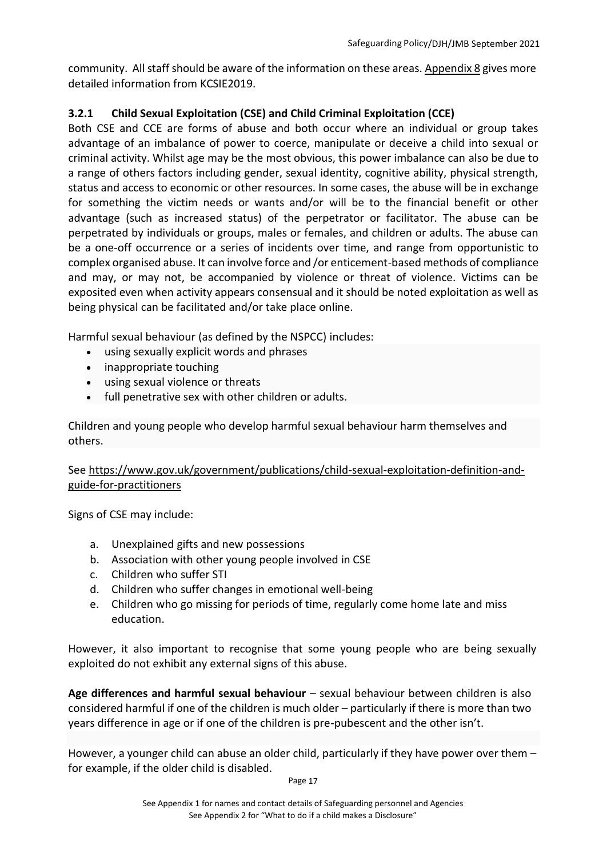community. All staff should be aware of the information on these areas. [Appendix 8 g](#page-57-0)ives more detailed information from KCSIE2019.

# **3.2.1 Child Sexual Exploitation (CSE) and Child Criminal Exploitation (CCE)**

Both CSE and CCE are forms of abuse and both occur where an individual or group takes advantage of an imbalance of power to coerce, manipulate or deceive a child into sexual or criminal activity. Whilst age may be the most obvious, this power imbalance can also be due to a range of others factors including gender, sexual identity, cognitive ability, physical strength, status and access to economic or other resources. In some cases, the abuse will be in exchange for something the victim needs or wants and/or will be to the financial benefit or other advantage (such as increased status) of the perpetrator or facilitator. The abuse can be perpetrated by individuals or groups, males or females, and children or adults. The abuse can be a one-off occurrence or a series of incidents over time, and range from opportunistic to complex organised abuse. It can involve force and /or enticement-based methods of compliance and may, or may not, be accompanied by violence or threat of violence. Victims can be exposited even when activity appears consensual and it should be noted exploitation as well as being physical can be facilitated and/or take place online.

Harmful sexual behaviour (as defined by the NSPCC) includes:

- using sexually explicit words and phrases
- inappropriate touching
- using sexual violence or threats
- full penetrative sex with other children or adults.

Children and young people who develop harmful sexual behaviour harm themselves and others.

# See [https://www.gov.uk/government/publications/child-sexual-exploitation-definition-and](https://www.gov.uk/government/publications/child-sexual-exploitation-definition-and-guide-for-practitioners)[guide-for-practitioners](https://www.gov.uk/government/publications/child-sexual-exploitation-definition-and-guide-for-practitioners)

Signs of CSE may include:

- a. Unexplained gifts and new possessions
- b. Association with other young people involved in CSE
- c. Children who suffer STI
- d. Children who suffer changes in emotional well-being
- e. Children who go missing for periods of time, regularly come home late and miss education.

However, it also important to recognise that some young people who are being sexually exploited do not exhibit any external signs of this abuse.

**Age differences and harmful sexual behaviour** – sexual behaviour between children is also considered harmful if one of the children is much older – particularly if there is more than two years difference in age or if one of the children is pre-pubescent and the other isn't.

However, a younger child can abuse an older child, particularly if they have power over them – for example, if the older child is disabled.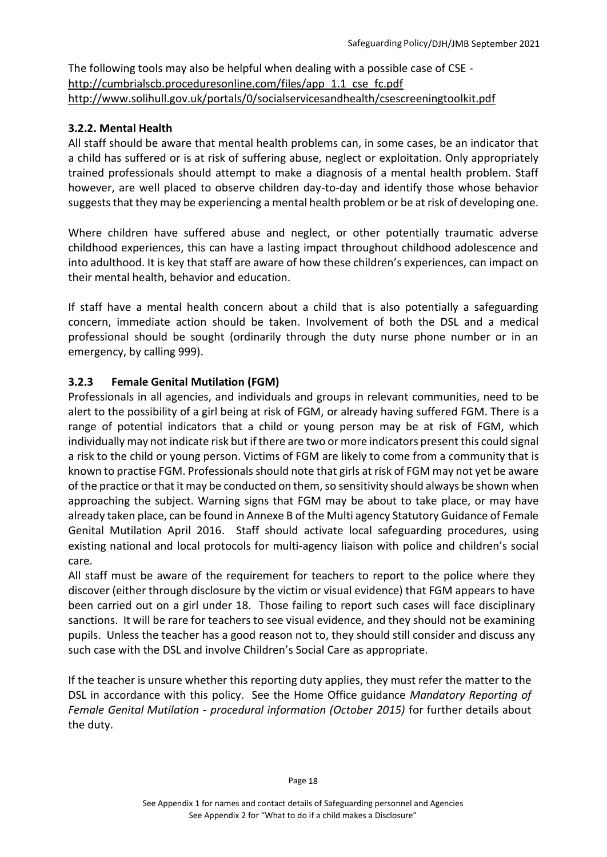The following tools may also be helpful when dealing with a possible case of CSE http://cumbrialscb.proceduresonline.com/files/app\_1.1\_cse\_fc.pdf <http://www.solihull.gov.uk/portals/0/socialservicesandhealth/csescreeningtoolkit.pdf>

# **3.2.2. Mental Health**

All staff should be aware that mental health problems can, in some cases, be an indicator that a child has suffered or is at risk of suffering abuse, neglect or exploitation. Only appropriately trained professionals should attempt to make a diagnosis of a mental health problem. Staff however, are well placed to observe children day-to-day and identify those whose behavior suggests that they may be experiencing a mental health problem or be at risk of developing one.

Where children have suffered abuse and neglect, or other potentially traumatic adverse childhood experiences, this can have a lasting impact throughout childhood adolescence and into adulthood. It is key that staff are aware of how these children's experiences, can impact on their mental health, behavior and education.

If staff have a mental health concern about a child that is also potentially a safeguarding concern, immediate action should be taken. Involvement of both the DSL and a medical professional should be sought (ordinarily through the duty nurse phone number or in an emergency, by calling 999).

# **3.2.3 Female Genital Mutilation (FGM)**

Professionals in all agencies, and individuals and groups in relevant communities, need to be alert to the possibility of a girl being at risk of FGM, or already having suffered FGM. There is a range of potential indicators that a child or young person may be at risk of FGM, which individually may not indicate risk but if there are two or more indicators present this could signal a risk to the child or young person. Victims of FGM are likely to come from a community that is known to practise FGM. Professionals should note that girls at risk of FGM may not yet be aware of the practice or that it may be conducted on them, so sensitivity should always be shown when approaching the subject. Warning signs that FGM may be about to take place, or may have already taken place, can be found in Annexe B of the Multi agency Statutory Guidance of Female Genital Mutilation April 2016. Staff should activate local safeguarding procedures, using existing national and local protocols for multi-agency liaison with police and children's social care.

All staff must be aware of the requirement for teachers to report to the police where they discover (either through disclosure by the victim or visual evidence) that FGM appears to have been carried out on a girl under 18. Those failing to report such cases will face disciplinary sanctions. It will be rare for teachers to see visual evidence, and they should not be examining pupils. Unless the teacher has a good reason not to, they should still consider and discuss any such case with the DSL and involve Children's Social Care as appropriate.

If the teacher is unsure whether this reporting duty applies, they must refer the matter to the DSL in accordance with this policy. See the Home Office guidance *Mandatory Reporting of*  Female Genital Mutilation - procedural information (October 2015) for further details about the duty.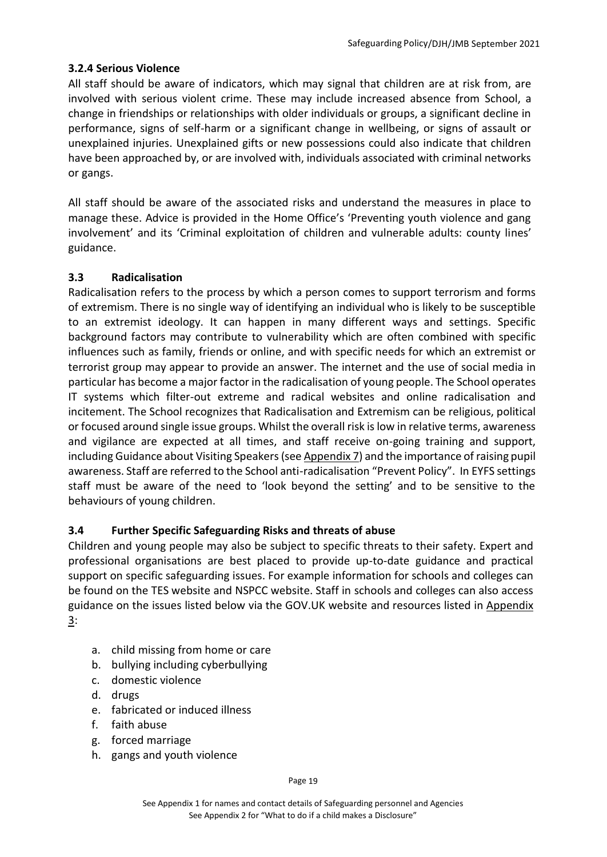# **3.2.4 Serious Violence**

All staff should be aware of indicators, which may signal that children are at risk from, are involved with serious violent crime. These may include increased absence from School, a change in friendships or relationships with older individuals or groups, a significant decline in performance, signs of self-harm or a significant change in wellbeing, or signs of assault or unexplained injuries. Unexplained gifts or new possessions could also indicate that children have been approached by, or are involved with, individuals associated with criminal networks or gangs.

All staff should be aware of the associated risks and understand the measures in place to manage these. Advice is provided in the Home Office's 'Preventing youth violence and gang involvement' and its 'Criminal exploitation of children and vulnerable adults: county lines' guidance.

# <span id="page-18-0"></span>**3.3 Radicalisation**

Radicalisation refers to the process by which a person comes to support terrorism and forms of extremism. There is no single way of identifying an individual who is likely to be susceptible to an extremist ideology. It can happen in many different ways and settings. Specific background factors may contribute to vulnerability which are often combined with specific influences such as family, friends or online, and with specific needs for which an extremist or terrorist group may appear to provide an answer. The internet and the use of social media in particular has become a major factor in the radicalisation of young people. The School operates IT systems which filter-out extreme and radical websites and online radicalisation and incitement. The School recognizes that Radicalisation and Extremism can be religious, political or focused around single issue groups. Whilst the overall risk is low in relative terms, awareness and vigilance are expected at all times, and staff receive on-going training and support, including Guidance about Visiting Speakers (se[e Appendix 7\)](#page-56-0) and the importance of raising pupil awareness. Staff are referred to the School anti-radicalisation "Prevent Policy". In EYFS settings staff must be aware of the need to 'look beyond the setting' and to be sensitive to the behaviours of young children.

#### <span id="page-18-1"></span>**3.4 Further Specific Safeguarding Risks and threats of abuse**

Children and young people may also be subject to specific threats to their safety. Expert and professional organisations are best placed to provide up-to-date guidance and practical support on specific safeguarding issues. For example information for schools and colleges can be found on the TES website and NSPCC website. Staff in schools and colleges can also access guidance on the issues listed below via the GOV.UK website and resources listed in Appendix [3:](#page-44-0)

- a. child missing from home or care
- b. bullying including cyberbullying
- c. domestic violence
- d. drugs
- e. fabricated or induced illness
- f. faith abuse
- g. forced marriage
- h. gangs and youth violence

Page 19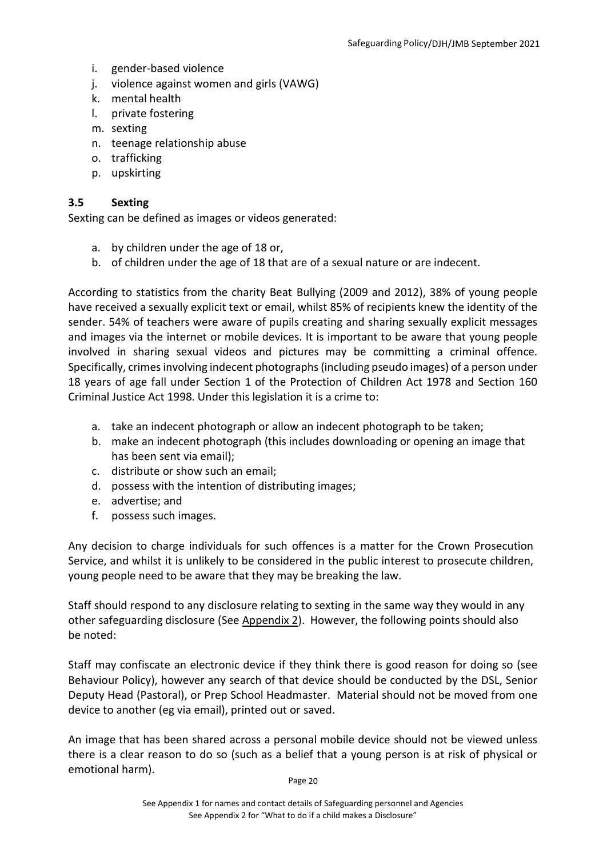- i. gender-based violence
- j. violence against women and girls (VAWG)
- k. mental health
- l. private fostering
- m. sexting
- n. teenage relationship abuse
- o. trafficking
- <span id="page-19-0"></span>p. upskirting

# **3.5 Sexting**

Sexting can be defined as images or videos generated:

- a. by children under the age of 18 or,
- b. of children under the age of 18 that are of a sexual nature or are indecent.

According to statistics from the charity Beat Bullying (2009 and 2012), 38% of young people have received a sexually explicit text or email, whilst 85% of recipients knew the identity of the sender. 54% of teachers were aware of pupils creating and sharing sexually explicit messages and images via the internet or mobile devices. It is important to be aware that young people involved in sharing sexual videos and pictures may be committing a criminal offence. Specifically, crimes involving indecent photographs (including pseudo images) of a person under 18 years of age fall under Section 1 of the Protection of Children Act 1978 and Section 160 Criminal Justice Act 1998. Under this legislation it is a crime to:

- a. take an indecent photograph or allow an indecent photograph to be taken;
- b. make an indecent photograph (this includes downloading or opening an image that has been sent via email);
- c. distribute or show such an email;
- d. possess with the intention of distributing images;
- e. advertise; and
- f. possess such images.

Any decision to charge individuals for such offences is a matter for the Crown Prosecution Service, and whilst it is unlikely to be considered in the public interest to prosecute children, young people need to be aware that they may be breaking the law.

Staff should respond to any disclosure relating to sexting in the same way they would in any other safeguarding disclosure (See [Appendix 2\)](#page-42-0). However, the following points should also be noted:

Staff may confiscate an electronic device if they think there is good reason for doing so (see Behaviour Policy), however any search of that device should be conducted by the DSL, Senior Deputy Head (Pastoral), or Prep School Headmaster. Material should not be moved from one device to another (eg via email), printed out or saved.

An image that has been shared across a personal mobile device should not be viewed unless there is a clear reason to do so (such as a belief that a young person is at risk of physical or emotional harm).

Page 20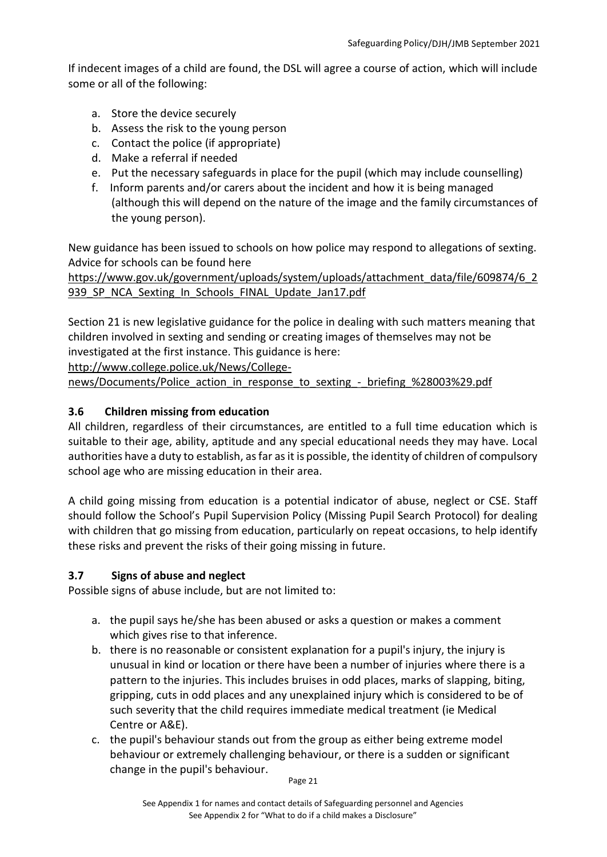If indecent images of a child are found, the DSL will agree a course of action, which will include some or all of the following:

- a. Store the device securely
- b. Assess the risk to the young person
- c. Contact the police (if appropriate)
- d. Make a referral if needed
- e. Put the necessary safeguards in place for the pupil (which may include counselling)
- f. Inform parents and/or carers about the incident and how it is being managed (although this will depend on the nature of the image and the family circumstances of the young person).

New guidance has been issued to schools on how police may respond to allegations of sexting. Advice for schools can be found here

[https://www.gov.uk/government/uploads/system/uploads/attachment\\_data/file/609874/6\\_2](https://www.gov.uk/government/uploads/system/uploads/attachment_data/file/609874/6_2939_SP_NCA_Sexting_In_Schools_FINAL_Update_Jan17.pdf) 939 SP\_NCA\_Sexting\_In\_Schools\_FINAL\_Update\_Jan17.pdf

Section 21 is new legislative guidance for the police in dealing with such matters meaning that children involved in sexting and sending or creating images of themselves may not be investigated at the first instance. This guidance is here:

[http://www.college.police.uk/News/College-](http://www.college.police.uk/News/College-news/Documents/Police_action_in_response_to_sexting_-_briefing_%28003%29.pdf)

news/Documents/Police\_action\_in\_response\_to\_sexting\_-\_briefing\_%28003%29.pdf

#### <span id="page-20-0"></span>**3.6 Children missing from education**

All children, regardless of their circumstances, are entitled to a full time education which is suitable to their age, ability, aptitude and any special educational needs they may have. Local authorities have a duty to establish, as far as it is possible, the identity of children of compulsory school age who are missing education in their area.

A child going missing from education is a potential indicator of abuse, neglect or CSE. Staff should follow the School's Pupil Supervision Policy (Missing Pupil Search Protocol) for dealing with children that go missing from education, particularly on repeat occasions, to help identify these risks and prevent the risks of their going missing in future.

#### <span id="page-20-1"></span>**3.7 Signs of abuse and neglect**

Possible signs of abuse include, but are not limited to:

- a. the pupil says he/she has been abused or asks a question or makes a comment which gives rise to that inference.
- b. there is no reasonable or consistent explanation for a pupil's injury, the injury is unusual in kind or location or there have been a number of injuries where there is a pattern to the injuries. This includes bruises in odd places, marks of slapping, biting, gripping, cuts in odd places and any unexplained injury which is considered to be of such severity that the child requires immediate medical treatment (ie Medical Centre or A&E).
- c. the pupil's behaviour stands out from the group as either being extreme model behaviour or extremely challenging behaviour, or there is a sudden or significant change in the pupil's behaviour.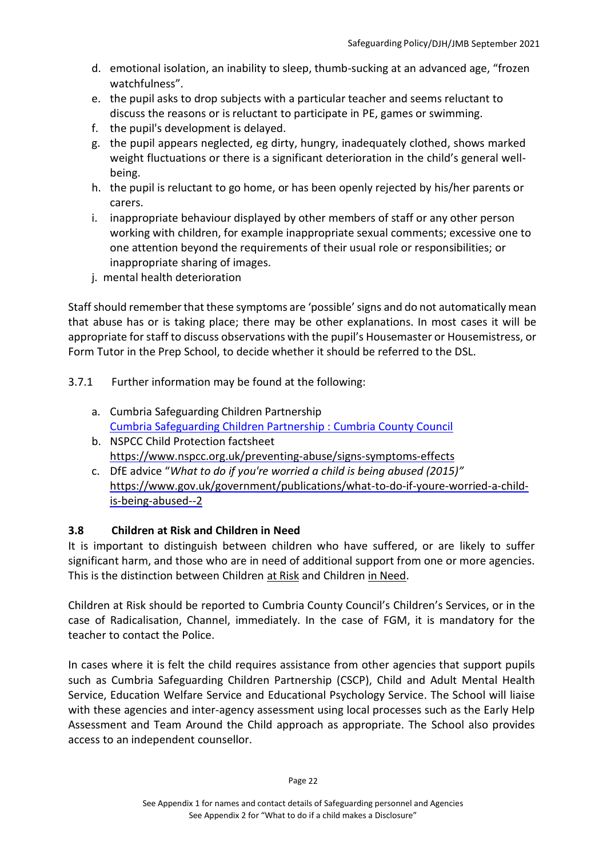- d. emotional isolation, an inability to sleep, thumb-sucking at an advanced age, "frozen watchfulness".
- e. the pupil asks to drop subjects with a particular teacher and seems reluctant to discuss the reasons or is reluctant to participate in PE, games or swimming.
- f. the pupil's development is delayed.
- g. the pupil appears neglected, eg dirty, hungry, inadequately clothed, shows marked weight fluctuations or there is a significant deterioration in the child's general wellbeing.
- h. the pupil is reluctant to go home, or has been openly rejected by his/her parents or carers.
- i. inappropriate behaviour displayed by other members of staff or any other person working with children, for example inappropriate sexual comments; excessive one to one attention beyond the requirements of their usual role or responsibilities; or inappropriate sharing of images.
- j. mental health deterioration

Staff should remember that these symptoms are 'possible' signs and do not automatically mean that abuse has or is taking place; there may be other explanations. In most cases it will be appropriate for staff to discuss observations with the pupil's Housemaster or Housemistress, or Form Tutor in the Prep School, to decide whether it should be referred to the DSL.

- 3.7.1 Further information may be found at the following:
	- a. Cumbria Safeguarding Children Partnership [Cumbria Safeguarding Children Partnership : Cumbria County Council](https://eur02.safelinks.protection.outlook.com/?url=https%3A%2F%2Fcumbriasafeguardingchildren.co.uk%2F&data=04%7C01%7Cmhm%40sedberghschool.org%7C94d8a3d43573453d3d2308d97c1265f2%7C658fa1e1f3bd447c9a8da43b11e8d1e0%7C0%7C0%7C637677240721957516%7CUnknown%7CTWFpbGZsb3d8eyJWIjoiMC4wLjAwMDAiLCJQIjoiV2luMzIiLCJBTiI6Ik1haWwiLCJXVCI6Mn0%3D%7C1000&sdata=rAVTM2%2FmKfC9rPb%2F%2BsmQgOB3wRtLrprUOnJpl28oAVM%3D&reserved=0)
	- b. NSPCC Child Protection factsheet <https://www.nspcc.org.uk/preventing-abuse/signs-symptoms-effects>
	- c. DfE advice "*What to do if you're worried a child is being abused (2015)"*  [https://www.gov.uk/government/publications/what-to-do-if-youre-worried-a-child](https://www.gov.uk/government/publications/what-to-do-if-youre-worried-a-child-is-being-abused--2)[is-being-abused--2](https://www.gov.uk/government/publications/what-to-do-if-youre-worried-a-child-is-being-abused--2)

# <span id="page-21-0"></span>**3.8 Children at Risk and Children in Need**

It is important to distinguish between children who have suffered, or are likely to suffer significant harm, and those who are in need of additional support from one or more agencies. This is the distinction between Children at Risk and Children in Need.

Children at Risk should be reported to Cumbria County Council's Children's Services, or in the case of Radicalisation, Channel, immediately. In the case of FGM, it is mandatory for the teacher to contact the Police.

In cases where it is felt the child requires assistance from other agencies that support pupils such as Cumbria Safeguarding Children Partnership (CSCP), Child and Adult Mental Health Service, Education Welfare Service and Educational Psychology Service. The School will liaise with these agencies and inter-agency assessment using local processes such as the Early Help Assessment and Team Around the Child approach as appropriate. The School also provides access to an independent counsellor.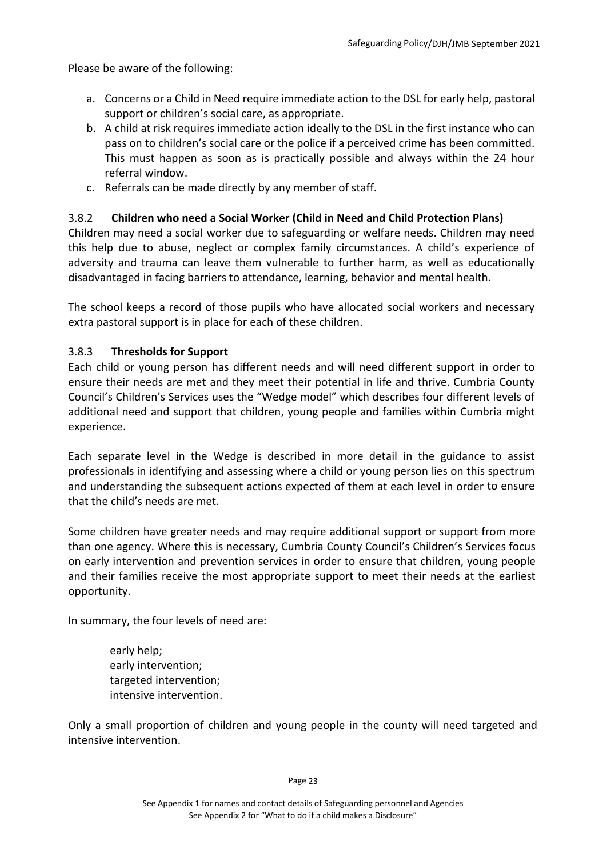Please be aware of the following:

- a. Concerns or a Child in Need require immediate action to the DSL for early help, pastoral support or children's social care, as appropriate.
- b. A child at risk requires immediate action ideally to the DSL in the first instance who can pass on to children's social care or the police if a perceived crime has been committed. This must happen as soon as is practically possible and always within the 24 hour referral window.
- c. Referrals can be made directly by any member of staff.

# 3.8.2 **Children who need a Social Worker (Child in Need and Child Protection Plans)**

Children may need a social worker due to safeguarding or welfare needs. Children may need this help due to abuse, neglect or complex family circumstances. A child's experience of adversity and trauma can leave them vulnerable to further harm, as well as educationally disadvantaged in facing barriers to attendance, learning, behavior and mental health.

The school keeps a record of those pupils who have allocated social workers and necessary extra pastoral support is in place for each of these children.

# 3.8.3 **Thresholds for Support**

Each child or young person has different needs and will need different support in order to ensure their needs are met and they meet their potential in life and thrive. Cumbria County Council's Children's Services uses the "Wedge model" which describes four different levels of additional need and support that children, young people and families within Cumbria might experience.

Each separate level in the Wedge is described in more detail in the guidance to assist professionals in identifying and assessing where a child or young person lies on this spectrum and understanding the subsequent actions expected of them at each level in order to ensure that the child's needs are met.

Some children have greater needs and may require additional support or support from more than one agency. Where this is necessary, Cumbria County Council's Children's Services focus on early intervention and prevention services in order to ensure that children, young people and their families receive the most appropriate support to meet their needs at the earliest opportunity.

In summary, the four levels of need are:

early help; early intervention; targeted intervention; intensive intervention.

Only a small proportion of children and young people in the county will need targeted and intensive intervention.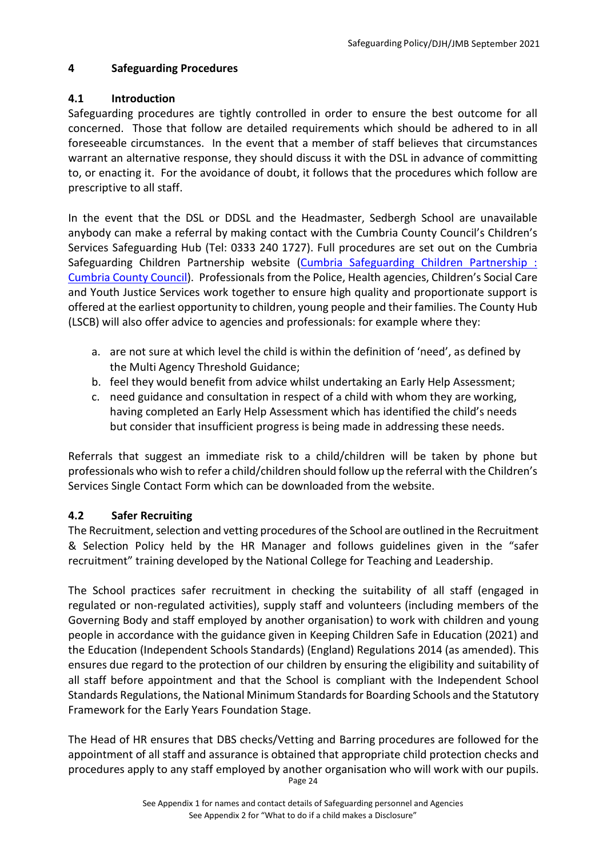# **4 Safeguarding Procedures**

# <span id="page-23-0"></span>**4.1 Introduction**

Safeguarding procedures are tightly controlled in order to ensure the best outcome for all concerned. Those that follow are detailed requirements which should be adhered to in all foreseeable circumstances. In the event that a member of staff believes that circumstances warrant an alternative response, they should discuss it with the DSL in advance of committing to, or enacting it. For the avoidance of doubt, it follows that the procedures which follow are prescriptive to all staff.

In the event that the DSL or DDSL and the Headmaster, Sedbergh School are unavailable anybody can make a referral by making contact with the Cumbria County Council's Children's Services Safeguarding Hub (Tel: 0333 240 1727). Full procedures are set out on the Cumbria Safeguarding Children Partnership website [\(Cumbria Safeguarding Children Partnership :](https://eur02.safelinks.protection.outlook.com/?url=https%3A%2F%2Fcumbriasafeguardingchildren.co.uk%2F&data=04%7C01%7Cmhm%40sedberghschool.org%7C94d8a3d43573453d3d2308d97c1265f2%7C658fa1e1f3bd447c9a8da43b11e8d1e0%7C0%7C0%7C637677240721957516%7CUnknown%7CTWFpbGZsb3d8eyJWIjoiMC4wLjAwMDAiLCJQIjoiV2luMzIiLCJBTiI6Ik1haWwiLCJXVCI6Mn0%3D%7C1000&sdata=rAVTM2%2FmKfC9rPb%2F%2BsmQgOB3wRtLrprUOnJpl28oAVM%3D&reserved=0)  [Cumbria County Council\)](https://eur02.safelinks.protection.outlook.com/?url=https%3A%2F%2Fcumbriasafeguardingchildren.co.uk%2F&data=04%7C01%7Cmhm%40sedberghschool.org%7C94d8a3d43573453d3d2308d97c1265f2%7C658fa1e1f3bd447c9a8da43b11e8d1e0%7C0%7C0%7C637677240721957516%7CUnknown%7CTWFpbGZsb3d8eyJWIjoiMC4wLjAwMDAiLCJQIjoiV2luMzIiLCJBTiI6Ik1haWwiLCJXVCI6Mn0%3D%7C1000&sdata=rAVTM2%2FmKfC9rPb%2F%2BsmQgOB3wRtLrprUOnJpl28oAVM%3D&reserved=0). Professionals from the Police, Health agencies, Children's Social Care and Youth Justice Services work together to ensure high quality and proportionate support is offered at the earliest opportunity to children, young people and their families. The County Hub (LSCB) will also offer advice to agencies and professionals: for example where they:

- a. are not sure at which level the child is within the definition of 'need', as defined by the Multi Agency Threshold Guidance;
- b. feel they would benefit from advice whilst undertaking an Early Help Assessment;
- c. need guidance and consultation in respect of a child with whom they are working, having completed an Early Help Assessment which has identified the child's needs but consider that insufficient progress is being made in addressing these needs.

Referrals that suggest an immediate risk to a child/children will be taken by phone but professionals who wish to refer a child/children should follow up the referral with the Children's Services Single Contact Form which can be downloaded from the website.

# <span id="page-23-1"></span>**4.2 Safer Recruiting**

The Recruitment, selection and vetting procedures of the School are outlined in the Recruitment & Selection Policy held by the HR Manager and follows guidelines given in the "safer recruitment" training developed by the National College for Teaching and Leadership.

The School practices safer recruitment in checking the suitability of all staff (engaged in regulated or non-regulated activities), supply staff and volunteers (including members of the Governing Body and staff employed by another organisation) to work with children and young people in accordance with the guidance given in Keeping Children Safe in Education (2021) and the Education (Independent Schools Standards) (England) Regulations 2014 (as amended). This ensures due regard to the protection of our children by ensuring the eligibility and suitability of all staff before appointment and that the School is compliant with the Independent School Standards Regulations, the National Minimum Standards for Boarding Schools and the Statutory Framework for the Early Years Foundation Stage.

Page 24 The Head of HR ensures that DBS checks/Vetting and Barring procedures are followed for the appointment of all staff and assurance is obtained that appropriate child protection checks and procedures apply to any staff employed by another organisation who will work with our pupils.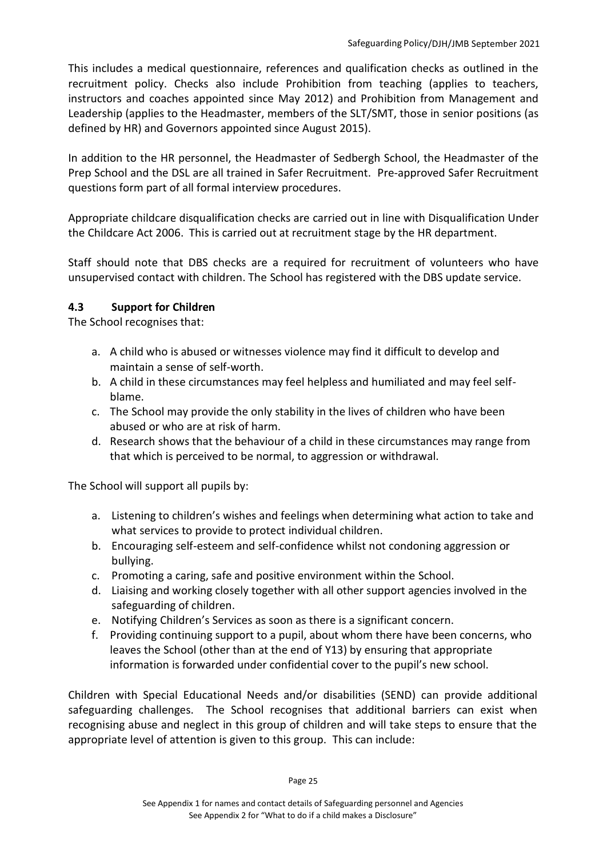This includes a medical questionnaire, references and qualification checks as outlined in the recruitment policy. Checks also include Prohibition from teaching (applies to teachers, instructors and coaches appointed since May 2012) and Prohibition from Management and Leadership (applies to the Headmaster, members of the SLT/SMT, those in senior positions (as defined by HR) and Governors appointed since August 2015).

In addition to the HR personnel, the Headmaster of Sedbergh School, the Headmaster of the Prep School and the DSL are all trained in Safer Recruitment. Pre-approved Safer Recruitment questions form part of all formal interview procedures.

Appropriate childcare disqualification checks are carried out in line with Disqualification Under the Childcare Act 2006. This is carried out at recruitment stage by the HR department.

Staff should note that DBS checks are a required for recruitment of volunteers who have unsupervised contact with children. The School has registered with the DBS update service.

# <span id="page-24-0"></span>**4.3 Support for Children**

The School recognises that:

- a. A child who is abused or witnesses violence may find it difficult to develop and maintain a sense of self-worth.
- b. A child in these circumstances may feel helpless and humiliated and may feel selfblame.
- c. The School may provide the only stability in the lives of children who have been abused or who are at risk of harm.
- d. Research shows that the behaviour of a child in these circumstances may range from that which is perceived to be normal, to aggression or withdrawal.

The School will support all pupils by:

- a. Listening to children's wishes and feelings when determining what action to take and what services to provide to protect individual children.
- b. Encouraging self-esteem and self-confidence whilst not condoning aggression or bullying.
- c. Promoting a caring, safe and positive environment within the School.
- d. Liaising and working closely together with all other support agencies involved in the safeguarding of children.
- e. Notifying Children's Services as soon as there is a significant concern.
- f. Providing continuing support to a pupil, about whom there have been concerns, who leaves the School (other than at the end of Y13) by ensuring that appropriate information is forwarded under confidential cover to the pupil's new school.

Children with Special Educational Needs and/or disabilities (SEND) can provide additional safeguarding challenges. The School recognises that additional barriers can exist when recognising abuse and neglect in this group of children and will take steps to ensure that the appropriate level of attention is given to this group. This can include: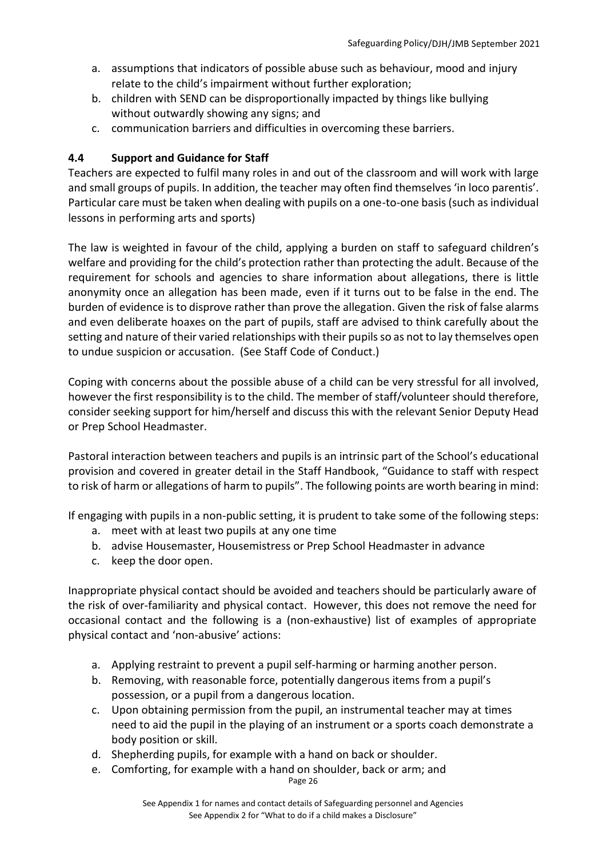- a. assumptions that indicators of possible abuse such as behaviour, mood and injury relate to the child's impairment without further exploration;
- b. children with SEND can be disproportionally impacted by things like bullying without outwardly showing any signs; and
- <span id="page-25-0"></span>c. communication barriers and difficulties in overcoming these barriers.

# **4.4 Support and Guidance for Staff**

Teachers are expected to fulfil many roles in and out of the classroom and will work with large and small groups of pupils. In addition, the teacher may often find themselves 'in loco parentis'. Particular care must be taken when dealing with pupils on a one-to-one basis (such as individual lessons in performing arts and sports)

The law is weighted in favour of the child, applying a burden on staff to safeguard children's welfare and providing for the child's protection rather than protecting the adult. Because of the requirement for schools and agencies to share information about allegations, there is little anonymity once an allegation has been made, even if it turns out to be false in the end. The burden of evidence is to disprove rather than prove the allegation. Given the risk of false alarms and even deliberate hoaxes on the part of pupils, staff are advised to think carefully about the setting and nature of their varied relationships with their pupils so as not to lay themselves open to undue suspicion or accusation. (See Staff Code of Conduct.)

Coping with concerns about the possible abuse of a child can be very stressful for all involved, however the first responsibility is to the child. The member of staff/volunteer should therefore, consider seeking support for him/herself and discuss this with the relevant Senior Deputy Head or Prep School Headmaster.

Pastoral interaction between teachers and pupils is an intrinsic part of the School's educational provision and covered in greater detail in the Staff Handbook, "Guidance to staff with respect to risk of harm or allegations of harm to pupils". The following points are worth bearing in mind:

If engaging with pupils in a non-public setting, it is prudent to take some of the following steps:

- a. meet with at least two pupils at any one time
- b. advise Housemaster, Housemistress or Prep School Headmaster in advance
- c. keep the door open.

Inappropriate physical contact should be avoided and teachers should be particularly aware of the risk of over-familiarity and physical contact. However, this does not remove the need for occasional contact and the following is a (non-exhaustive) list of examples of appropriate physical contact and 'non-abusive' actions:

- a. Applying restraint to prevent a pupil self-harming or harming another person.
- b. Removing, with reasonable force, potentially dangerous items from a pupil's possession, or a pupil from a dangerous location.
- c. Upon obtaining permission from the pupil, an instrumental teacher may at times need to aid the pupil in the playing of an instrument or a sports coach demonstrate a body position or skill.
- d. Shepherding pupils, for example with a hand on back or shoulder.
- e. Comforting, for example with a hand on shoulder, back or arm; and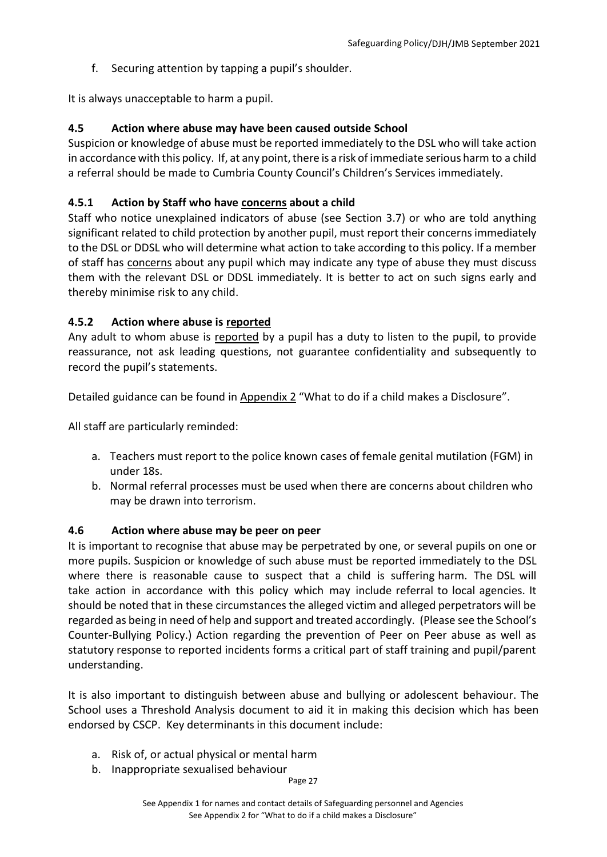f. Securing attention by tapping a pupil's shoulder.

It is always unacceptable to harm a pupil.

# <span id="page-26-0"></span>**4.5 Action where abuse may have been caused outside School**

Suspicion or knowledge of abuse must be reported immediately to the DSL who will take action in accordance with this policy. If, at any point, there is a risk of immediate serious harm to a child a referral should be made to Cumbria County Council's Children's Services immediately.

# **4.5.1 Action by Staff who have concerns about a child**

Staff who notice unexplained indicators of abuse (see Section 3.7) or who are told anything significant related to child protection by another pupil, must report their concerns immediately to the DSL or DDSL who will determine what action to take according to this policy. If a member of staff has concerns about any pupil which may indicate any type of abuse they must discuss them with the relevant DSL or DDSL immediately. It is better to act on such signs early and thereby minimise risk to any child.

# **4.5.2 Action where abuse is reported**

Any adult to whom abuse is reported by a pupil has a duty to listen to the pupil, to provide reassurance, not ask leading questions, not guarantee confidentiality and subsequently to record the pupil's statements.

Detailed guidance can be found in [Appendix 2](#page-42-0) "What to do if a child makes a Disclosure".

All staff are particularly reminded:

- a. Teachers must report to the police known cases of female genital mutilation (FGM) in under 18s.
- b. Normal referral processes must be used when there are concerns about children who may be drawn into terrorism.

#### <span id="page-26-1"></span>**4.6 Action where abuse may be peer on peer**

It is important to recognise that abuse may be perpetrated by one, or several pupils on one or more pupils. Suspicion or knowledge of such abuse must be reported immediately to the DSL where there is reasonable cause to suspect that a child is suffering harm. The DSL will take action in accordance with this policy which may include referral to local agencies. It should be noted that in these circumstances the alleged victim and alleged perpetrators will be regarded as being in need of help and support and treated accordingly. (Please see the School's Counter-Bullying Policy.) Action regarding the prevention of Peer on Peer abuse as well as statutory response to reported incidents forms a critical part of staff training and pupil/parent understanding.

It is also important to distinguish between abuse and bullying or adolescent behaviour. The School uses a Threshold Analysis document to aid it in making this decision which has been endorsed by CSCP. Key determinants in this document include:

- a. Risk of, or actual physical or mental harm
- b. Inappropriate sexualised behaviour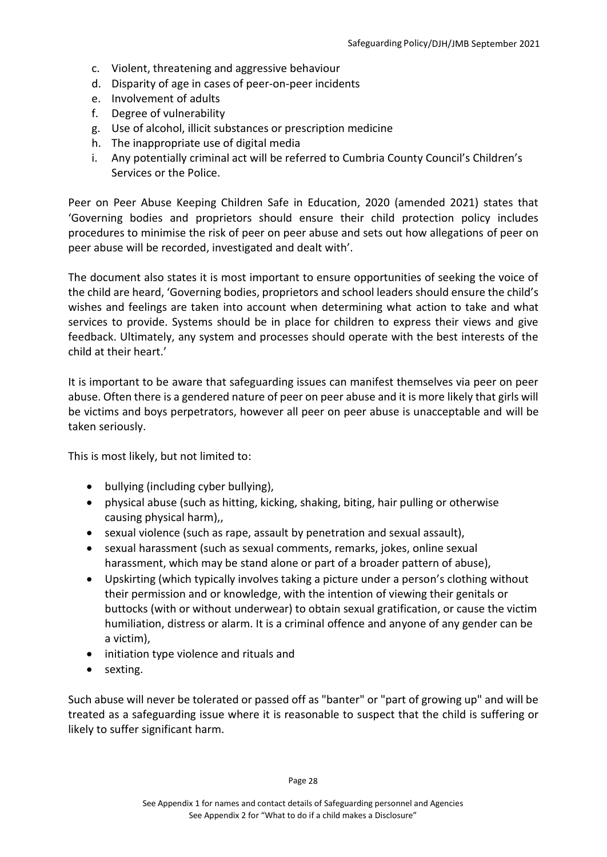- c. Violent, threatening and aggressive behaviour
- d. Disparity of age in cases of peer-on-peer incidents
- e. Involvement of adults
- f. Degree of vulnerability
- g. Use of alcohol, illicit substances or prescription medicine
- h. The inappropriate use of digital media
- i. Any potentially criminal act will be referred to Cumbria County Council's Children's Services or the Police.

Peer on Peer Abuse Keeping Children Safe in Education, 2020 (amended 2021) states that 'Governing bodies and proprietors should ensure their child protection policy includes procedures to minimise the risk of peer on peer abuse and sets out how allegations of peer on peer abuse will be recorded, investigated and dealt with'.

The document also states it is most important to ensure opportunities of seeking the voice of the child are heard, 'Governing bodies, proprietors and school leaders should ensure the child's wishes and feelings are taken into account when determining what action to take and what services to provide. Systems should be in place for children to express their views and give feedback. Ultimately, any system and processes should operate with the best interests of the child at their heart.'

It is important to be aware that safeguarding issues can manifest themselves via peer on peer abuse. Often there is a gendered nature of peer on peer abuse and it is more likely that girls will be victims and boys perpetrators, however all peer on peer abuse is unacceptable and will be taken seriously.

This is most likely, but not limited to:

- bullying (including cyber bullying),
- physical abuse (such as hitting, kicking, shaking, biting, hair pulling or otherwise causing physical harm),,
- sexual violence (such as rape, assault by penetration and sexual assault),
- sexual harassment (such as sexual comments, remarks, jokes, online sexual harassment, which may be stand alone or part of a broader pattern of abuse),
- Upskirting (which typically involves taking a picture under a person's clothing without their permission and or knowledge, with the intention of viewing their genitals or buttocks (with or without underwear) to obtain sexual gratification, or cause the victim humiliation, distress or alarm. It is a criminal offence and anyone of any gender can be a victim),
- initiation type violence and rituals and
- sexting.

Such abuse will never be tolerated or passed off as "banter" or "part of growing up" and will be treated as a safeguarding issue where it is reasonable to suspect that the child is suffering or likely to suffer significant harm.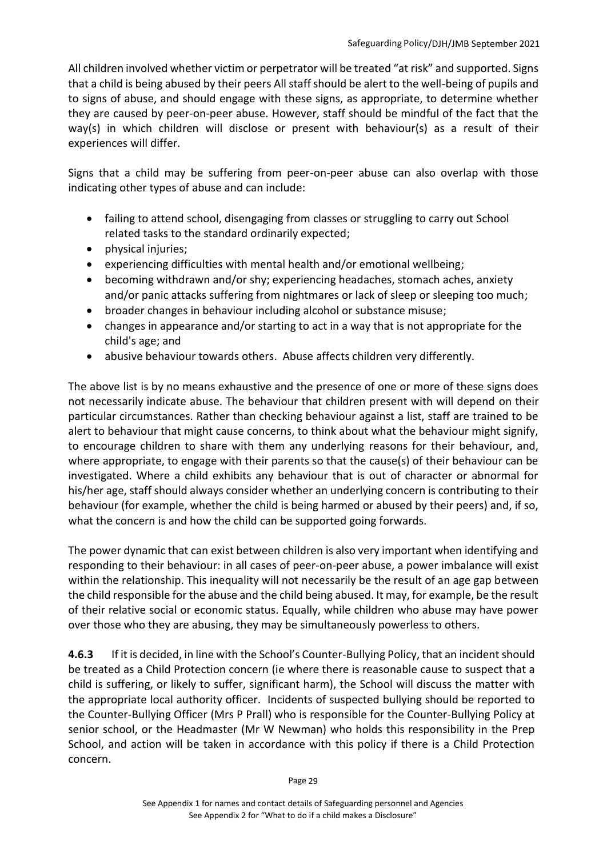All children involved whether victim or perpetrator will be treated "at risk" and supported. Signs that a child is being abused by their peers All staff should be alert to the well-being of pupils and to signs of abuse, and should engage with these signs, as appropriate, to determine whether they are caused by peer-on-peer abuse. However, staff should be mindful of the fact that the way(s) in which children will disclose or present with behaviour(s) as a result of their experiences will differ.

Signs that a child may be suffering from peer-on-peer abuse can also overlap with those indicating other types of abuse and can include:

- failing to attend school, disengaging from classes or struggling to carry out School related tasks to the standard ordinarily expected;
- physical injuries;
- experiencing difficulties with mental health and/or emotional wellbeing;
- becoming withdrawn and/or shy; experiencing headaches, stomach aches, anxiety and/or panic attacks suffering from nightmares or lack of sleep or sleeping too much;
- broader changes in behaviour including alcohol or substance misuse;
- changes in appearance and/or starting to act in a way that is not appropriate for the child's age; and
- abusive behaviour towards others. Abuse affects children very differently.

The above list is by no means exhaustive and the presence of one or more of these signs does not necessarily indicate abuse. The behaviour that children present with will depend on their particular circumstances. Rather than checking behaviour against a list, staff are trained to be alert to behaviour that might cause concerns, to think about what the behaviour might signify, to encourage children to share with them any underlying reasons for their behaviour, and, where appropriate, to engage with their parents so that the cause(s) of their behaviour can be investigated. Where a child exhibits any behaviour that is out of character or abnormal for his/her age, staff should always consider whether an underlying concern is contributing to their behaviour (for example, whether the child is being harmed or abused by their peers) and, if so, what the concern is and how the child can be supported going forwards.

The power dynamic that can exist between children is also very important when identifying and responding to their behaviour: in all cases of peer-on-peer abuse, a power imbalance will exist within the relationship. This inequality will not necessarily be the result of an age gap between the child responsible for the abuse and the child being abused. It may, for example, be the result of their relative social or economic status. Equally, while children who abuse may have power over those who they are abusing, they may be simultaneously powerless to others.

**4.6.3** If it is decided, in line with the School's Counter-Bullying Policy, that an incident should be treated as a Child Protection concern (ie where there is reasonable cause to suspect that a child is suffering, or likely to suffer, significant harm), the School will discuss the matter with the appropriate local authority officer. Incidents of suspected bullying should be reported to the Counter-Bullying Officer (Mrs P Prall) who is responsible for the Counter-Bullying Policy at senior school, or the Headmaster (Mr W Newman) who holds this responsibility in the Prep School, and action will be taken in accordance with this policy if there is a Child Protection concern.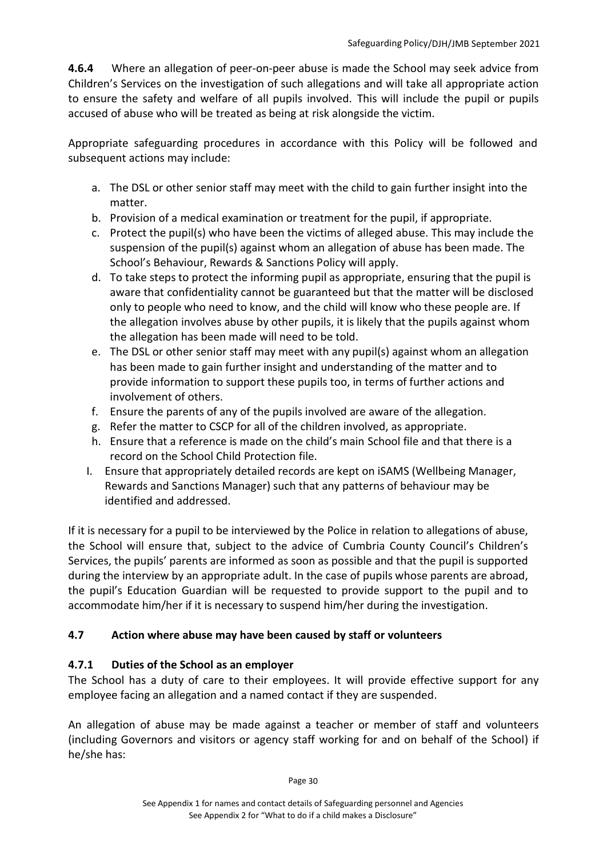**4.6.4** Where an allegation of peer-on-peer abuse is made the School may seek advice from Children's Services on the investigation of such allegations and will take all appropriate action to ensure the safety and welfare of all pupils involved. This will include the pupil or pupils accused of abuse who will be treated as being at risk alongside the victim.

Appropriate safeguarding procedures in accordance with this Policy will be followed and subsequent actions may include:

- a. The DSL or other senior staff may meet with the child to gain further insight into the matter.
- b. Provision of a medical examination or treatment for the pupil, if appropriate.
- c. Protect the pupil(s) who have been the victims of alleged abuse. This may include the suspension of the pupil(s) against whom an allegation of abuse has been made. The School's Behaviour, Rewards & Sanctions Policy will apply.
- d. To take steps to protect the informing pupil as appropriate, ensuring that the pupil is aware that confidentiality cannot be guaranteed but that the matter will be disclosed only to people who need to know, and the child will know who these people are. If the allegation involves abuse by other pupils, it is likely that the pupils against whom the allegation has been made will need to be told.
- e. The DSL or other senior staff may meet with any pupil(s) against whom an allegation has been made to gain further insight and understanding of the matter and to provide information to support these pupils too, in terms of further actions and involvement of others.
- f. Ensure the parents of any of the pupils involved are aware of the allegation.
- g. Refer the matter to CSCP for all of the children involved, as appropriate.
- h. Ensure that a reference is made on the child's main School file and that there is a record on the School Child Protection file.
- I. Ensure that appropriately detailed records are kept on iSAMS (Wellbeing Manager, Rewards and Sanctions Manager) such that any patterns of behaviour may be identified and addressed.

If it is necessary for a pupil to be interviewed by the Police in relation to allegations of abuse, the School will ensure that, subject to the advice of Cumbria County Council's Children's Services, the pupils' parents are informed as soon as possible and that the pupil is supported during the interview by an appropriate adult. In the case of pupils whose parents are abroad, the pupil's Education Guardian will be requested to provide support to the pupil and to accommodate him/her if it is necessary to suspend him/her during the investigation.

# <span id="page-29-0"></span>**4.7 Action where abuse may have been caused by staff or volunteers**

# **4.7.1 Duties of the School as an employer**

The School has a duty of care to their employees. It will provide effective support for any employee facing an allegation and a named contact if they are suspended.

An allegation of abuse may be made against a teacher or member of staff and volunteers (including Governors and visitors or agency staff working for and on behalf of the School) if he/she has: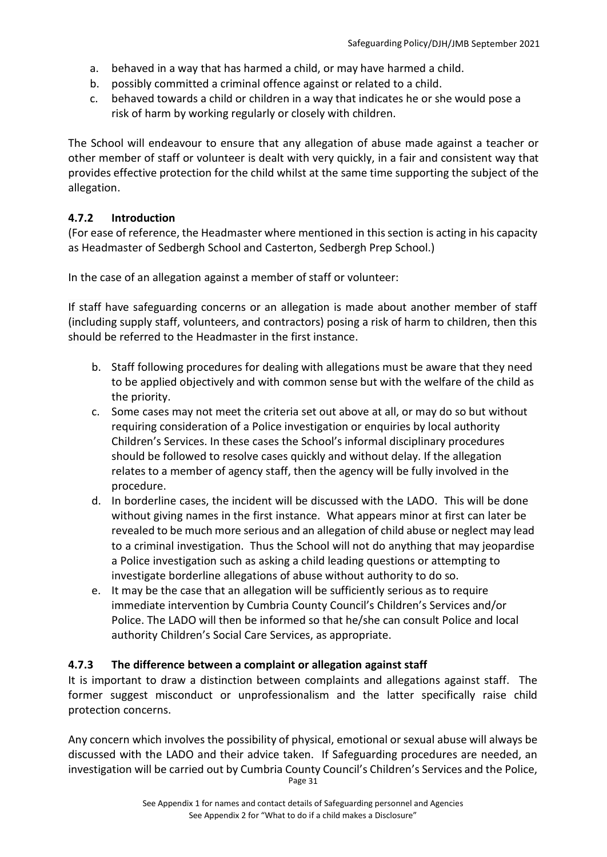- a. behaved in a way that has harmed a child, or may have harmed a child.
- b. possibly committed a criminal offence against or related to a child.
- c. behaved towards a child or children in a way that indicates he or she would pose a risk of harm by working regularly or closely with children.

The School will endeavour to ensure that any allegation of abuse made against a teacher or other member of staff or volunteer is dealt with very quickly, in a fair and consistent way that provides effective protection for the child whilst at the same time supporting the subject of the allegation.

# **4.7.2 Introduction**

(For ease of reference, the Headmaster where mentioned in this section is acting in his capacity as Headmaster of Sedbergh School and Casterton, Sedbergh Prep School.)

In the case of an allegation against a member of staff or volunteer:

If staff have safeguarding concerns or an allegation is made about another member of staff (including supply staff, volunteers, and contractors) posing a risk of harm to children, then this should be referred to the Headmaster in the first instance.

- b. Staff following procedures for dealing with allegations must be aware that they need to be applied objectively and with common sense but with the welfare of the child as the priority.
- c. Some cases may not meet the criteria set out above at all, or may do so but without requiring consideration of a Police investigation or enquiries by local authority Children's Services. In these cases the School's informal disciplinary procedures should be followed to resolve cases quickly and without delay. If the allegation relates to a member of agency staff, then the agency will be fully involved in the procedure.
- d. In borderline cases, the incident will be discussed with the LADO. This will be done without giving names in the first instance. What appears minor at first can later be revealed to be much more serious and an allegation of child abuse or neglect may lead to a criminal investigation. Thus the School will not do anything that may jeopardise a Police investigation such as asking a child leading questions or attempting to investigate borderline allegations of abuse without authority to do so.
- e. It may be the case that an allegation will be sufficiently serious as to require immediate intervention by Cumbria County Council's Children's Services and/or Police. The LADO will then be informed so that he/she can consult Police and local authority Children's Social Care Services, as appropriate.

#### **4.7.3 The difference between a complaint or allegation against staff**

It is important to draw a distinction between complaints and allegations against staff. The former suggest misconduct or unprofessionalism and the latter specifically raise child protection concerns.

Page 31 Any concern which involves the possibility of physical, emotional or sexual abuse will always be discussed with the LADO and their advice taken. If Safeguarding procedures are needed, an investigation will be carried out by Cumbria County Council's Children's Services and the Police,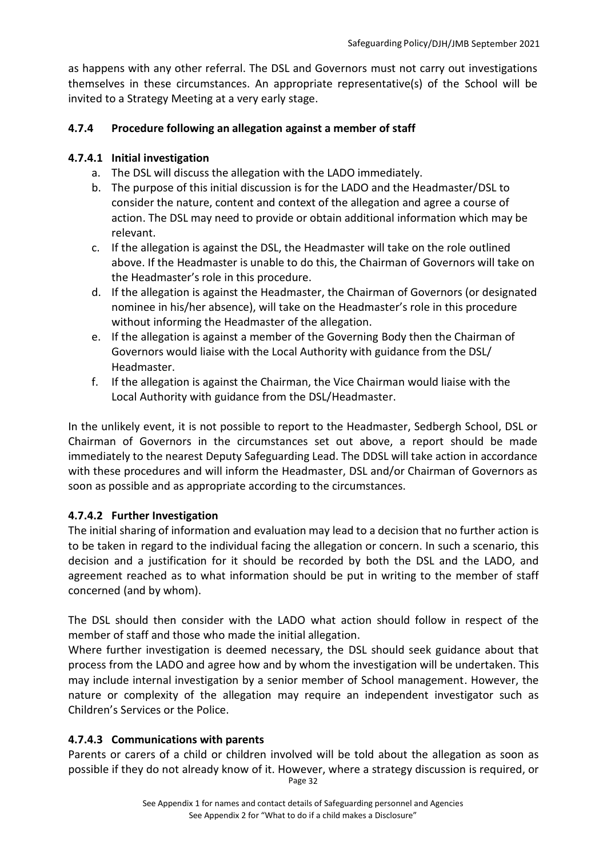as happens with any other referral. The DSL and Governors must not carry out investigations themselves in these circumstances. An appropriate representative(s) of the School will be invited to a Strategy Meeting at a very early stage.

# **4.7.4 Procedure following an allegation against a member of staff**

# **4.7.4.1 Initial investigation**

- a. The DSL will discuss the allegation with the LADO immediately.
- b. The purpose of this initial discussion is for the LADO and the Headmaster/DSL to consider the nature, content and context of the allegation and agree a course of action. The DSL may need to provide or obtain additional information which may be relevant.
- c. If the allegation is against the DSL, the Headmaster will take on the role outlined above. If the Headmaster is unable to do this, the Chairman of Governors will take on the Headmaster's role in this procedure.
- d. If the allegation is against the Headmaster, the Chairman of Governors (or designated nominee in his/her absence), will take on the Headmaster's role in this procedure without informing the Headmaster of the allegation.
- e. If the allegation is against a member of the Governing Body then the Chairman of Governors would liaise with the Local Authority with guidance from the DSL/ Headmaster.
- f. If the allegation is against the Chairman, the Vice Chairman would liaise with the Local Authority with guidance from the DSL/Headmaster.

In the unlikely event, it is not possible to report to the Headmaster, Sedbergh School, DSL or Chairman of Governors in the circumstances set out above, a report should be made immediately to the nearest Deputy Safeguarding Lead. The DDSL will take action in accordance with these procedures and will inform the Headmaster, DSL and/or Chairman of Governors as soon as possible and as appropriate according to the circumstances.

#### **4.7.4.2 Further Investigation**

The initial sharing of information and evaluation may lead to a decision that no further action is to be taken in regard to the individual facing the allegation or concern. In such a scenario, this decision and a justification for it should be recorded by both the DSL and the LADO, and agreement reached as to what information should be put in writing to the member of staff concerned (and by whom).

The DSL should then consider with the LADO what action should follow in respect of the member of staff and those who made the initial allegation.

Where further investigation is deemed necessary, the DSL should seek guidance about that process from the LADO and agree how and by whom the investigation will be undertaken. This may include internal investigation by a senior member of School management. However, the nature or complexity of the allegation may require an independent investigator such as Children's Services or the Police.

#### **4.7.4.3 Communications with parents**

Page 32 Parents or carers of a child or children involved will be told about the allegation as soon as possible if they do not already know of it. However, where a strategy discussion is required, or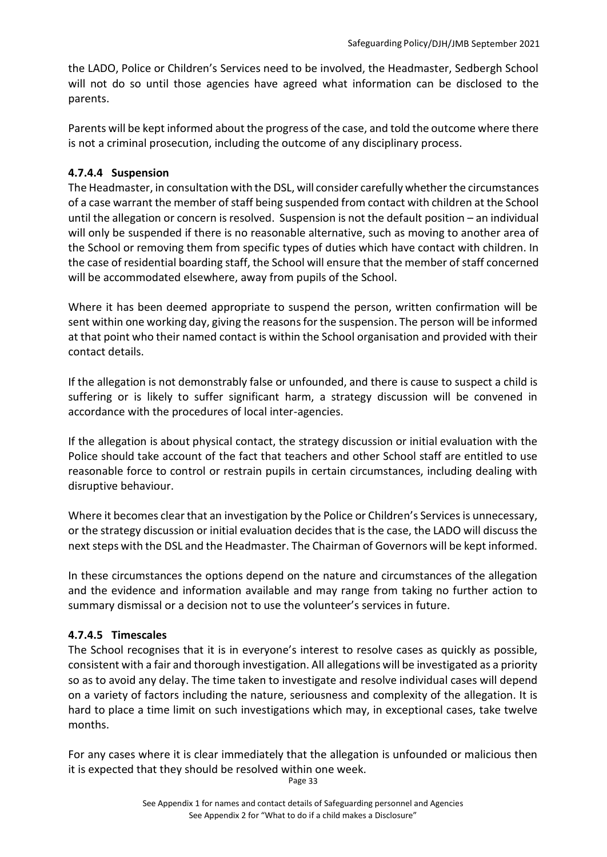the LADO, Police or Children's Services need to be involved, the Headmaster, Sedbergh School will not do so until those agencies have agreed what information can be disclosed to the parents.

Parents will be kept informed about the progress of the case, and told the outcome where there is not a criminal prosecution, including the outcome of any disciplinary process.

#### **4.7.4.4 Suspension**

The Headmaster, in consultation with the DSL, will consider carefully whether the circumstances of a case warrant the member of staff being suspended from contact with children at the School until the allegation or concern is resolved. Suspension is not the default position – an individual will only be suspended if there is no reasonable alternative, such as moving to another area of the School or removing them from specific types of duties which have contact with children. In the case of residential boarding staff, the School will ensure that the member of staff concerned will be accommodated elsewhere, away from pupils of the School.

Where it has been deemed appropriate to suspend the person, written confirmation will be sent within one working day, giving the reasons for the suspension. The person will be informed at that point who their named contact is within the School organisation and provided with their contact details.

If the allegation is not demonstrably false or unfounded, and there is cause to suspect a child is suffering or is likely to suffer significant harm, a strategy discussion will be convened in accordance with the procedures of local inter-agencies.

If the allegation is about physical contact, the strategy discussion or initial evaluation with the Police should take account of the fact that teachers and other School staff are entitled to use reasonable force to control or restrain pupils in certain circumstances, including dealing with disruptive behaviour.

Where it becomes clear that an investigation by the Police or Children's Services is unnecessary, or the strategy discussion or initial evaluation decides that is the case, the LADO will discuss the next steps with the DSL and the Headmaster. The Chairman of Governors will be kept informed.

In these circumstances the options depend on the nature and circumstances of the allegation and the evidence and information available and may range from taking no further action to summary dismissal or a decision not to use the volunteer's services in future.

#### **4.7.4.5 Timescales**

The School recognises that it is in everyone's interest to resolve cases as quickly as possible, consistent with a fair and thorough investigation. All allegations will be investigated as a priority so as to avoid any delay. The time taken to investigate and resolve individual cases will depend on a variety of factors including the nature, seriousness and complexity of the allegation. It is hard to place a time limit on such investigations which may, in exceptional cases, take twelve months.

For any cases where it is clear immediately that the allegation is unfounded or malicious then it is expected that they should be resolved within one week.

Page 33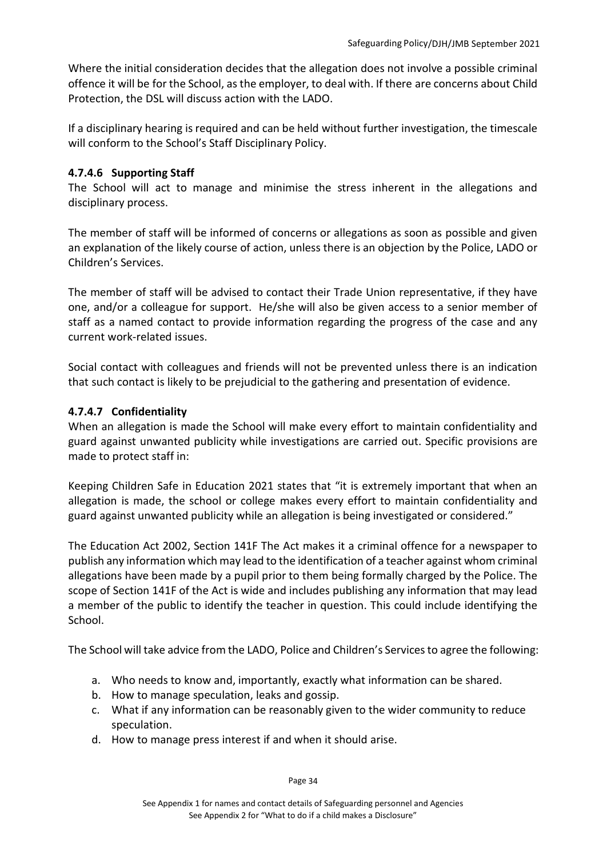Where the initial consideration decides that the allegation does not involve a possible criminal offence it will be for the School, as the employer, to deal with. If there are concerns about Child Protection, the DSL will discuss action with the LADO.

If a disciplinary hearing is required and can be held without further investigation, the timescale will conform to the School's Staff Disciplinary Policy.

# **4.7.4.6 Supporting Staff**

The School will act to manage and minimise the stress inherent in the allegations and disciplinary process.

The member of staff will be informed of concerns or allegations as soon as possible and given an explanation of the likely course of action, unless there is an objection by the Police, LADO or Children's Services.

The member of staff will be advised to contact their Trade Union representative, if they have one, and/or a colleague for support. He/she will also be given access to a senior member of staff as a named contact to provide information regarding the progress of the case and any current work-related issues.

Social contact with colleagues and friends will not be prevented unless there is an indication that such contact is likely to be prejudicial to the gathering and presentation of evidence.

# **4.7.4.7 Confidentiality**

When an allegation is made the School will make every effort to maintain confidentiality and guard against unwanted publicity while investigations are carried out. Specific provisions are made to protect staff in:

Keeping Children Safe in Education 2021 states that "it is extremely important that when an allegation is made, the school or college makes every effort to maintain confidentiality and guard against unwanted publicity while an allegation is being investigated or considered."

The Education Act 2002, Section 141F The Act makes it a criminal offence for a newspaper to publish any information which may lead to the identification of a teacher against whom criminal allegations have been made by a pupil prior to them being formally charged by the Police. The scope of Section 141F of the Act is wide and includes publishing any information that may lead a member of the public to identify the teacher in question. This could include identifying the School.

The School will take advice from the LADO, Police and Children's Services to agree the following:

- a. Who needs to know and, importantly, exactly what information can be shared.
- b. How to manage speculation, leaks and gossip.
- c. What if any information can be reasonably given to the wider community to reduce speculation.
- d. How to manage press interest if and when it should arise.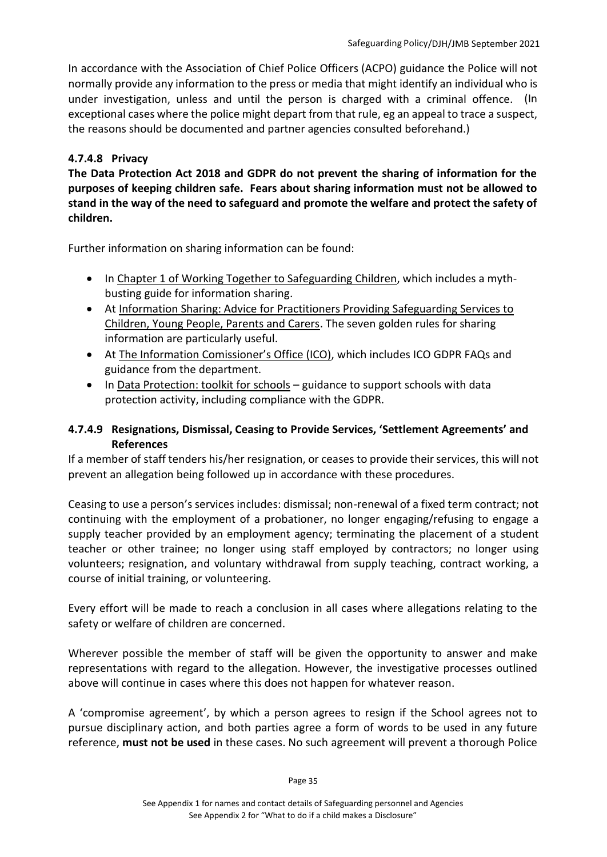In accordance with the Association of Chief Police Officers (ACPO) guidance the Police will not normally provide any information to the press or media that might identify an individual who is under investigation, unless and until the person is charged with a criminal offence. (In exceptional cases where the police might depart from that rule, eg an appeal to trace a suspect, the reasons should be documented and partner agencies consulted beforehand.)

# **4.7.4.8 Privacy**

**The Data Protection Act 2018 and GDPR do not prevent the sharing of information for the purposes of keeping children safe. Fears about sharing information must not be allowed to stand in the way of the need to safeguard and promote the welfare and protect the safety of children.** 

Further information on sharing information can be found:

- In Chapter 1 of Working Together to Safeguarding Children, which includes a mythbusting guide for information sharing.
- At Information Sharing: Advice for Practitioners Providing Safeguarding Services to Children, Young People, Parents and Carers. The seven golden rules for sharing information are particularly useful.
- At The Information Comissioner's Office (ICO), which includes ICO GDPR FAQs and guidance from the department.
- In Data Protection: toolkit for schools guidance to support schools with data protection activity, including compliance with the GDPR.

# **4.7.4.9 Resignations, Dismissal, Ceasing to Provide Services, 'Settlement Agreements' and References**

If a member of staff tenders his/her resignation, or ceases to provide their services, this will not prevent an allegation being followed up in accordance with these procedures.

Ceasing to use a person's services includes: dismissal; non-renewal of a fixed term contract; not continuing with the employment of a probationer, no longer engaging/refusing to engage a supply teacher provided by an employment agency; terminating the placement of a student teacher or other trainee; no longer using staff employed by contractors; no longer using volunteers; resignation, and voluntary withdrawal from supply teaching, contract working, a course of initial training, or volunteering.

Every effort will be made to reach a conclusion in all cases where allegations relating to the safety or welfare of children are concerned.

Wherever possible the member of staff will be given the opportunity to answer and make representations with regard to the allegation. However, the investigative processes outlined above will continue in cases where this does not happen for whatever reason.

A 'compromise agreement', by which a person agrees to resign if the School agrees not to pursue disciplinary action, and both parties agree a form of words to be used in any future reference, **must not be used** in these cases. No such agreement will prevent a thorough Police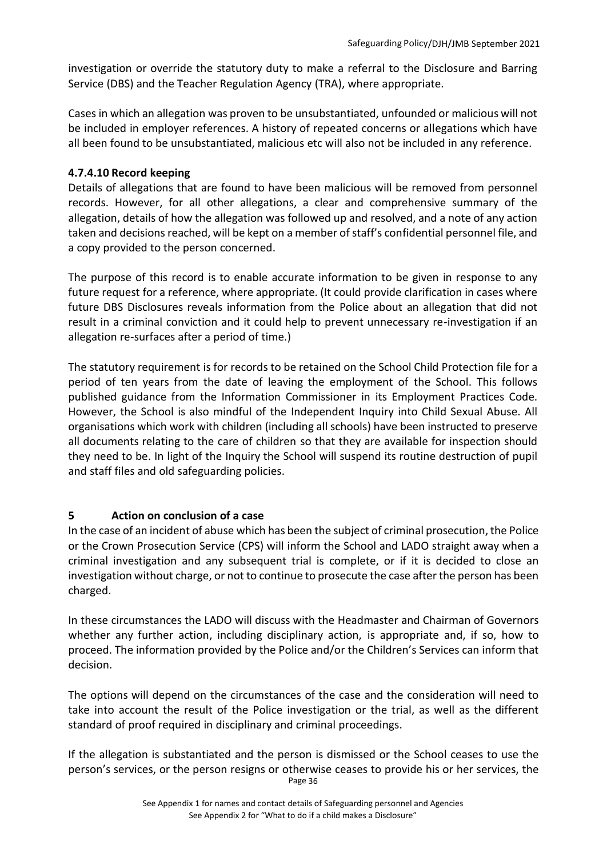investigation or override the statutory duty to make a referral to the Disclosure and Barring Service (DBS) and the Teacher Regulation Agency (TRA), where appropriate.

Cases in which an allegation was proven to be unsubstantiated, unfounded or malicious will not be included in employer references. A history of repeated concerns or allegations which have all been found to be unsubstantiated, malicious etc will also not be included in any reference.

# **4.7.4.10 Record keeping**

Details of allegations that are found to have been malicious will be removed from personnel records. However, for all other allegations, a clear and comprehensive summary of the allegation, details of how the allegation was followed up and resolved, and a note of any action taken and decisions reached, will be kept on a member of staff's confidential personnel file, and a copy provided to the person concerned.

The purpose of this record is to enable accurate information to be given in response to any future request for a reference, where appropriate. (It could provide clarification in cases where future DBS Disclosures reveals information from the Police about an allegation that did not result in a criminal conviction and it could help to prevent unnecessary re-investigation if an allegation re-surfaces after a period of time.)

The statutory requirement is for records to be retained on the School Child Protection file for a period of ten years from the date of leaving the employment of the School. This follows published guidance from the Information Commissioner in its Employment Practices Code. However, the School is also mindful of the Independent Inquiry into Child Sexual Abuse. All organisations which work with children (including all schools) have been instructed to preserve all documents relating to the care of children so that they are available for inspection should they need to be. In light of the Inquiry the School will suspend its routine destruction of pupil and staff files and old safeguarding policies.

# <span id="page-35-0"></span>**5 Action on conclusion of a case**

In the case of an incident of abuse which has been the subject of criminal prosecution, the Police or the Crown Prosecution Service (CPS) will inform the School and LADO straight away when a criminal investigation and any subsequent trial is complete, or if it is decided to close an investigation without charge, or not to continue to prosecute the case after the person has been charged.

In these circumstances the LADO will discuss with the Headmaster and Chairman of Governors whether any further action, including disciplinary action, is appropriate and, if so, how to proceed. The information provided by the Police and/or the Children's Services can inform that decision.

The options will depend on the circumstances of the case and the consideration will need to take into account the result of the Police investigation or the trial, as well as the different standard of proof required in disciplinary and criminal proceedings.

Page 36 If the allegation is substantiated and the person is dismissed or the School ceases to use the person's services, or the person resigns or otherwise ceases to provide his or her services, the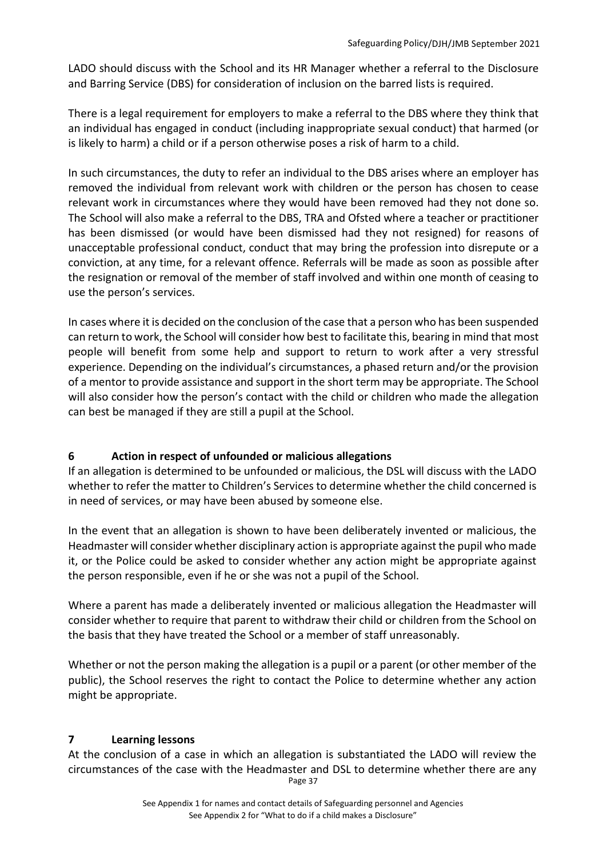LADO should discuss with the School and its HR Manager whether a referral to the Disclosure and Barring Service (DBS) for consideration of inclusion on the barred lists is required.

There is a legal requirement for employers to make a referral to the DBS where they think that an individual has engaged in conduct (including inappropriate sexual conduct) that harmed (or is likely to harm) a child or if a person otherwise poses a risk of harm to a child.

In such circumstances, the duty to refer an individual to the DBS arises where an employer has removed the individual from relevant work with children or the person has chosen to cease relevant work in circumstances where they would have been removed had they not done so. The School will also make a referral to the DBS, TRA and Ofsted where a teacher or practitioner has been dismissed (or would have been dismissed had they not resigned) for reasons of unacceptable professional conduct, conduct that may bring the profession into disrepute or a conviction, at any time, for a relevant offence. Referrals will be made as soon as possible after the resignation or removal of the member of staff involved and within one month of ceasing to use the person's services.

In cases where it is decided on the conclusion of the case that a person who has been suspended can return to work, the School will consider how best to facilitate this, bearing in mind that most people will benefit from some help and support to return to work after a very stressful experience. Depending on the individual's circumstances, a phased return and/or the provision of a mentor to provide assistance and support in the short term may be appropriate. The School will also consider how the person's contact with the child or children who made the allegation can best be managed if they are still a pupil at the School.

# <span id="page-36-0"></span>**6 Action in respect of unfounded or malicious allegations**

If an allegation is determined to be unfounded or malicious, the DSL will discuss with the LADO whether to refer the matter to Children's Services to determine whether the child concerned is in need of services, or may have been abused by someone else.

In the event that an allegation is shown to have been deliberately invented or malicious, the Headmaster will consider whether disciplinary action is appropriate against the pupil who made it, or the Police could be asked to consider whether any action might be appropriate against the person responsible, even if he or she was not a pupil of the School.

Where a parent has made a deliberately invented or malicious allegation the Headmaster will consider whether to require that parent to withdraw their child or children from the School on the basis that they have treated the School or a member of staff unreasonably.

Whether or not the person making the allegation is a pupil or a parent (or other member of the public), the School reserves the right to contact the Police to determine whether any action might be appropriate.

# <span id="page-36-1"></span>**7 Learning lessons**

Page 37 At the conclusion of a case in which an allegation is substantiated the LADO will review the circumstances of the case with the Headmaster and DSL to determine whether there are any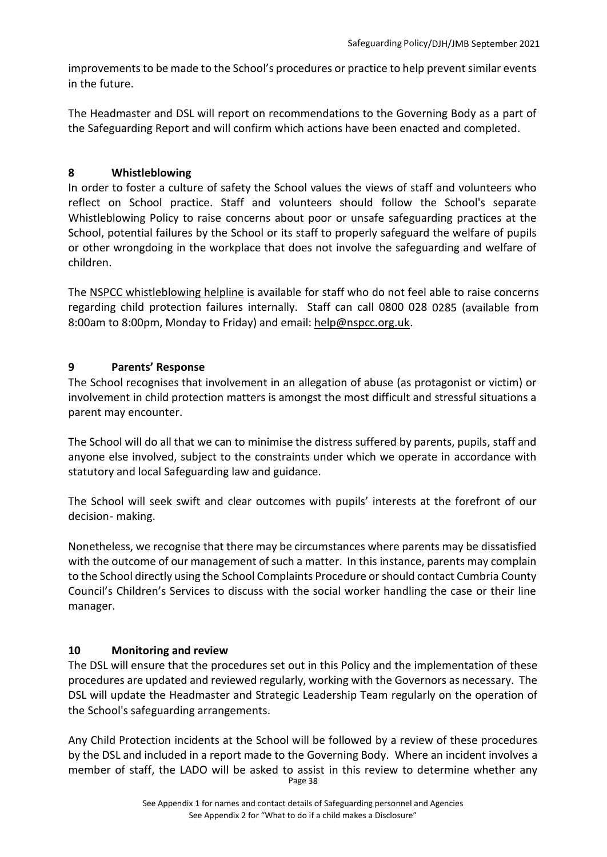improvements to be made to the School's procedures or practice to help prevent similar events in the future.

The Headmaster and DSL will report on recommendations to the Governing Body as a part of the Safeguarding Report and will confirm which actions have been enacted and completed.

# <span id="page-37-0"></span>**8 Whistleblowing**

In order to foster a culture of safety the School values the views of staff and volunteers who reflect on School practice. Staff and volunteers should follow the School's separate Whistleblowing Policy to raise concerns about poor or unsafe safeguarding practices at the School, potential failures by the School or its staff to properly safeguard the welfare of pupils or other wrongdoing in the workplace that does not involve the safeguarding and welfare of children.

The [NSPCC whistleblowing helpline i](https://www.gov.uk/government/news/home-office-launches-child-abuse-whistleblowing-helpline)s available for staff who do not feel able to raise concerns regarding child protection failures internally. Staff can call 0800 028 0285 (available from 8:00am to 8:00pm, Monday to Friday) and email[: help@nspcc.org.uk.](mailto:help@nspcc.org.uk)

# <span id="page-37-1"></span>**9 Parents' Response**

The School recognises that involvement in an allegation of abuse (as protagonist or victim) or involvement in child protection matters is amongst the most difficult and stressful situations a parent may encounter.

The School will do all that we can to minimise the distress suffered by parents, pupils, staff and anyone else involved, subject to the constraints under which we operate in accordance with statutory and local Safeguarding law and guidance.

The School will seek swift and clear outcomes with pupils' interests at the forefront of our decision- making.

Nonetheless, we recognise that there may be circumstances where parents may be dissatisfied with the outcome of our management of such a matter. In this instance, parents may complain to the School directly using the School Complaints Procedure or should contact Cumbria County Council's Children's Services to discuss with the social worker handling the case or their line manager.

#### <span id="page-37-2"></span>**10 Monitoring and review**

The DSL will ensure that the procedures set out in this Policy and the implementation of these procedures are updated and reviewed regularly, working with the Governors as necessary. The DSL will update the Headmaster and Strategic Leadership Team regularly on the operation of the School's safeguarding arrangements.

Page 38 Any Child Protection incidents at the School will be followed by a review of these procedures by the DSL and included in a report made to the Governing Body. Where an incident involves a member of staff, the LADO will be asked to assist in this review to determine whether any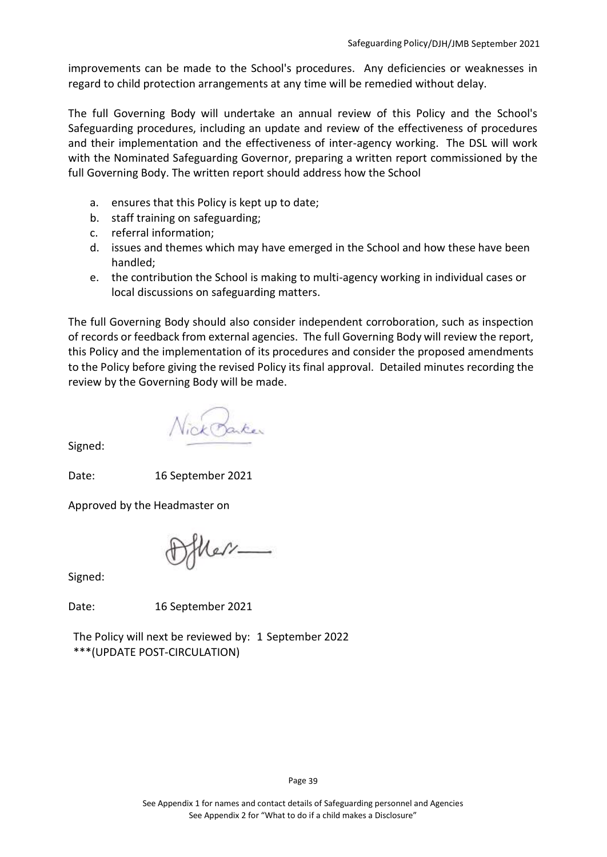improvements can be made to the School's procedures. Any deficiencies or weaknesses in regard to child protection arrangements at any time will be remedied without delay.

The full Governing Body will undertake an annual review of this Policy and the School's Safeguarding procedures, including an update and review of the effectiveness of procedures and their implementation and the effectiveness of inter-agency working. The DSL will work with the Nominated Safeguarding Governor, preparing a written report commissioned by the full Governing Body. The written report should address how the School

- a. ensures that this Policy is kept up to date;
- b. staff training on safeguarding;
- c. referral information;
- d. issues and themes which may have emerged in the School and how these have been handled;
- e. the contribution the School is making to multi-agency working in individual cases or local discussions on safeguarding matters.

The full Governing Body should also consider independent corroboration, such as inspection of records or feedback from external agencies. The full Governing Body will review the report, this Policy and the implementation of its procedures and consider the proposed amendments to the Policy before giving the revised Policy its final approval. Detailed minutes recording the review by the Governing Body will be made.

ok Barker

Signed:

Date: 16 September 2021

Approved by the Headmaster on

 $\ell$ 

Signed:

Date: 16 September 2021

The Policy will next be reviewed by: 1 September 2022 \*\*\*(UPDATE POST-CIRCULATION)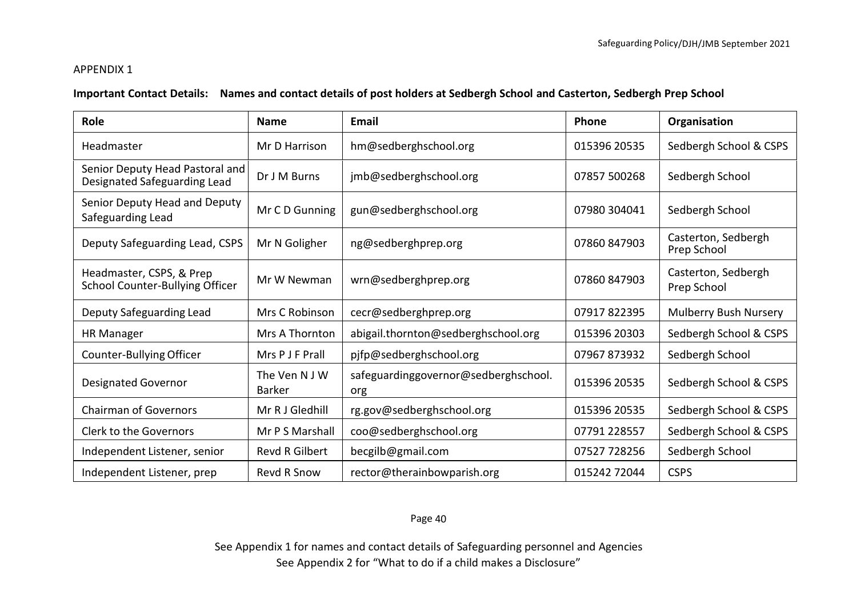#### APPENDIX 1

# **Important Contact Details: Names and contact details of post holders at Sedbergh School and Casterton, Sedbergh Prep School**

<span id="page-39-0"></span>

| Role                                                            | <b>Name</b>             | Email                                       | <b>Phone</b> | Organisation                       |
|-----------------------------------------------------------------|-------------------------|---------------------------------------------|--------------|------------------------------------|
| Headmaster                                                      | Mr D Harrison           | hm@sedberghschool.org                       | 015396 20535 | Sedbergh School & CSPS             |
| Senior Deputy Head Pastoral and<br>Designated Safeguarding Lead | Dr J M Burns            | jmb@sedberghschool.org                      | 07857 500268 | Sedbergh School                    |
| Senior Deputy Head and Deputy<br>Safeguarding Lead              | Mr CD Gunning           | gun@sedberghschool.org                      | 07980 304041 | Sedbergh School                    |
| Deputy Safeguarding Lead, CSPS                                  | Mr N Goligher           | ng@sedberghprep.org                         | 07860 847903 | Casterton, Sedbergh<br>Prep School |
| Headmaster, CSPS, & Prep<br>School Counter-Bullying Officer     | Mr W Newman             | wrn@sedberghprep.org                        | 07860 847903 | Casterton, Sedbergh<br>Prep School |
| Deputy Safeguarding Lead                                        | Mrs C Robinson          | cecr@sedberghprep.org                       | 07917822395  | Mulberry Bush Nursery              |
| <b>HR Manager</b>                                               | Mrs A Thornton          | abigail.thornton@sedberghschool.org         | 015396 20303 | Sedbergh School & CSPS             |
| Counter-Bullying Officer                                        | Mrs P J F Prall         | pifp@sedberghschool.org                     | 07967873932  | Sedbergh School                    |
| <b>Designated Governor</b>                                      | The Ven N J W<br>Barker | safeguardinggovernor@sedberghschool.<br>org | 015396 20535 | Sedbergh School & CSPS             |
| <b>Chairman of Governors</b>                                    | Mr R J Gledhill         | rg.gov@sedberghschool.org                   | 015396 20535 | Sedbergh School & CSPS             |
| <b>Clerk to the Governors</b>                                   | Mr P S Marshall         | coo@sedberghschool.org                      | 07791 228557 | Sedbergh School & CSPS             |
| Independent Listener, senior                                    | Revd R Gilbert          | becgilb@gmail.com                           | 07527 728256 | Sedbergh School                    |
| Independent Listener, prep                                      | Revd R Snow             | rector@therainbowparish.org                 | 01524272044  | <b>CSPS</b>                        |

Page 40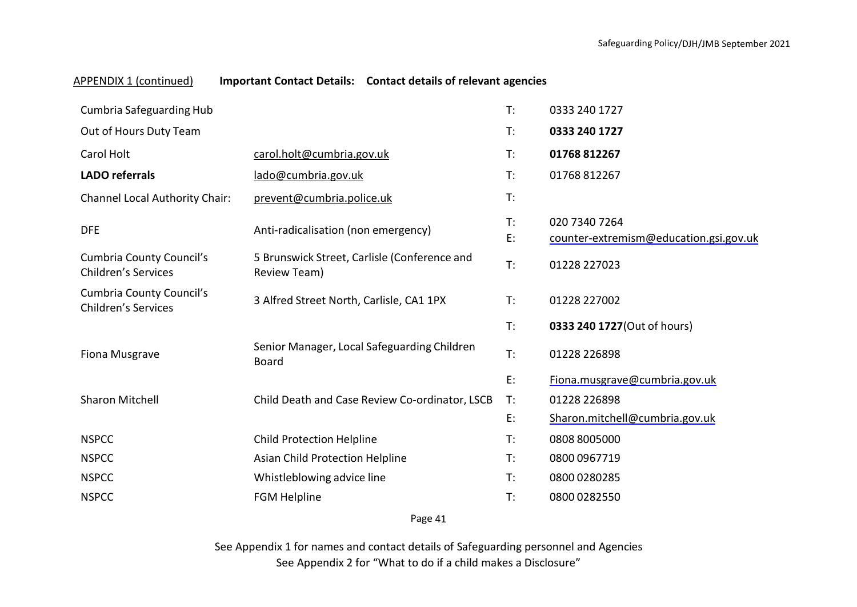APPENDIX 1 (continued) **Important Contact Details: Contact details of relevant agencies**

| <b>Cumbria Safeguarding Hub</b>                               |                                                              | T:       | 0333 240 1727                                           |
|---------------------------------------------------------------|--------------------------------------------------------------|----------|---------------------------------------------------------|
| Out of Hours Duty Team                                        |                                                              | T:       | 0333 240 1727                                           |
| Carol Holt                                                    | carol.holt@cumbria.gov.uk                                    | T:       | 01768 812267                                            |
| <b>LADO</b> referrals                                         | lado@cumbria.gov.uk                                          | T:       | 01768 812267                                            |
| Channel Local Authority Chair:                                | prevent@cumbria.police.uk                                    | T:       |                                                         |
| <b>DFE</b>                                                    | Anti-radicalisation (non emergency)                          | T:<br>E: | 020 7340 7264<br>counter-extremism@education.gsi.gov.uk |
| <b>Cumbria County Council's</b><br><b>Children's Services</b> | 5 Brunswick Street, Carlisle (Conference and<br>Review Team) | T:       | 01228 227023                                            |
| <b>Cumbria County Council's</b><br><b>Children's Services</b> | 3 Alfred Street North, Carlisle, CA1 1PX                     | T:       | 01228 227002                                            |
|                                                               |                                                              | T:       | 0333 240 1727 (Out of hours)                            |
| Fiona Musgrave                                                | Senior Manager, Local Safeguarding Children<br><b>Board</b>  | T:       | 01228 226898                                            |
|                                                               |                                                              | E:       | Fiona.musgrave@cumbria.gov.uk                           |
| <b>Sharon Mitchell</b>                                        | Child Death and Case Review Co-ordinator, LSCB               | T:       | 01228 226898                                            |
|                                                               |                                                              | E:       | Sharon.mitchell@cumbria.gov.uk                          |
| <b>NSPCC</b>                                                  | <b>Child Protection Helpline</b>                             | T:       | 0808 8005000                                            |
| <b>NSPCC</b>                                                  | Asian Child Protection Helpline                              | T:       | 0800 0967719                                            |
| <b>NSPCC</b>                                                  | Whistleblowing advice line                                   | T:       | 0800 0280285                                            |
| <b>NSPCC</b>                                                  | <b>FGM Helpline</b>                                          | T:       | 0800 0282550                                            |
|                                                               |                                                              |          |                                                         |

Page 41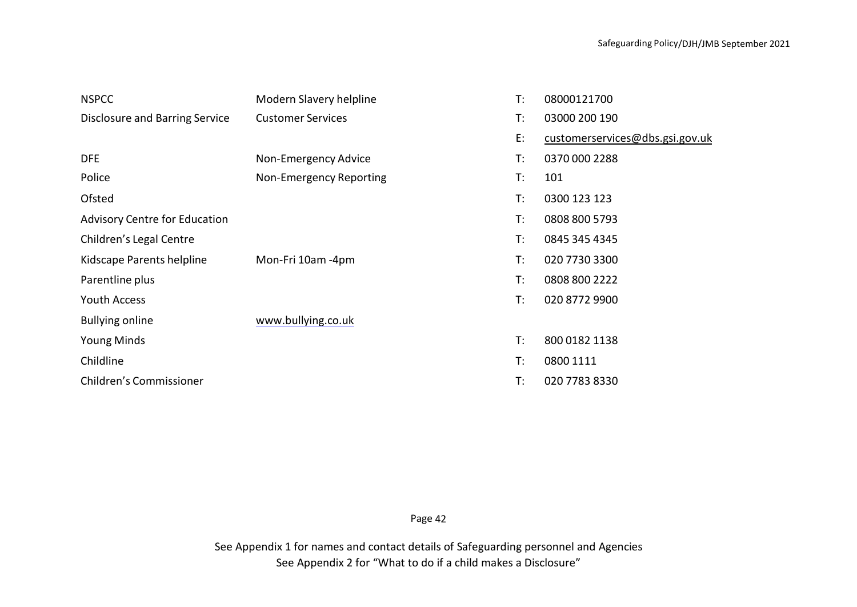| <b>NSPCC</b>                          | Modern Slavery helpline  | T: | 08000121700                     |
|---------------------------------------|--------------------------|----|---------------------------------|
| <b>Disclosure and Barring Service</b> | <b>Customer Services</b> | T: | 03000 200 190                   |
|                                       |                          | E: | customerservices@dbs.gsi.gov.uk |
| <b>DFE</b>                            | Non-Emergency Advice     | T: | 0370 000 2288                   |
| Police                                | Non-Emergency Reporting  | T: | 101                             |
| Ofsted                                |                          | T: | 0300 123 123                    |
| <b>Advisory Centre for Education</b>  |                          | T: | 0808 800 5793                   |
| Children's Legal Centre               |                          | T: | 0845 345 4345                   |
| Kidscape Parents helpline             | Mon-Fri 10am -4pm        | T: | 020 7730 3300                   |
| Parentline plus                       |                          | T: | 0808 800 2222                   |
| <b>Youth Access</b>                   |                          | T: | 020 8772 9900                   |
| <b>Bullying online</b>                | www.bullying.co.uk       |    |                                 |
| <b>Young Minds</b>                    |                          | T: | 800 0182 1138                   |
| Childline                             |                          | T: | 0800 1111                       |
| <b>Children's Commissioner</b>        |                          | T: | 020 7783 8330                   |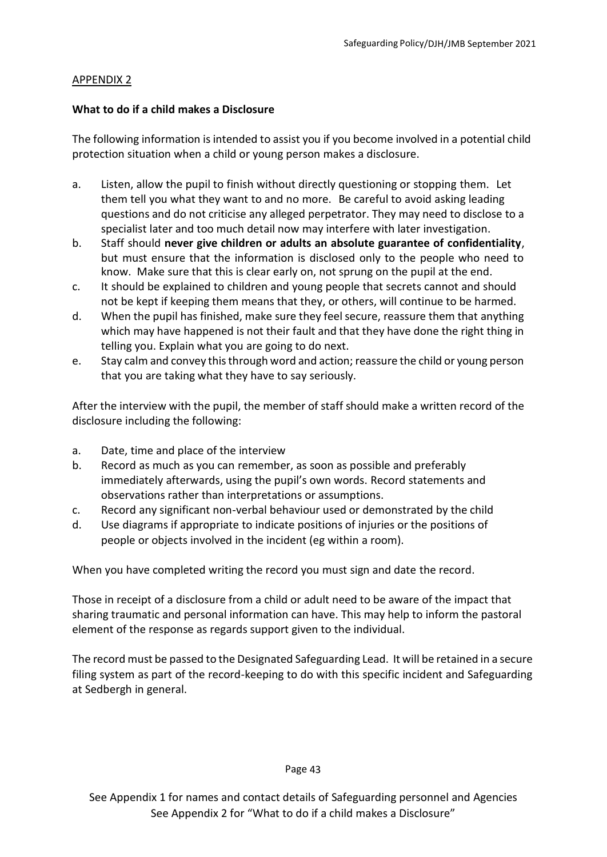# <span id="page-42-0"></span>APPENDIX 2

# **What to do if a child makes a Disclosure**

The following information is intended to assist you if you become involved in a potential child protection situation when a child or young person makes a disclosure.

- a. Listen, allow the pupil to finish without directly questioning or stopping them. Let them tell you what they want to and no more. Be careful to avoid asking leading questions and do not criticise any alleged perpetrator. They may need to disclose to a specialist later and too much detail now may interfere with later investigation.
- b. Staff should **never give children or adults an absolute guarantee of confidentiality**, but must ensure that the information is disclosed only to the people who need to know. Make sure that this is clear early on, not sprung on the pupil at the end.
- c. It should be explained to children and young people that secrets cannot and should not be kept if keeping them means that they, or others, will continue to be harmed.
- d. When the pupil has finished, make sure they feel secure, reassure them that anything which may have happened is not their fault and that they have done the right thing in telling you. Explain what you are going to do next.
- e. Stay calm and convey this through word and action; reassure the child or young person that you are taking what they have to say seriously.

After the interview with the pupil, the member of staff should make a written record of the disclosure including the following:

- a. Date, time and place of the interview
- b. Record as much as you can remember, as soon as possible and preferably immediately afterwards, using the pupil's own words. Record statements and observations rather than interpretations or assumptions.
- c. Record any significant non-verbal behaviour used or demonstrated by the child
- d. Use diagrams if appropriate to indicate positions of injuries or the positions of people or objects involved in the incident (eg within a room).

When you have completed writing the record you must sign and date the record.

Those in receipt of a disclosure from a child or adult need to be aware of the impact that sharing traumatic and personal information can have. This may help to inform the pastoral element of the response as regards support given to the individual.

The record must be passed to the Designated Safeguarding Lead. It will be retained in a secure filing system as part of the record-keeping to do with this specific incident and Safeguarding at Sedbergh in general.

Page 43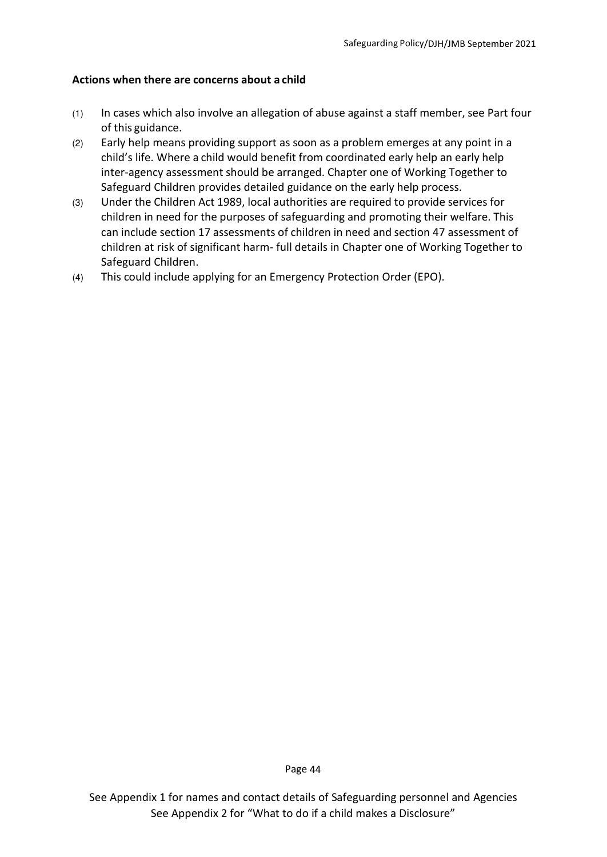#### **Actions when there are concerns about a child**

- (1) In cases which also involve an allegation of abuse against a staff member, see Part four of this guidance.
- (2) Early help means providing support as soon as a problem emerges at any point in a child's life. Where a child would benefit from coordinated early help an early help inter-agency assessment should be arranged. Chapter one o[f Working Together to](https://www.gov.uk/government/publications/working-together-to-safeguard-children--2)  [Safeguard Children p](https://www.gov.uk/government/publications/working-together-to-safeguard-children--2)rovides detailed guidance on the early help process.
- (3) Under the Children Act 1989, local authorities are required to provide services for children in need for the purposes of safeguarding and promoting their welfare. This can include section 17 assessments of children in need and section 47 assessment of children at risk of significant harm- full details in Chapter one of Working Together to Safeguard Children.
- (4) This could include applying for an Emergency Protection Order (EPO).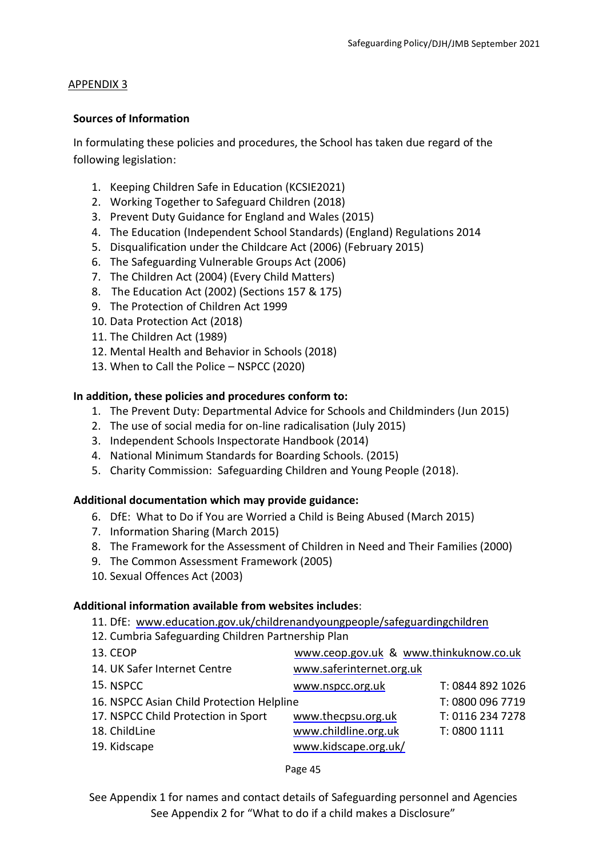#### <span id="page-44-0"></span>APPENDIX 3

#### **Sources of Information**

In formulating these policies and procedures, the School has taken due regard of the following legislation:

- 1. Keeping Children Safe in Education (KCSIE2021)
- 2. Working Together to Safeguard Children (2018)
- 3. Prevent Duty Guidance for England and Wales (2015)
- 4. The Education (Independent School Standards) (England) Regulations 2014
- 5. Disqualification under the Childcare Act (2006) (February 2015)
- 6. The Safeguarding Vulnerable Groups Act (2006)
- 7. The Children Act (2004) (Every Child Matters)
- 8. The Education Act (2002) (Sections 157 & 175)
- 9. The Protection of Children Act 1999
- 10. Data Protection Act (2018)
- 11. The Children Act (1989)
- 12. Mental Health and Behavior in Schools (2018)
- 13. When to Call the Police NSPCC (2020)

#### **In addition, these policies and procedures conform to:**

- 1. The Prevent Duty: Departmental Advice for Schools and Childminders (Jun 2015)
- 2. The use of social media for on-line radicalisation (July 2015)
- 3. Independent Schools Inspectorate Handbook (2014)
- 4. National Minimum Standards for Boarding Schools. (2015)
- 5. Charity Commission: Safeguarding Children and Young People (2018).

#### **Additional documentation which may provide guidance:**

- 6. DfE: What to Do if You are Worried a Child is Being Abused (March 2015)
- 7. Information Sharing (March 2015)
- 8. The Framework for the Assessment of Children in Need and Their Families (2000)
- 9. The Common Assessment Framework (2005)
- 10. Sexual Offences Act (2003)

#### **Additional information available from websites includes**:

- 11. DfE: [www.education.gov.uk/childrenandyoungpeople/safeguardingchildren](http://www.education.gov.uk/childrenandyoungpeople/safeguardingchildren)
- 12. Cumbria Safeguarding Children Partnership Plan
- 13. CEOP [www.ceop.gov.uk &](http://www.ceop.gov.uk/) [www.thinkuknow.co.uk](http://www.thinkuknow.co.uk/)  14. UK Safer Internet Centre [www.saferinternet.org.uk](http://www.saferinternet.org.uk/)  15. NSPCC [www.nspcc.org.uk T:](http://www.nspcc.org.uk/) 0844 892 1026 16. NSPCC Asian Child Protection Helpline The Manuscript COSO0 096 7719 17. NSPCC Child Protection in Sport [www.thecpsu.org.uk](https://thecpsu.org.uk/) T: 0116 234 7278 18. ChildLine 19. Kidscape [www.childline.org.uk](http://www.childline.org.uk/) [www.kidscape.org.uk/](http://www.kidscape.org.uk/)  T: 0800 1111

Page 45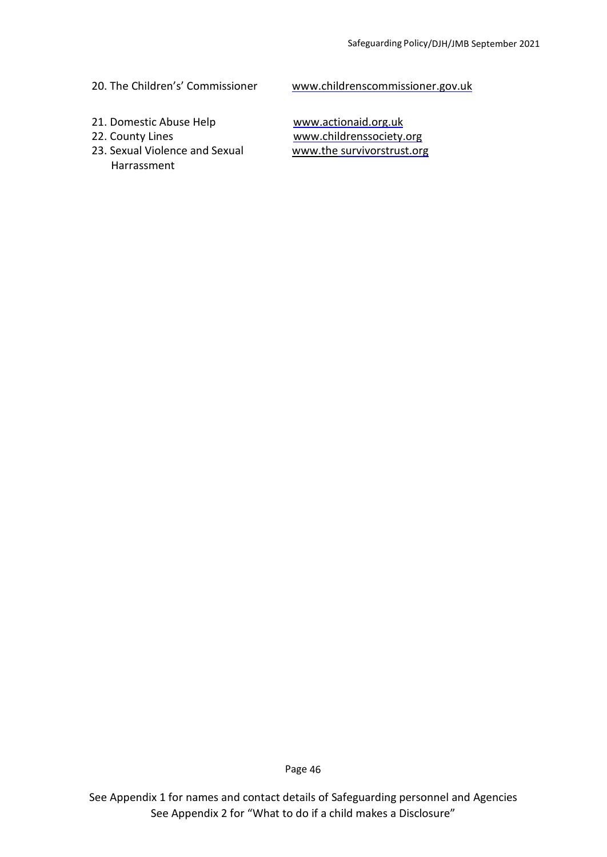20. The Children's' Commissioner [www.childrenscommissioner.gov.uk](http://www.childrenscommissioner.gov.uk/)

- 21. Domestic Abuse Help www.actionaid.org.uk
- 
- 23. Sexual Violence and Sexual Harrassment

22. County Lines www.childrenssociety.org [www.the](http://www.the/) survivorstrust.org

Page 46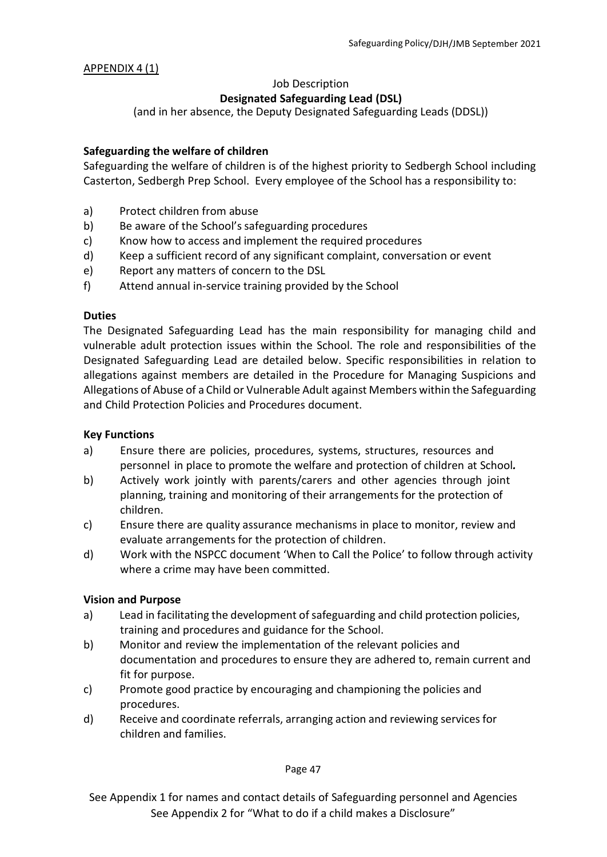# <span id="page-46-0"></span>APPENDIX 4 (1)

# Job Description **Designated Safeguarding Lead (DSL)**

(and in her absence, the Deputy Designated Safeguarding Leads (DDSL))

# **Safeguarding the welfare of children**

Safeguarding the welfare of children is of the highest priority to Sedbergh School including Casterton, Sedbergh Prep School. Every employee of the School has a responsibility to:

- a) Protect children from abuse
- b) Be aware of the School's safeguarding procedures
- c) Know how to access and implement the required procedures
- d) Keep a sufficient record of any significant complaint, conversation or event
- e) Report any matters of concern to the DSL
- f) Attend annual in-service training provided by the School

#### **Duties**

The Designated Safeguarding Lead has the main responsibility for managing child and vulnerable adult protection issues within the School. The role and responsibilities of the Designated Safeguarding Lead are detailed below. Specific responsibilities in relation to allegations against members are detailed in the Procedure for Managing Suspicions and Allegations of Abuse of a Child or Vulnerable Adult against Members within the Safeguarding and Child Protection Policies and Procedures document.

#### **Key Functions**

- a) Ensure there are policies, procedures, systems, structures, resources and personnel in place to promote the welfare and protection of children at School*.*
- b) Actively work jointly with parents/carers and other agencies through joint planning, training and monitoring of their arrangements for the protection of children.
- c) Ensure there are quality assurance mechanisms in place to monitor, review and evaluate arrangements for the protection of children.
- d) Work with the NSPCC document 'When to Call the Police' to follow through activity where a crime may have been committed.

#### **Vision and Purpose**

- a) Lead in facilitating the development of safeguarding and child protection policies, training and procedures and guidance for the School.
- b) Monitor and review the implementation of the relevant policies and documentation and procedures to ensure they are adhered to, remain current and fit for purpose.
- c) Promote good practice by encouraging and championing the policies and procedures.
- d) Receive and coordinate referrals, arranging action and reviewing services for children and families.

#### Page 47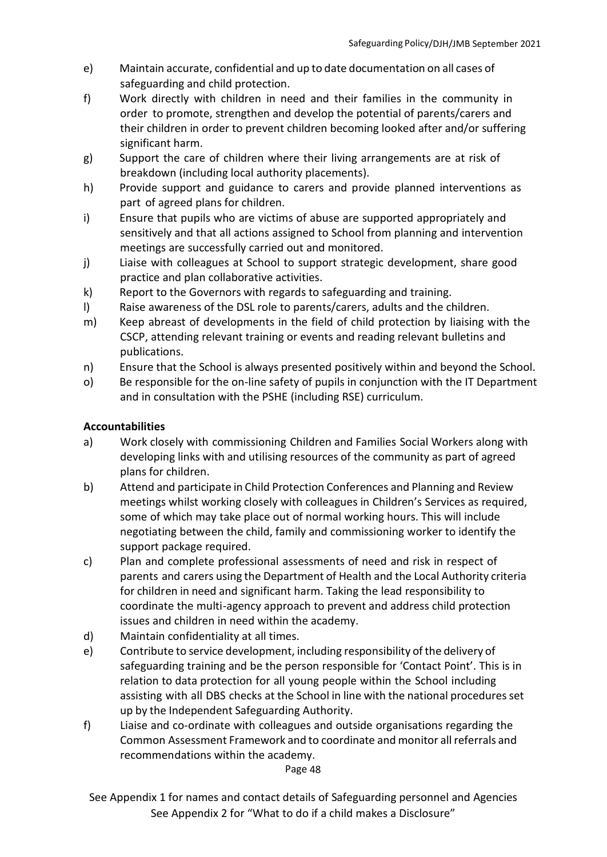- e) Maintain accurate, confidential and up to date documentation on all cases of safeguarding and child protection.
- f) Work directly with children in need and their families in the community in order to promote, strengthen and develop the potential of parents/carers and their children in order to prevent children becoming looked after and/or suffering significant harm.
- g) Support the care of children where their living arrangements are at risk of breakdown (including local authority placements).
- h) Provide support and guidance to carers and provide planned interventions as part of agreed plans for children.
- i) Ensure that pupils who are victims of abuse are supported appropriately and sensitively and that all actions assigned to School from planning and intervention meetings are successfully carried out and monitored.
- j) Liaise with colleagues at School to support strategic development, share good practice and plan collaborative activities.
- k) Report to the Governors with regards to safeguarding and training.
- l) Raise awareness of the DSL role to parents/carers, adults and the children.
- m) Keep abreast of developments in the field of child protection by liaising with the CSCP, attending relevant training or events and reading relevant bulletins and publications.
- n) Ensure that the School is always presented positively within and beyond the School.
- o) Be responsible for the on-line safety of pupils in conjunction with the IT Department and in consultation with the PSHE (including RSE) curriculum.

# **Accountabilities**

- a) Work closely with commissioning Children and Families Social Workers along with developing links with and utilising resources of the community as part of agreed plans for children.
- b) Attend and participate in Child Protection Conferences and Planning and Review meetings whilst working closely with colleagues in Children's Services as required, some of which may take place out of normal working hours. This will include negotiating between the child, family and commissioning worker to identify the support package required.
- c) Plan and complete professional assessments of need and risk in respect of parents and carers using the Department of Health and the Local Authority criteria for children in need and significant harm. Taking the lead responsibility to coordinate the multi-agency approach to prevent and address child protection issues and children in need within the academy.
- d) Maintain confidentiality at all times.
- e) Contribute to service development, including responsibility of the delivery of safeguarding training and be the person responsible for 'Contact Point'. This is in relation to data protection for all young people within the School including assisting with all DBS checks at the School in line with the national procedures set up by the Independent Safeguarding Authority.
- f) Liaise and co-ordinate with colleagues and outside organisations regarding the Common Assessment Framework and to coordinate and monitor all referrals and recommendations within the academy.

Page 48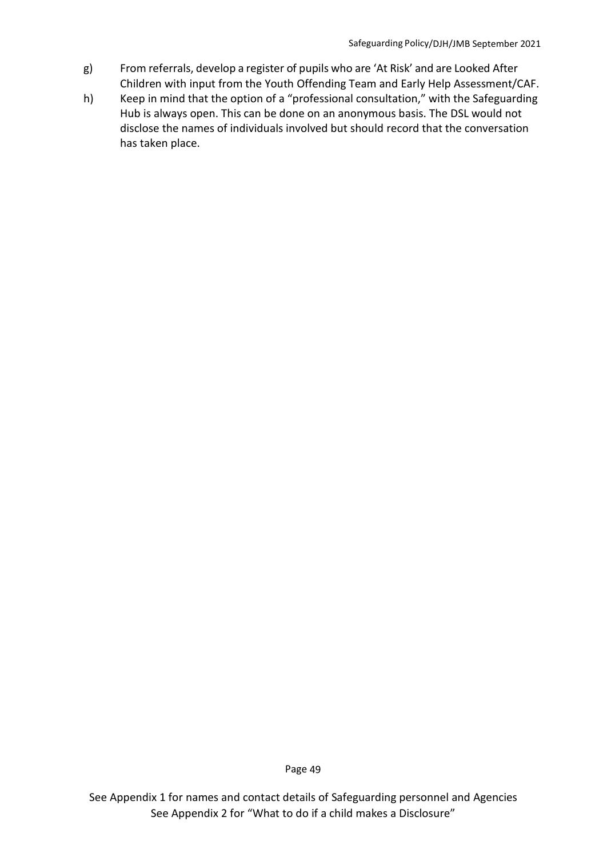- g) From referrals, develop a register of pupils who are 'At Risk' and are Looked After Children with input from the Youth Offending Team and Early Help Assessment/CAF.
- h) Keep in mind that the option of a "professional consultation," with the Safeguarding Hub is always open. This can be done on an anonymous basis. The DSL would not disclose the names of individuals involved but should record that the conversation has taken place.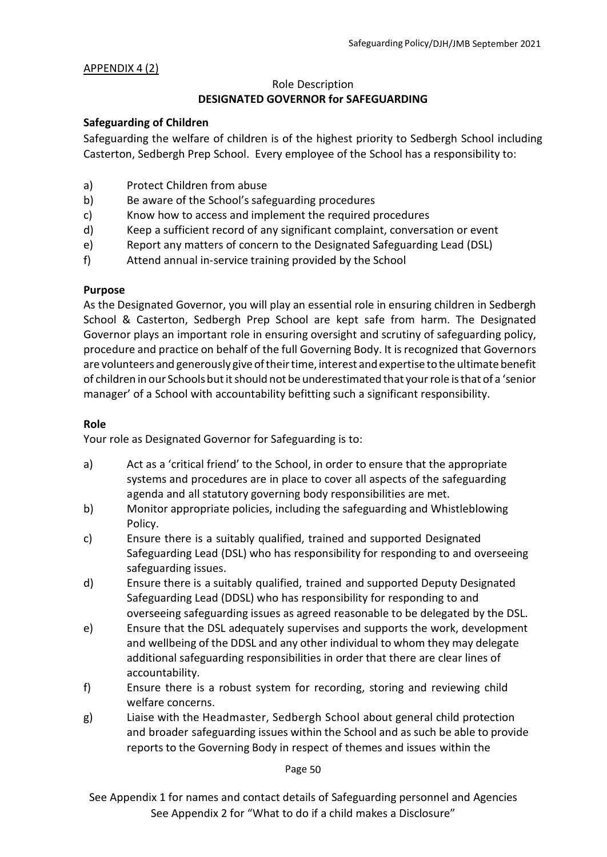# <span id="page-49-0"></span>APPENDIX 4 (2)

# Role Description

# **DESIGNATED GOVERNOR for SAFEGUARDING**

# **Safeguarding of Children**

Safeguarding the welfare of children is of the highest priority to Sedbergh School including Casterton, Sedbergh Prep School. Every employee of the School has a responsibility to:

- a) Protect Children from abuse
- b) Be aware of the School's safeguarding procedures
- c) Know how to access and implement the required procedures
- d) Keep a sufficient record of any significant complaint, conversation or event
- e) Report any matters of concern to the Designated Safeguarding Lead (DSL)
- f) Attend annual in-service training provided by the School

#### **Purpose**

As the Designated Governor, you will play an essential role in ensuring children in Sedbergh School & Casterton, Sedbergh Prep School are kept safe from harm. The Designated Governor plays an important role in ensuring oversight and scrutiny of safeguarding policy, procedure and practice on behalf of the full Governing Body. It is recognized that Governors are volunteers and generously give of their time, interest and expertise to the ultimate benefit of children in our Schools but it should not be underestimated that your role isthat of a 'senior manager' of a School with accountability befitting such a significant responsibility.

#### **Role**

Your role as Designated Governor for Safeguarding is to:

- a) Act as a 'critical friend' to the School, in order to ensure that the appropriate systems and procedures are in place to cover all aspects of the safeguarding agenda and all statutory governing body responsibilities are met.
- b) Monitor appropriate policies, including the safeguarding and Whistleblowing Policy.
- c) Ensure there is a suitably qualified, trained and supported Designated Safeguarding Lead (DSL) who has responsibility for responding to and overseeing safeguarding issues.
- d) Ensure there is a suitably qualified, trained and supported Deputy Designated Safeguarding Lead (DDSL) who has responsibility for responding to and overseeing safeguarding issues as agreed reasonable to be delegated by the DSL.
- e) Ensure that the DSL adequately supervises and supports the work, development and wellbeing of the DDSL and any other individual to whom they may delegate additional safeguarding responsibilities in order that there are clear lines of accountability.
- f) Ensure there is a robust system for recording, storing and reviewing child welfare concerns.
- g) Liaise with the Headmaster, Sedbergh School about general child protection and broader safeguarding issues within the School and as such be able to provide reports to the Governing Body in respect of themes and issues within the

Page 50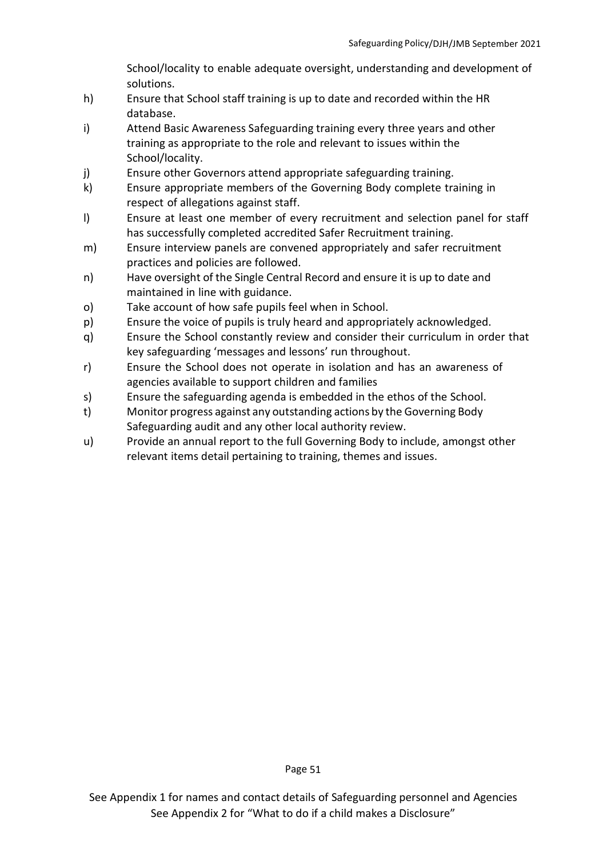School/locality to enable adequate oversight, understanding and development of solutions.

- h) Ensure that School staff training is up to date and recorded within the HR database.
- i) Attend Basic Awareness Safeguarding training every three years and other training as appropriate to the role and relevant to issues within the School/locality.
- j) Ensure other Governors attend appropriate safeguarding training.
- k) Ensure appropriate members of the Governing Body complete training in respect of allegations against staff.
- l) Ensure at least one member of every recruitment and selection panel for staff has successfully completed accredited Safer Recruitment training.
- m) Ensure interview panels are convened appropriately and safer recruitment practices and policies are followed.
- n) Have oversight of the Single Central Record and ensure it is up to date and maintained in line with guidance.
- o) Take account of how safe pupils feel when in School.
- p) Ensure the voice of pupils is truly heard and appropriately acknowledged.
- q) Ensure the School constantly review and consider their curriculum in order that key safeguarding 'messages and lessons' run throughout.
- r) Ensure the School does not operate in isolation and has an awareness of agencies available to support children and families
- s) Ensure the safeguarding agenda is embedded in the ethos of the School.
- t) Monitor progress against any outstanding actions by the Governing Body Safeguarding audit and any other local authority review.
- u) Provide an annual report to the full Governing Body to include, amongst other relevant items detail pertaining to training, themes and issues.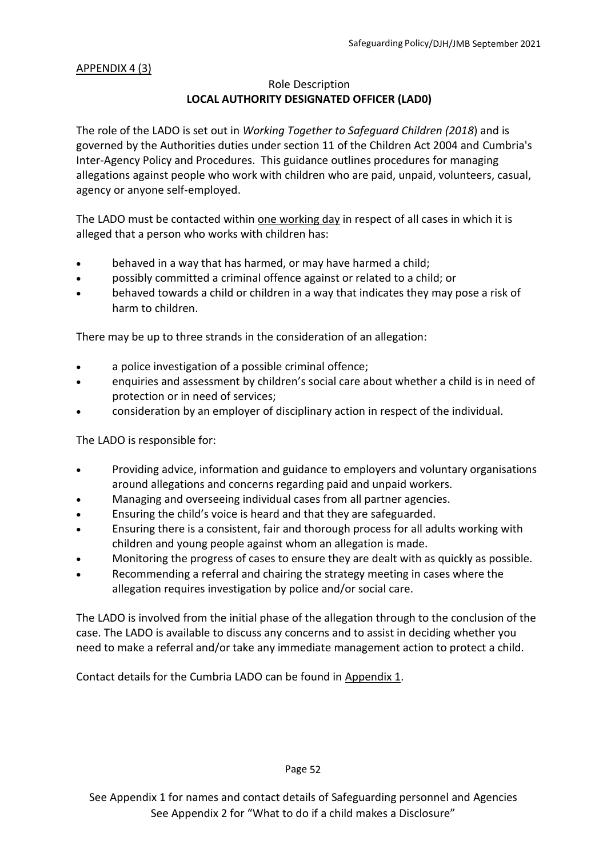#### <span id="page-51-0"></span>APPENDIX 4 (3)

#### Role Description **LOCAL AUTHORITY DESIGNATED OFFICER (LAD0)**

The role of the LADO is set out in *Working Together to Safeguard Children (2018*) and is governed by the Authorities duties under section 11 of the Children Act 2004 and Cumbria's Inter-Agency Policy and Procedures. This guidance outlines procedures for managing allegations against people who work with children who are paid, unpaid, volunteers, casual, agency or anyone self-employed.

The LADO must be contacted within one working day in respect of all cases in which it is alleged that a person who works with children has:

- behaved in a way that has harmed, or may have harmed a child;
- possibly committed a criminal offence against or related to a child; or
- behaved towards a child or children in a way that indicates they may pose a risk of harm to children.

There may be up to three strands in the consideration of an allegation:

- a police investigation of a possible criminal offence;
- enquiries and assessment by children's social care about whether a child is in need of protection or in need of services;
- consideration by an employer of disciplinary action in respect of the individual.

The LADO is responsible for:

- Providing advice, information and guidance to employers and voluntary organisations around allegations and concerns regarding paid and unpaid workers.
- Managing and overseeing individual cases from all partner agencies.
- Ensuring the child's voice is heard and that they are safeguarded.
- Ensuring there is a consistent, fair and thorough process for all adults working with children and young people against whom an allegation is made.
- Monitoring the progress of cases to ensure they are dealt with as quickly as possible.
- Recommending a referral and chairing the strategy meeting in cases where the allegation requires investigation by police and/or social care.

The LADO is involved from the initial phase of the allegation through to the conclusion of the case. The LADO is available to discuss any concerns and to assist in deciding whether you need to make a referral and/or take any immediate management action to protect a child.

Contact details for the Cumbria LADO can be found in [Appendix 1.](#page-39-0)

#### Page 52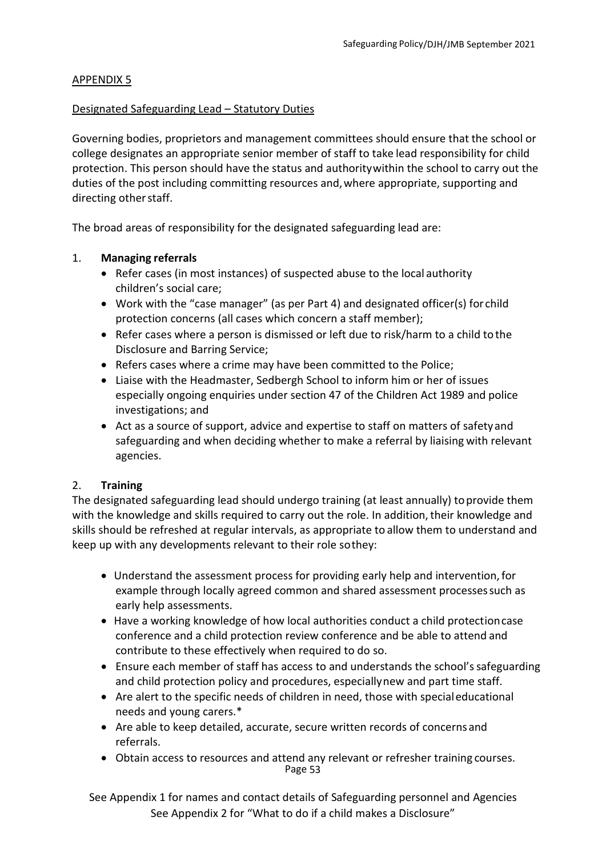# <span id="page-52-0"></span>APPENDIX 5

#### Designated Safeguarding Lead – Statutory Duties

Governing bodies, proprietors and management committees should ensure that the school or college designates an appropriate senior member of staff to take lead responsibility for child protection. This person should have the status and authority within the school to carry out the duties of the post including committing resources and, where appropriate, supporting and directing other staff.

The broad areas of responsibility for the designated safeguarding lead are:

#### 1. **Managing referrals**

- Refer cases (in most instances) of suspected abuse to the local authority children's social care;
- Work with the "case manager" (as per Part 4) and designated officer(s) for child protection concerns (all cases which concern a staff member);
- Refer cases where a person is dismissed or left due to risk/harm to a child to the Disclosure and Barring Service;
- Refers cases where a crime may have been committed to the Police;
- Liaise with the Headmaster, Sedbergh School to inform him or her of issues especially ongoing enquiries under section 47 of the Children Act 1989 and police investigations; and
- Act as a source of support, advice and expertise to staff on matters of safety and safeguarding and when deciding whether to make a referral by liaising with relevant agencies.

#### 2. **Training**

The designated safeguarding lead should undergo training (at least annually) to provide them with the knowledge and skills required to carry out the role. In addition, their knowledge and skills should be refreshed at regular intervals, as appropriate to allow them to understand and keep up with any developments relevant to their role so they:

- Understand the assessment process for providing early help and intervention, for example through locally agreed common and shared assessment processes such as early help assessments.
- Have a working knowledge of how local authorities conduct a child protection case conference and a child protection review conference and be able to attend and contribute to these effectively when required to do so.
- Ensure each member of staff has access to and understands the school's safeguarding and child protection policy and procedures, especially new and part time staff.
- Are alert to the specific needs of children in need, those with special educational needs and young carers.\*
- Are able to keep detailed, accurate, secure written records of concerns and referrals.
- Page 53 • Obtain access to resources and attend any relevant or refresher training courses.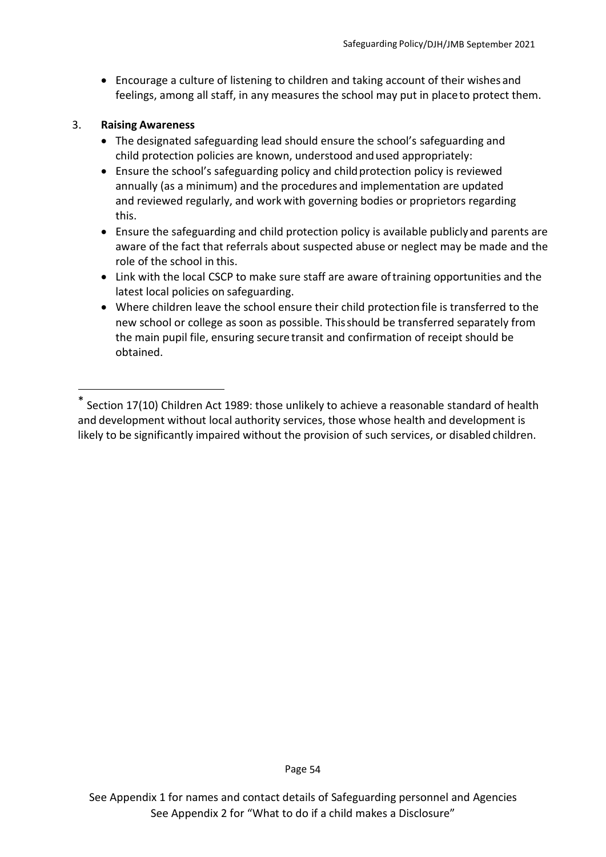• Encourage a culture of listening to children and taking account of their wishes and feelings, among all staff, in any measures the school may put in place to protect them.

# 3. **Raising Awareness**

- The designated safeguarding lead should ensure the school's safeguarding and child protection policies are known, understood and used appropriately:
- Ensure the school's safeguarding policy and child protection policy is reviewed annually (as a minimum) and the procedures and implementation are updated and reviewed regularly, and work with governing bodies or proprietors regarding this.
- Ensure the safeguarding and child protection policy is available publicly and parents are aware of the fact that referrals about suspected abuse or neglect may be made and the role of the school in this.
- Link with the local CSCP to make sure staff are aware of training opportunities and the latest local policies on safeguarding.
- Where children leave the school ensure their child protection file is transferred to the new school or college as soon as possible. This should be transferred separately from the main pupil file, ensuring secure transit and confirmation of receipt should be obtained.

Section 17(10) Children Act 1989: those unlikely to achieve a reasonable standard of health and development without local authority services, those whose health and development is likely to be significantly impaired without the provision of such services, or disabled children.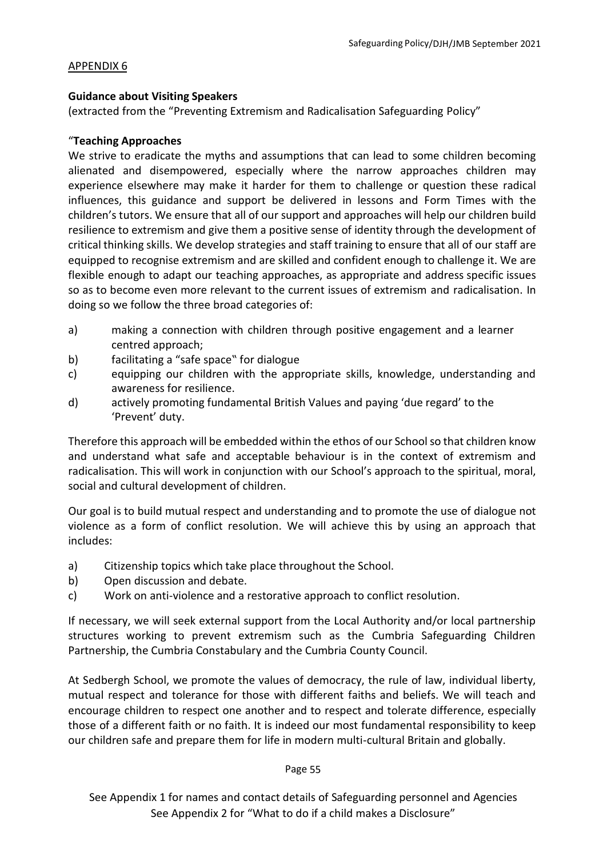# <span id="page-54-0"></span>APPENDIX 6

# **Guidance about Visiting Speakers**

(extracted from the "Preventing Extremism and Radicalisation Safeguarding Policy"

# "**Teaching Approaches**

We strive to eradicate the myths and assumptions that can lead to some children becoming alienated and disempowered, especially where the narrow approaches children may experience elsewhere may make it harder for them to challenge or question these radical influences, this guidance and support be delivered in lessons and Form Times with the children's tutors. We ensure that all of our support and approaches will help our children build resilience to extremism and give them a positive sense of identity through the development of critical thinking skills. We develop strategies and staff training to ensure that all of our staff are equipped to recognise extremism and are skilled and confident enough to challenge it. We are flexible enough to adapt our teaching approaches, as appropriate and address specific issues so as to become even more relevant to the current issues of extremism and radicalisation. In doing so we follow the three broad categories of:

- a) making a connection with children through positive engagement and a learner centred approach;
- b) facilitating a "safe space" for dialogue
- c) equipping our children with the appropriate skills, knowledge, understanding and awareness for resilience.
- d) actively promoting fundamental British Values and paying 'due regard' to the 'Prevent' duty.

Therefore this approach will be embedded within the ethos of our School so that children know and understand what safe and acceptable behaviour is in the context of extremism and radicalisation. This will work in conjunction with our School's approach to the spiritual, moral, social and cultural development of children.

Our goal is to build mutual respect and understanding and to promote the use of dialogue not violence as a form of conflict resolution. We will achieve this by using an approach that includes:

- a) Citizenship topics which take place throughout the School.
- b) Open discussion and debate.
- c) Work on anti-violence and a restorative approach to conflict resolution.

If necessary, we will seek external support from the Local Authority and/or local partnership structures working to prevent extremism such as the Cumbria Safeguarding Children Partnership, the Cumbria Constabulary and the Cumbria County Council.

At Sedbergh School, we promote the values of democracy, the rule of law, individual liberty, mutual respect and tolerance for those with different faiths and beliefs. We will teach and encourage children to respect one another and to respect and tolerate difference, especially those of a different faith or no faith. It is indeed our most fundamental responsibility to keep our children safe and prepare them for life in modern multi-cultural Britain and globally.

#### Page 55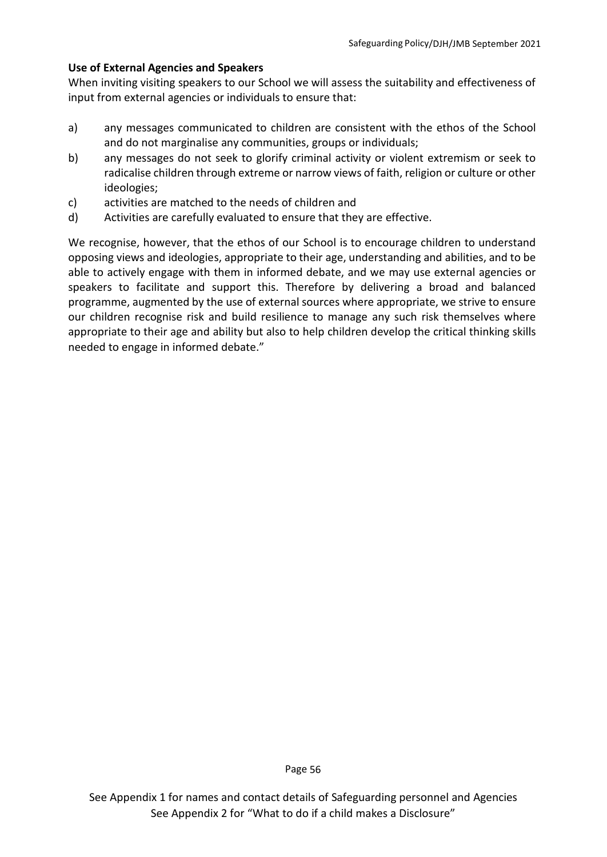### **Use of External Agencies and Speakers**

When inviting visiting speakers to our School we will assess the suitability and effectiveness of input from external agencies or individuals to ensure that:

- a) any messages communicated to children are consistent with the ethos of the School and do not marginalise any communities, groups or individuals;
- b) any messages do not seek to glorify criminal activity or violent extremism or seek to radicalise children through extreme or narrow views of faith, religion or culture or other ideologies;
- c) activities are matched to the needs of children and
- d) Activities are carefully evaluated to ensure that they are effective.

We recognise, however, that the ethos of our School is to encourage children to understand opposing views and ideologies, appropriate to their age, understanding and abilities, and to be able to actively engage with them in informed debate, and we may use external agencies or speakers to facilitate and support this. Therefore by delivering a broad and balanced programme, augmented by the use of external sources where appropriate, we strive to ensure our children recognise risk and build resilience to manage any such risk themselves where appropriate to their age and ability but also to help children develop the critical thinking skills needed to engage in informed debate."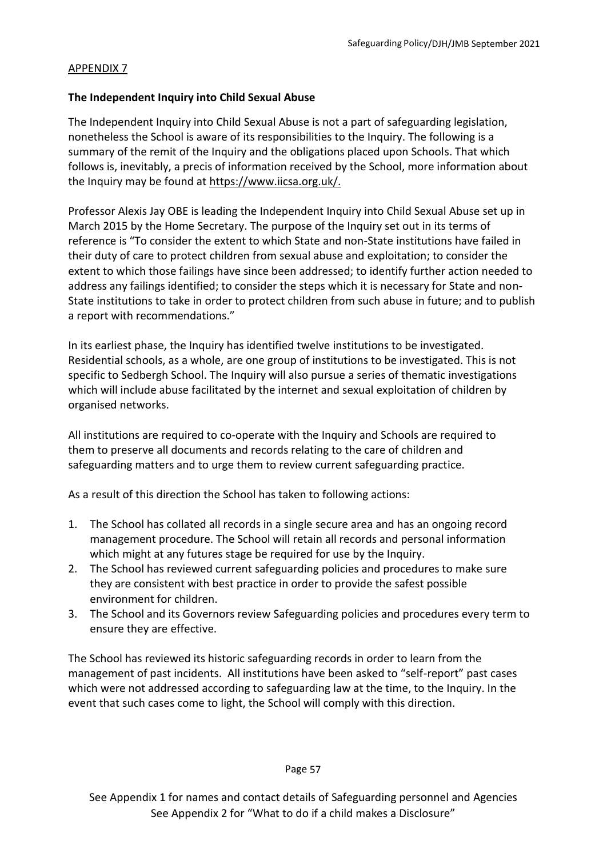# <span id="page-56-0"></span>APPENDIX 7

# **The Independent Inquiry into Child Sexual Abuse**

The Independent Inquiry into Child Sexual Abuse is not a part of safeguarding legislation, nonetheless the School is aware of its responsibilities to the Inquiry. The following is a summary of the remit of the Inquiry and the obligations placed upon Schools. That which follows is, inevitably, a precis of information received by the School, more information about the Inquiry may be found at [https://www.iicsa.org.uk/.](https://www.iicsa.org.uk/) 

Professor Alexis Jay OBE is leading the Independent Inquiry into Child Sexual Abuse set up in March 2015 by the Home Secretary. The purpose of the Inquiry set out in its terms of reference is "To consider the extent to which State and non-State institutions have failed in their duty of care to protect children from sexual abuse and exploitation; to consider the extent to which those failings have since been addressed; to identify further action needed to address any failings identified; to consider the steps which it is necessary for State and non-State institutions to take in order to protect children from such abuse in future; and to publish a report with recommendations."

In its earliest phase, the Inquiry has identified twelve institutions to be investigated. Residential schools, as a whole, are one group of institutions to be investigated. This is not specific to Sedbergh School. The Inquiry will also pursue a series of thematic investigations which will include abuse facilitated by the internet and sexual exploitation of children by organised networks.

All institutions are required to co-operate with the Inquiry and Schools are required to them to preserve all documents and records relating to the care of children and safeguarding matters and to urge them to review current safeguarding practice.

As a result of this direction the School has taken to following actions:

- 1. The School has collated all records in a single secure area and has an ongoing record management procedure. The School will retain all records and personal information which might at any futures stage be required for use by the Inquiry.
- 2. The School has reviewed current safeguarding policies and procedures to make sure they are consistent with best practice in order to provide the safest possible environment for children.
- 3. The School and its Governors review Safeguarding policies and procedures every term to ensure they are effective.

The School has reviewed its historic safeguarding records in order to learn from the management of past incidents. All institutions have been asked to "self-report" past cases which were not addressed according to safeguarding law at the time, to the Inquiry. In the event that such cases come to light, the School will comply with this direction.

Page 57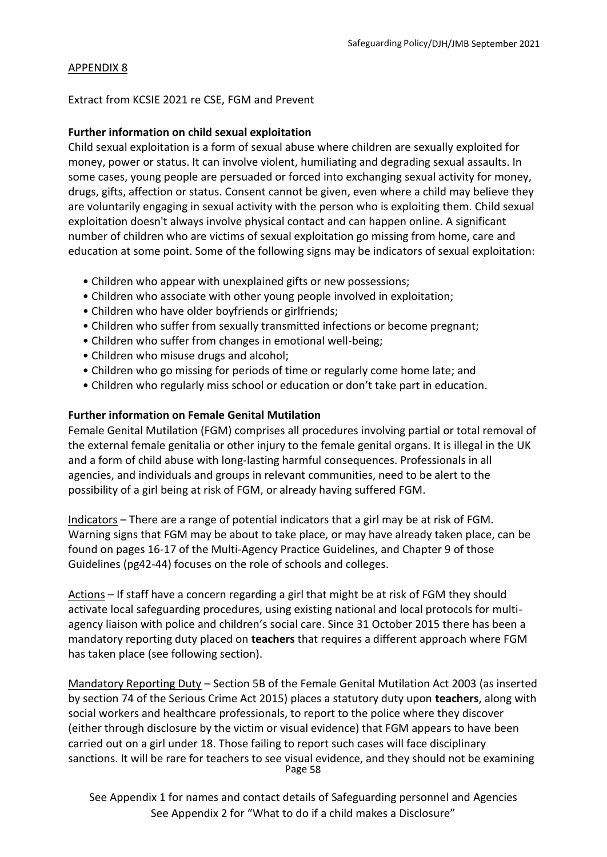#### <span id="page-57-0"></span>APPENDIX 8

#### Extract from KCSIE 2021 re CSE, FGM and Prevent

#### **Further information on child sexual exploitation**

Child sexual exploitation is a form of sexual abuse where children are sexually exploited for money, power or status. It can involve violent, humiliating and degrading sexual assaults. In some cases, young people are persuaded or forced into exchanging sexual activity for money, drugs, gifts, affection or status. Consent cannot be given, even where a child may believe they are voluntarily engaging in sexual activity with the person who is exploiting them. Child sexual exploitation doesn't always involve physical contact and can happen online. A significant number of children who are victims of sexual exploitation go missing from home, care and education at some point. Some of the following signs may be indicators of sexual exploitation:

- Children who appear with unexplained gifts or new possessions;
- Children who associate with other young people involved in exploitation;
- Children who have older boyfriends or girlfriends;
- Children who suffer from sexually transmitted infections or become pregnant;
- Children who suffer from changes in emotional well-being;
- Children who misuse drugs and alcohol;
- Children who go missing for periods of time or regularly come home late; and
- Children who regularly miss school or education or don't take part in education.

#### **Further information on Female Genital Mutilation**

Female Genital Mutilation (FGM) comprises all procedures involving partial or total removal of the external female genitalia or other injury to the female genital organs. It is illegal in the UK and a form of child abuse with long-lasting harmful consequences. Professionals in all agencies, and individuals and groups in relevant communities, need to be alert to the possibility of a girl being at risk of FGM, or already having suffered FGM.

Indicators – There are a range of potential indicators that a girl may be at risk of FGM. Warning signs that FGM may be about to take place, or may have already taken place, can be found on pages 16-17 of the Multi-Agency Practice Guidelines, and Chapter 9 of those Guidelines (pg42-44) focuses on the role of schools and colleges.

Actions – If staff have a concern regarding a girl that might be at risk of FGM they should activate local safeguarding procedures, using existing national and local protocols for multiagency liaison with police and children's social care. Since 31 October 2015 there has been a mandatory reporting duty placed on **teachers** that requires a different approach where FGM has taken place (see following section).

Page 58 Mandatory Reporting Duty – Section 5B of the Female Genital Mutilation Act 2003 (as inserted by section 74 of the Serious Crime Act 2015) places a statutory duty upon **teachers**, along with social workers and healthcare professionals, to report to the police where they discover (either through disclosure by the victim or visual evidence) that FGM appears to have been carried out on a girl under 18. Those failing to report such cases will face disciplinary sanctions. It will be rare for teachers to see visual evidence, and they should not be examining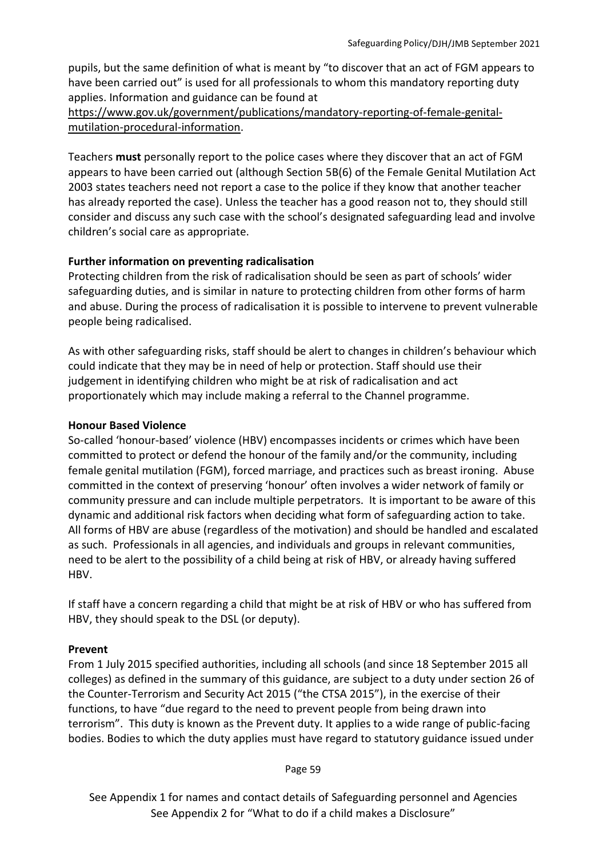pupils, but the same definition of what is meant by "to discover that an act of FGM appears to have been carried out" is used for all professionals to whom this mandatory reporting duty applies. Information and guidance can be found at

[https://www.gov.uk/government/publications/mandatory-reporting-of-female-genital](https://www.gov.uk/government/publications/mandatory-reporting-of-female-genital-mutilation-procedural-information)[mutilation-procedural-information.](https://www.gov.uk/government/publications/mandatory-reporting-of-female-genital-mutilation-procedural-information)

Teachers **must** personally report to the police cases where they discover that an act of FGM appears to have been carried out (although Section 5B(6) of the Female Genital Mutilation Act 2003 states teachers need not report a case to the police if they know that another teacher has already reported the case). Unless the teacher has a good reason not to, they should still consider and discuss any such case with the school's designated safeguarding lead and involve children's social care as appropriate.

# **Further information on preventing radicalisation**

Protecting children from the risk of radicalisation should be seen as part of schools' wider safeguarding duties, and is similar in nature to protecting children from other forms of harm and abuse. During the process of radicalisation it is possible to intervene to prevent vulnerable people being radicalised.

As with other safeguarding risks, staff should be alert to changes in children's behaviour which could indicate that they may be in need of help or protection. Staff should use their judgement in identifying children who might be at risk of radicalisation and act proportionately which may include making a referral to the Channel programme.

#### **Honour Based Violence**

So-called 'honour-based' violence (HBV) encompasses incidents or crimes which have been committed to protect or defend the honour of the family and/or the community, including female genital mutilation (FGM), forced marriage, and practices such as breast ironing. Abuse committed in the context of preserving 'honour' often involves a wider network of family or community pressure and can include multiple perpetrators. It is important to be aware of this dynamic and additional risk factors when deciding what form of safeguarding action to take. All forms of HBV are abuse (regardless of the motivation) and should be handled and escalated as such. Professionals in all agencies, and individuals and groups in relevant communities, need to be alert to the possibility of a child being at risk of HBV, or already having suffered HBV.

If staff have a concern regarding a child that might be at risk of HBV or who has suffered from HBV, they should speak to the DSL (or deputy).

#### **Prevent**

From 1 July 2015 specified authorities, including all schools (and since 18 September 2015 all colleges) as defined in the summary of this guidance, are subject to a duty under section 26 of the Counter-Terrorism and Security Act 2015 ("the CTSA 2015"), in the exercise of their functions, to have "due regard to the need to prevent people from being drawn into terrorism". This duty is known as the Prevent duty. It applies to a wide range of public-facing bodies. Bodies to which the duty applies must have regard to statutory guidance issued under

Page 59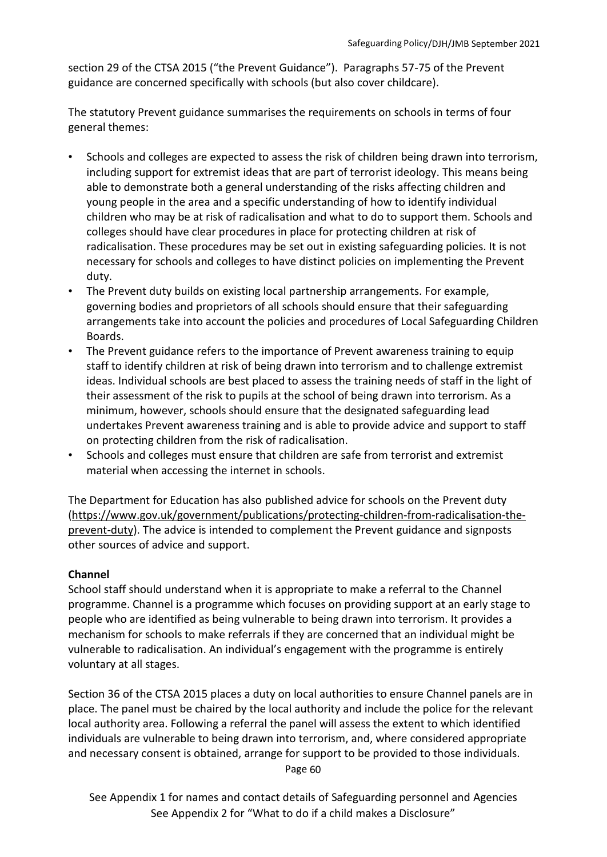section 29 of the CTSA 2015 ("the Prevent Guidance"). Paragraphs 57-75 of the Prevent guidance are concerned specifically with schools (but also cover childcare).

The statutory Prevent guidance summarises the requirements on schools in terms of four general themes:

- Schools and colleges are expected to assess the risk of children being drawn into terrorism, including support for extremist ideas that are part of terrorist ideology. This means being able to demonstrate both a general understanding of the risks affecting children and young people in the area and a specific understanding of how to identify individual children who may be at risk of radicalisation and what to do to support them. Schools and colleges should have clear procedures in place for protecting children at risk of radicalisation. These procedures may be set out in existing safeguarding policies. It is not necessary for schools and colleges to have distinct policies on implementing the Prevent duty.
- The Prevent duty builds on existing local partnership arrangements. For example, governing bodies and proprietors of all schools should ensure that their safeguarding arrangements take into account the policies and procedures of Local Safeguarding Children Boards.
- The Prevent guidance refers to the importance of Prevent awareness training to equip staff to identify children at risk of being drawn into terrorism and to challenge extremist ideas. Individual schools are best placed to assess the training needs of staff in the light of their assessment of the risk to pupils at the school of being drawn into terrorism. As a minimum, however, schools should ensure that the designated safeguarding lead undertakes Prevent awareness training and is able to provide advice and support to staff on protecting children from the risk of radicalisation.
- Schools and colleges must ensure that children are safe from terrorist and extremist material when accessing the internet in schools.

The Department for Education has also published advice for schools on the Prevent duty [\(https://www.gov.uk/government/publications/protecting-children-from-radicalisation-the](https://www.gov.uk/government/publications/protecting-children-from-radicalisation-the-prevent-duty)[prevent-duty\)](https://www.gov.uk/government/publications/protecting-children-from-radicalisation-the-prevent-duty). The advice is intended to complement the Prevent guidance and signposts other sources of advice and support.

#### **Channel**

School staff should understand when it is appropriate to make a referral to the Channel programme. Channel is a programme which focuses on providing support at an early stage to people who are identified as being vulnerable to being drawn into terrorism. It provides a mechanism for schools to make referrals if they are concerned that an individual might be vulnerable to radicalisation. An individual's engagement with the programme is entirely voluntary at all stages.

Page 60 Section 36 of the CTSA 2015 places a duty on local authorities to ensure Channel panels are in place. The panel must be chaired by the local authority and include the police for the relevant local authority area. Following a referral the panel will assess the extent to which identified individuals are vulnerable to being drawn into terrorism, and, where considered appropriate and necessary consent is obtained, arrange for support to be provided to those individuals.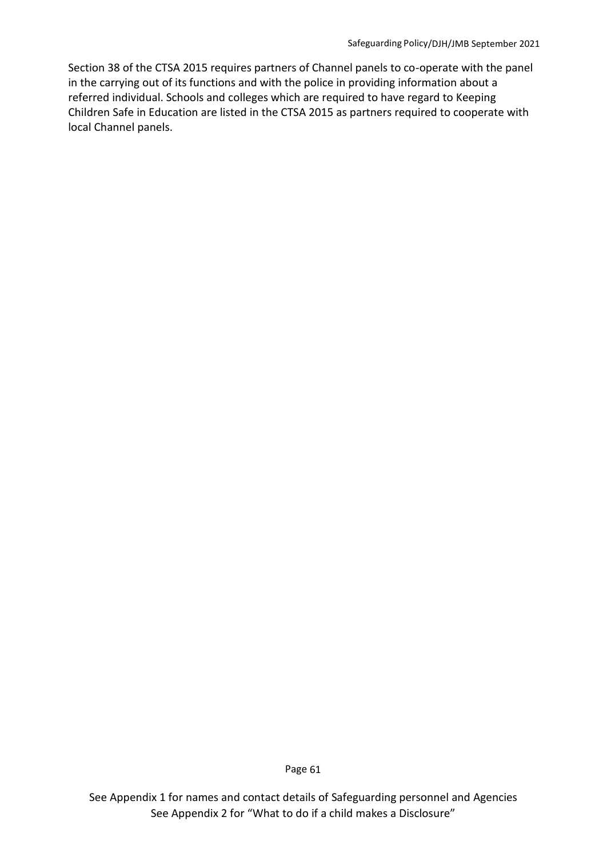Section 38 of the CTSA 2015 requires partners of Channel panels to co-operate with the panel in the carrying out of its functions and with the police in providing information about a referred individual. Schools and colleges which are required to have regard to Keeping Children Safe in Education are listed in the CTSA 2015 as partners required to cooperate with local Channel panels.

Page 61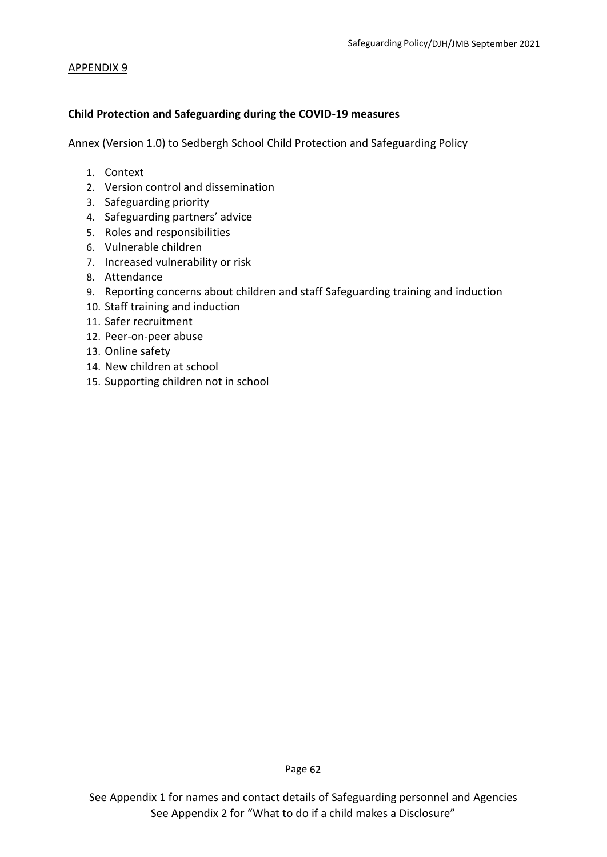#### <span id="page-61-0"></span>APPENDIX 9

# **Child Protection and Safeguarding during the COVID-19 measures**

Annex (Version 1.0) to Sedbergh School Child Protection and Safeguarding Policy

- 1. Context
- 2. Version control and dissemination
- 3. Safeguarding priority
- 4. Safeguarding partners' advice
- 5. Roles and responsibilities
- 6. Vulnerable children
- 7. Increased vulnerability or risk
- 8. Attendance
- 9. Reporting concerns about children and staff Safeguarding training and induction
- 10. Staff training and induction
- 11. Safer recruitment
- 12. Peer-on-peer abuse
- 13. Online safety
- 14. New children at school
- 15. Supporting children not in school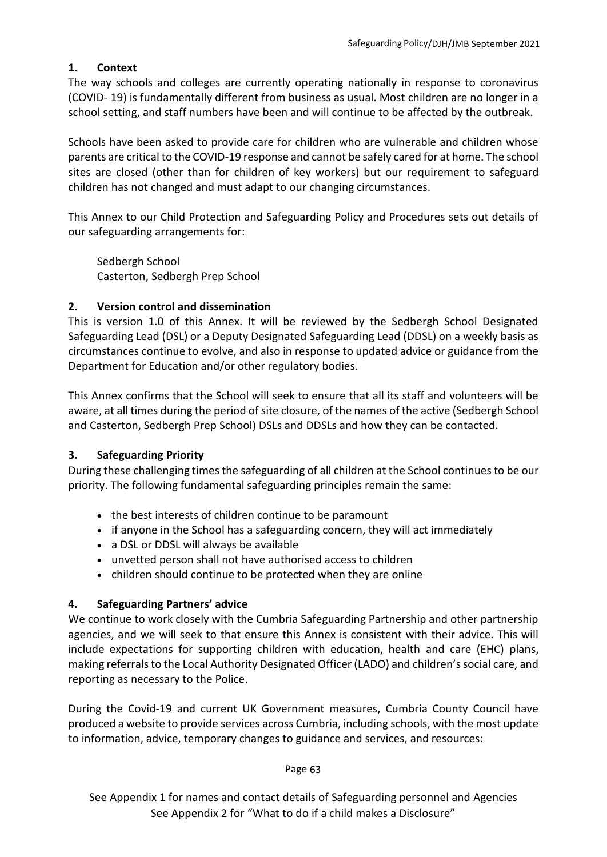# **1. Context**

The way schools and colleges are currently operating nationally in response to coronavirus (COVID- 19) is fundamentally different from business as usual. Most children are no longer in a school setting, and staff numbers have been and will continue to be affected by the outbreak.

Schools have been asked to provide care for children who are vulnerable and children whose parents are critical to the COVID-19 response and cannot be safely cared for at home. The school sites are closed (other than for children of key workers) but our requirement to safeguard children has not changed and must adapt to our changing circumstances.

This Annex to our Child Protection and Safeguarding Policy and Procedures sets out details of our safeguarding arrangements for:

Sedbergh School Casterton, Sedbergh Prep School

#### **2. Version control and dissemination**

This is version 1.0 of this Annex. It will be reviewed by the Sedbergh School Designated Safeguarding Lead (DSL) or a Deputy Designated Safeguarding Lead (DDSL) on a weekly basis as circumstances continue to evolve, and also in response to updated advice or guidance from the Department for Education and/or other regulatory bodies.

This Annex confirms that the School will seek to ensure that all its staff and volunteers will be aware, at all times during the period of site closure, of the names of the active (Sedbergh School and Casterton, Sedbergh Prep School) DSLs and DDSLs and how they can be contacted.

# **3. Safeguarding Priority**

During these challenging times the safeguarding of all children at the School continues to be our priority. The following fundamental safeguarding principles remain the same:

- the best interests of children continue to be paramount
- if anyone in the School has a safeguarding concern, they will act immediately
- a DSL or DDSL will always be available
- unvetted person shall not have authorised access to children
- children should continue to be protected when they are online

#### **4. Safeguarding Partners' advice**

We continue to work closely with the Cumbria Safeguarding Partnership and other partnership agencies, and we will seek to that ensure this Annex is consistent with their advice. This will include expectations for supporting children with education, health and care (EHC) plans, making referrals to the Local Authority Designated Officer (LADO) and children's social care, and reporting as necessary to the Police.

During the Covid-19 and current UK Government measures, Cumbria County Council have produced a website to provide services across Cumbria, including schools, with the most update to information, advice, temporary changes to guidance and services, and resources:

Page 63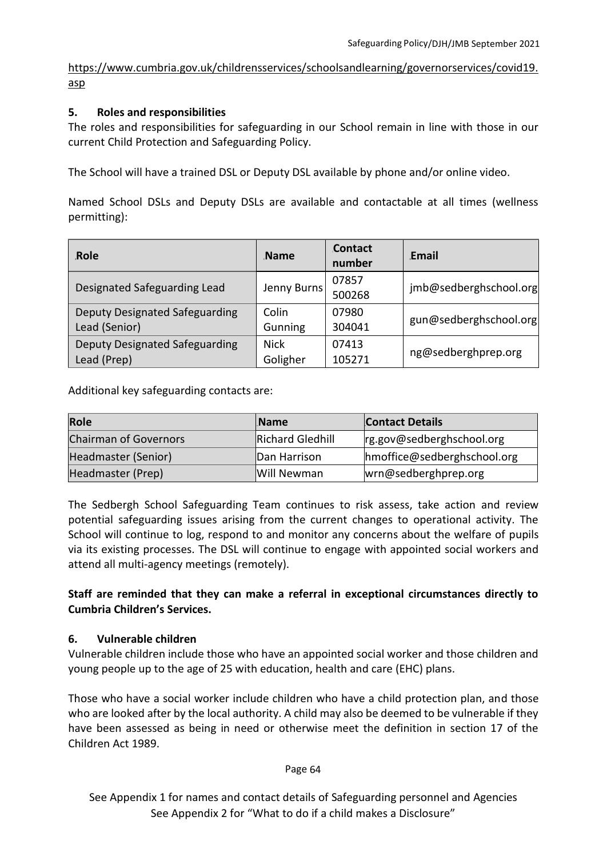# [https://www.cumbria.gov.uk/childrensservices/schoolsandlearning/governorservices/covid19.](https://www.cumbria.gov.uk/childrensservices/schoolsandlearning/governorservices/covid19.asp) [asp](https://www.cumbria.gov.uk/childrensservices/schoolsandlearning/governorservices/covid19.asp)

#### **5. Roles and responsibilities**

The roles and responsibilities for safeguarding in our School remain in line with those in our current Child Protection and Safeguarding Policy.

The School will have a trained DSL or Deputy DSL available by phone and/or online video.

Named School DSLs and Deputy DSLs are available and contactable at all times (wellness permitting):

| Role                           | <b>Name</b> | <b>Contact</b><br>number | Email                  |
|--------------------------------|-------------|--------------------------|------------------------|
| Designated Safeguarding Lead   | Jenny Burns | 07857<br>500268          | jmb@sedberghschool.org |
| Deputy Designated Safeguarding | Colin       | 07980                    | gun@sedberghschool.org |
| Lead (Senior)                  | Gunning     | 304041                   |                        |
| Deputy Designated Safeguarding | <b>Nick</b> | 07413                    | ng@sedberghprep.org    |
| Lead (Prep)                    | Goligher    | 105271                   |                        |

Additional key safeguarding contacts are:

| Role                  | <b>LName</b>     | <b>Contact Details</b>      |
|-----------------------|------------------|-----------------------------|
| Chairman of Governors | Richard Gledhill | rg.gov@sedberghschool.org   |
| Headmaster (Senior)   | Dan Harrison     | hmoffice@sedberghschool.org |
| Headmaster (Prep)     | Will Newman      | wrn@sedberghprep.org        |

The Sedbergh School Safeguarding Team continues to risk assess, take action and review potential safeguarding issues arising from the current changes to operational activity. The School will continue to log, respond to and monitor any concerns about the welfare of pupils via its existing processes. The DSL will continue to engage with appointed social workers and attend all multi-agency meetings (remotely).

#### **Staff are reminded that they can make a referral in exceptional circumstances directly to Cumbria Children's Services.**

#### **6. Vulnerable children**

Vulnerable children include those who have an appointed social worker and those children and young people up to the age of 25 with education, health and care (EHC) plans.

Those who have a social worker include children who have a child protection plan, and those who are looked after by the local authority. A child may also be deemed to be vulnerable if they have been assessed as being in need or otherwise meet the definition in section 17 of the Children Act 1989.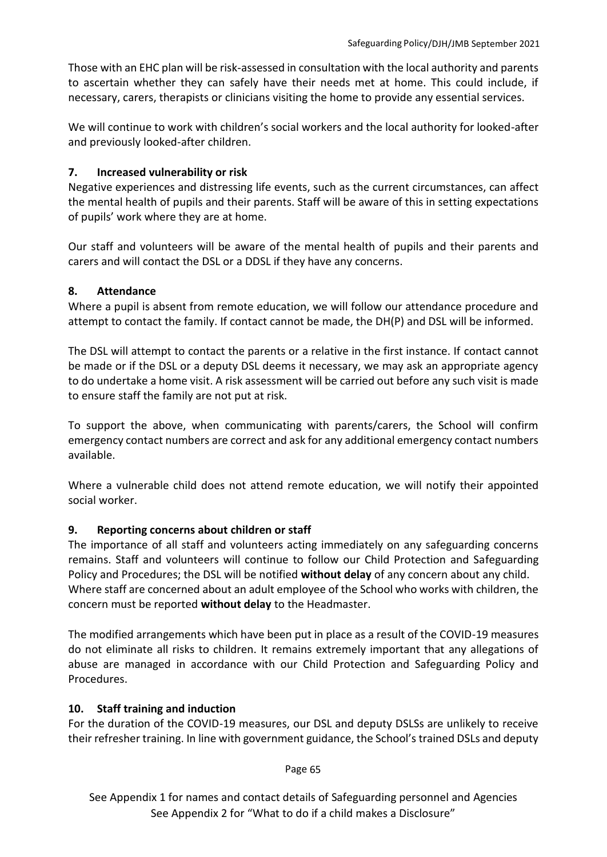Those with an EHC plan will be risk-assessed in consultation with the local authority and parents to ascertain whether they can safely have their needs met at home. This could include, if necessary, carers, therapists or clinicians visiting the home to provide any essential services.

We will continue to work with children's social workers and the local authority for looked-after and previously looked-after children.

# **7. Increased vulnerability or risk**

Negative experiences and distressing life events, such as the current circumstances, can affect the mental health of pupils and their parents. Staff will be aware of this in setting expectations of pupils' work where they are at home.

Our staff and volunteers will be aware of the mental health of pupils and their parents and carers and will contact the DSL or a DDSL if they have any concerns.

# **8. Attendance**

Where a pupil is absent from remote education, we will follow our attendance procedure and attempt to contact the family. If contact cannot be made, the DH(P) and DSL will be informed.

The DSL will attempt to contact the parents or a relative in the first instance. If contact cannot be made or if the DSL or a deputy DSL deems it necessary, we may ask an appropriate agency to do undertake a home visit. A risk assessment will be carried out before any such visit is made to ensure staff the family are not put at risk.

To support the above, when communicating with parents/carers, the School will confirm emergency contact numbers are correct and ask for any additional emergency contact numbers available.

Where a vulnerable child does not attend remote education, we will notify their appointed social worker.

# **9. Reporting concerns about children or staff**

The importance of all staff and volunteers acting immediately on any safeguarding concerns remains. Staff and volunteers will continue to follow our Child Protection and Safeguarding Policy and Procedures; the DSL will be notified **without delay** of any concern about any child. Where staff are concerned about an adult employee of the School who works with children, the concern must be reported **without delay** to the Headmaster.

The modified arrangements which have been put in place as a result of the COVID-19 measures do not eliminate all risks to children. It remains extremely important that any allegations of abuse are managed in accordance with our Child Protection and Safeguarding Policy and Procedures.

# **10. Staff training and induction**

For the duration of the COVID-19 measures, our DSL and deputy DSLSs are unlikely to receive their refresher training. In line with government guidance, the School's trained DSLs and deputy

Page 65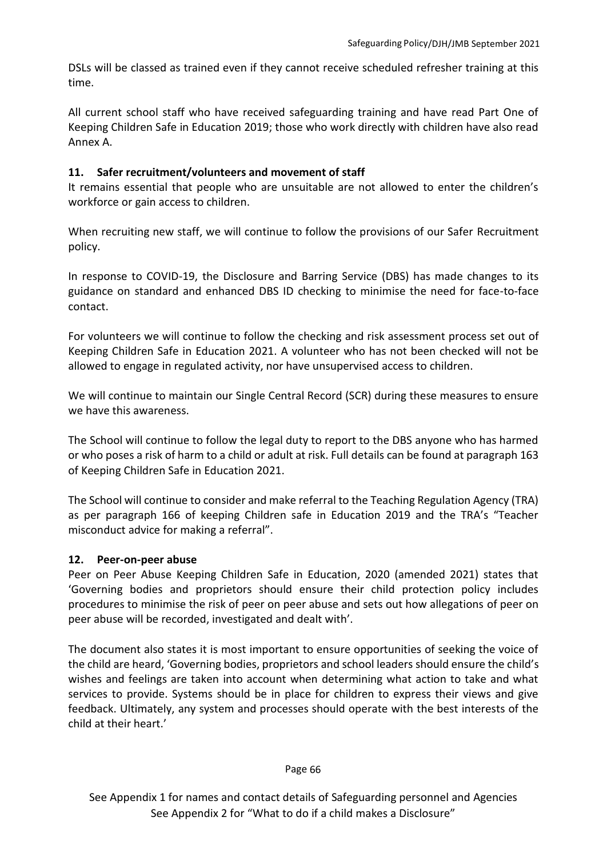DSLs will be classed as trained even if they cannot receive scheduled refresher training at this time.

All current school staff who have received safeguarding training and have read Part One of Keeping Children Safe in Education 2019; those who work directly with children have also read Annex A.

# **11. Safer recruitment/volunteers and movement of staff**

It remains essential that people who are unsuitable are not allowed to enter the children's workforce or gain access to children.

When recruiting new staff, we will continue to follow the provisions of our Safer Recruitment policy.

In response to COVID-19, the Disclosure and Barring Service (DBS) has made changes to its guidance on standard and enhanced DBS ID checking to minimise the need for face-to-face contact.

For volunteers we will continue to follow the checking and risk assessment process set out of Keeping Children Safe in Education 2021. A volunteer who has not been checked will not be allowed to engage in regulated activity, nor have unsupervised access to children.

We will continue to maintain our Single Central Record (SCR) during these measures to ensure we have this awareness.

The School will continue to follow the legal duty to report to the DBS anyone who has harmed or who poses a risk of harm to a child or adult at risk. Full details can be found at paragraph 163 of Keeping Children Safe in Education 2021.

The School will continue to consider and make referral to the Teaching Regulation Agency (TRA) as per paragraph 166 of keeping Children safe in Education 2019 and the TRA's "Teacher misconduct advice for making a referral".

# **12. Peer-on-peer abuse**

Peer on Peer Abuse Keeping Children Safe in Education, 2020 (amended 2021) states that 'Governing bodies and proprietors should ensure their child protection policy includes procedures to minimise the risk of peer on peer abuse and sets out how allegations of peer on peer abuse will be recorded, investigated and dealt with'.

The document also states it is most important to ensure opportunities of seeking the voice of the child are heard, 'Governing bodies, proprietors and school leaders should ensure the child's wishes and feelings are taken into account when determining what action to take and what services to provide. Systems should be in place for children to express their views and give feedback. Ultimately, any system and processes should operate with the best interests of the child at their heart.'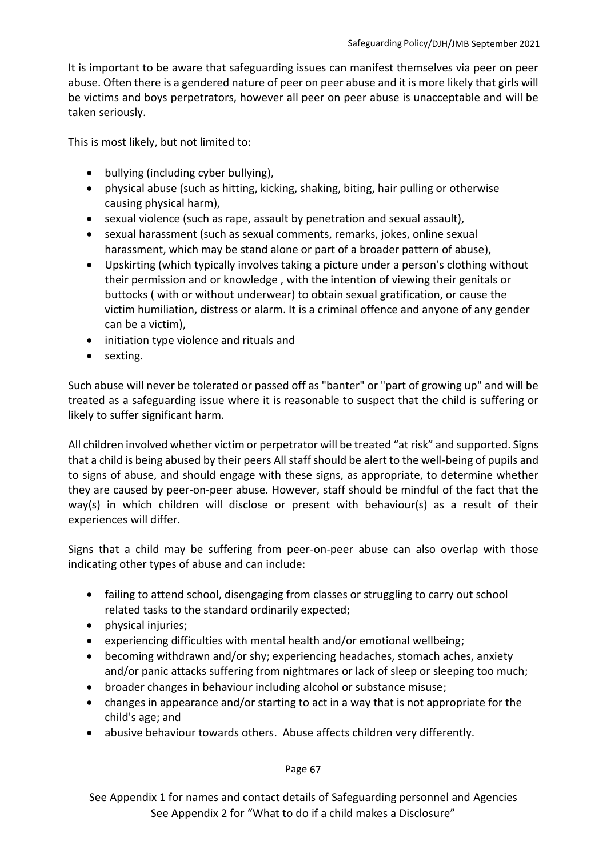It is important to be aware that safeguarding issues can manifest themselves via peer on peer abuse. Often there is a gendered nature of peer on peer abuse and it is more likely that girls will be victims and boys perpetrators, however all peer on peer abuse is unacceptable and will be taken seriously.

This is most likely, but not limited to:

- bullying (including cyber bullying),
- physical abuse (such as hitting, kicking, shaking, biting, hair pulling or otherwise causing physical harm),
- sexual violence (such as rape, assault by penetration and sexual assault),
- sexual harassment (such as sexual comments, remarks, jokes, online sexual harassment, which may be stand alone or part of a broader pattern of abuse),
- Upskirting (which typically involves taking a picture under a person's clothing without their permission and or knowledge , with the intention of viewing their genitals or buttocks ( with or without underwear) to obtain sexual gratification, or cause the victim humiliation, distress or alarm. It is a criminal offence and anyone of any gender can be a victim),
- initiation type violence and rituals and
- sexting.

Such abuse will never be tolerated or passed off as "banter" or "part of growing up" and will be treated as a safeguarding issue where it is reasonable to suspect that the child is suffering or likely to suffer significant harm.

All children involved whether victim or perpetrator will be treated "at risk" and supported. Signs that a child is being abused by their peers All staff should be alert to the well-being of pupils and to signs of abuse, and should engage with these signs, as appropriate, to determine whether they are caused by peer-on-peer abuse. However, staff should be mindful of the fact that the way(s) in which children will disclose or present with behaviour(s) as a result of their experiences will differ.

Signs that a child may be suffering from peer-on-peer abuse can also overlap with those indicating other types of abuse and can include:

- failing to attend school, disengaging from classes or struggling to carry out school related tasks to the standard ordinarily expected;
- physical injuries;
- experiencing difficulties with mental health and/or emotional wellbeing;
- becoming withdrawn and/or shy; experiencing headaches, stomach aches, anxiety and/or panic attacks suffering from nightmares or lack of sleep or sleeping too much;
- broader changes in behaviour including alcohol or substance misuse;
- changes in appearance and/or starting to act in a way that is not appropriate for the child's age; and
- abusive behaviour towards others. Abuse affects children very differently.

Page 67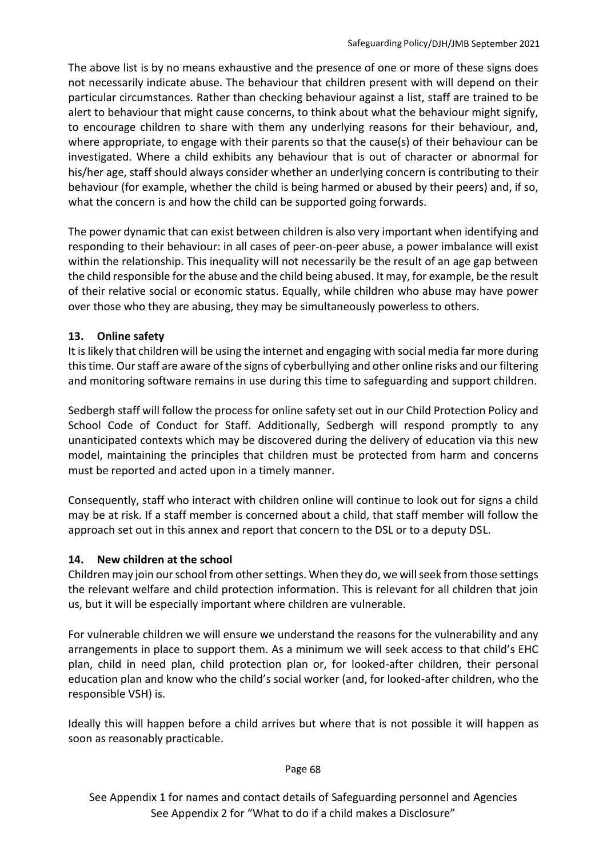The above list is by no means exhaustive and the presence of one or more of these signs does not necessarily indicate abuse. The behaviour that children present with will depend on their particular circumstances. Rather than checking behaviour against a list, staff are trained to be alert to behaviour that might cause concerns, to think about what the behaviour might signify, to encourage children to share with them any underlying reasons for their behaviour, and, where appropriate, to engage with their parents so that the cause(s) of their behaviour can be investigated. Where a child exhibits any behaviour that is out of character or abnormal for his/her age, staff should always consider whether an underlying concern is contributing to their behaviour (for example, whether the child is being harmed or abused by their peers) and, if so, what the concern is and how the child can be supported going forwards.

The power dynamic that can exist between children is also very important when identifying and responding to their behaviour: in all cases of peer-on-peer abuse, a power imbalance will exist within the relationship. This inequality will not necessarily be the result of an age gap between the child responsible for the abuse and the child being abused. It may, for example, be the result of their relative social or economic status. Equally, while children who abuse may have power over those who they are abusing, they may be simultaneously powerless to others.

# **13. Online safety**

It is likely that children will be using the internet and engaging with social media far more during this time. Our staff are aware of the signs of cyberbullying and other online risks and our filtering and monitoring software remains in use during this time to safeguarding and support children.

Sedbergh staff will follow the process for online safety set out in our Child Protection Policy and School Code of Conduct for Staff. Additionally, Sedbergh will respond promptly to any unanticipated contexts which may be discovered during the delivery of education via this new model, maintaining the principles that children must be protected from harm and concerns must be reported and acted upon in a timely manner.

Consequently, staff who interact with children online will continue to look out for signs a child may be at risk. If a staff member is concerned about a child, that staff member will follow the approach set out in this annex and report that concern to the DSL or to a deputy DSL.

#### **14. New children at the school**

Children may join our school from other settings. When they do, we will seek from those settings the relevant welfare and child protection information. This is relevant for all children that join us, but it will be especially important where children are vulnerable.

For vulnerable children we will ensure we understand the reasons for the vulnerability and any arrangements in place to support them. As a minimum we will seek access to that child's EHC plan, child in need plan, child protection plan or, for looked-after children, their personal education plan and know who the child's social worker (and, for looked-after children, who the responsible VSH) is.

Ideally this will happen before a child arrives but where that is not possible it will happen as soon as reasonably practicable.

#### Page 68